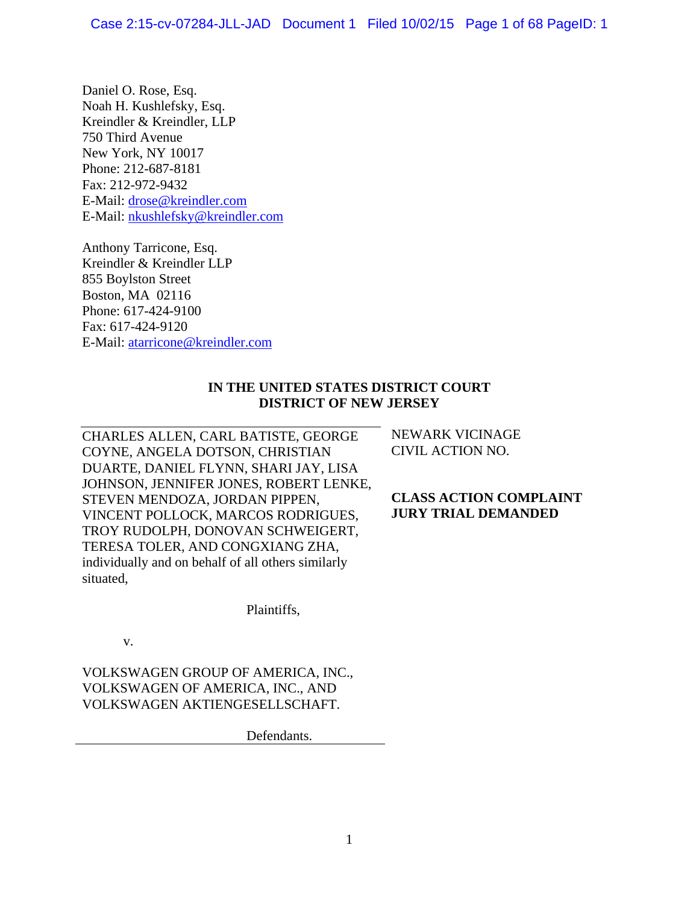Daniel O. Rose, Esq. Noah H. Kushlefsky, Esq. Kreindler & Kreindler, LLP 750 Third Avenue New York, NY 10017 Phone: 212-687-8181 Fax: 212-972-9432 E-Mail: drose@kreindler.com E-Mail: nkushlefsky@kreindler.com

Anthony Tarricone, Esq. Kreindler & Kreindler LLP 855 Boylston Street Boston, MA 02116 Phone: 617-424-9100 Fax: 617-424-9120 E-Mail: atarricone@kreindler.com

# **IN THE UNITED STATES DISTRICT COURT DISTRICT OF NEW JERSEY**

CHARLES ALLEN, CARL BATISTE, GEORGE COYNE, ANGELA DOTSON, CHRISTIAN DUARTE, DANIEL FLYNN, SHARI JAY, LISA JOHNSON, JENNIFER JONES, ROBERT LENKE, STEVEN MENDOZA, JORDAN PIPPEN, VINCENT POLLOCK, MARCOS RODRIGUES, TROY RUDOLPH, DONOVAN SCHWEIGERT, TERESA TOLER, AND CONGXIANG ZHA, individually and on behalf of all others similarly situated,

Plaintiffs,

v.

VOLKSWAGEN GROUP OF AMERICA, INC., VOLKSWAGEN OF AMERICA, INC., AND VOLKSWAGEN AKTIENGESELLSCHAFT.

Defendants.

NEWARK VICINAGE CIVIL ACTION NO.

# **CLASS ACTION COMPLAINT JURY TRIAL DEMANDED**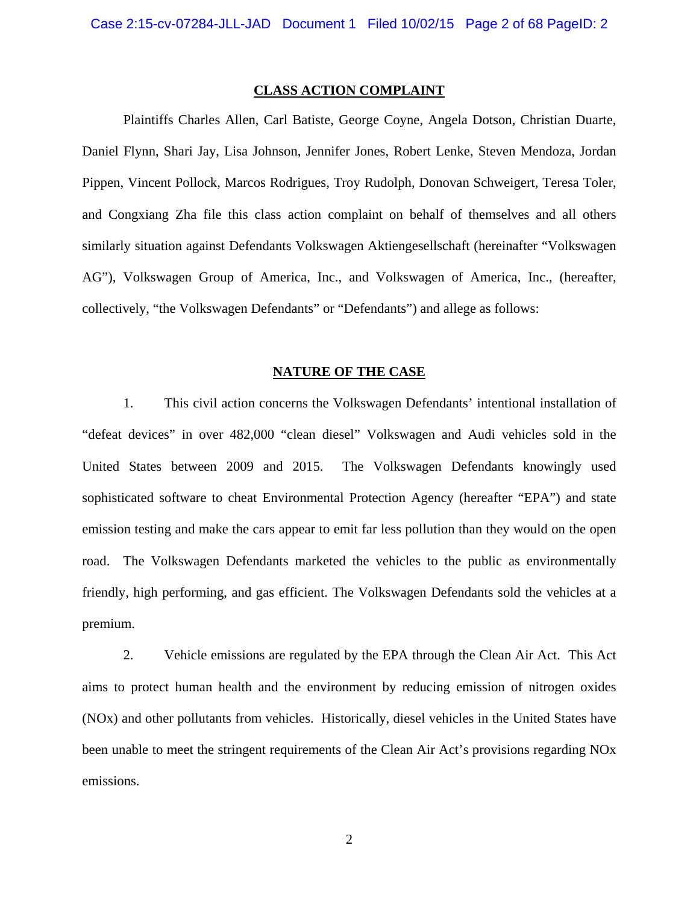#### **CLASS ACTION COMPLAINT**

 Plaintiffs Charles Allen, Carl Batiste, George Coyne, Angela Dotson, Christian Duarte, Daniel Flynn, Shari Jay, Lisa Johnson, Jennifer Jones, Robert Lenke, Steven Mendoza, Jordan Pippen, Vincent Pollock, Marcos Rodrigues, Troy Rudolph, Donovan Schweigert, Teresa Toler, and Congxiang Zha file this class action complaint on behalf of themselves and all others similarly situation against Defendants Volkswagen Aktiengesellschaft (hereinafter "Volkswagen AG"), Volkswagen Group of America, Inc., and Volkswagen of America, Inc., (hereafter, collectively, "the Volkswagen Defendants" or "Defendants") and allege as follows:

### **NATURE OF THE CASE**

1. This civil action concerns the Volkswagen Defendants' intentional installation of "defeat devices" in over 482,000 "clean diesel" Volkswagen and Audi vehicles sold in the United States between 2009 and 2015. The Volkswagen Defendants knowingly used sophisticated software to cheat Environmental Protection Agency (hereafter "EPA") and state emission testing and make the cars appear to emit far less pollution than they would on the open road. The Volkswagen Defendants marketed the vehicles to the public as environmentally friendly, high performing, and gas efficient. The Volkswagen Defendants sold the vehicles at a premium.

2. Vehicle emissions are regulated by the EPA through the Clean Air Act. This Act aims to protect human health and the environment by reducing emission of nitrogen oxides (NOx) and other pollutants from vehicles. Historically, diesel vehicles in the United States have been unable to meet the stringent requirements of the Clean Air Act's provisions regarding NOx emissions.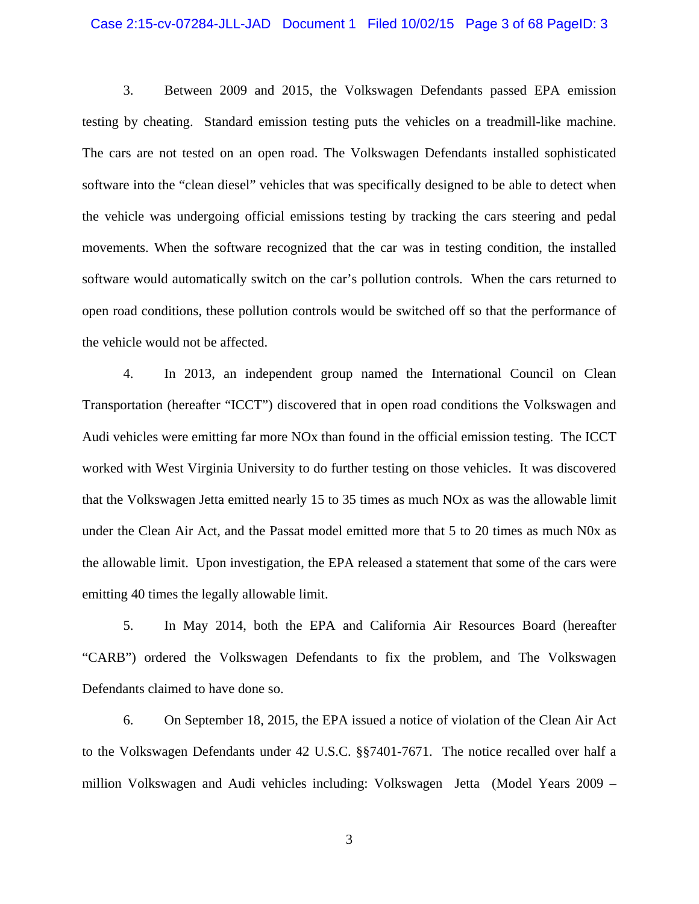#### Case 2:15-cv-07284-JLL-JAD Document 1 Filed 10/02/15 Page 3 of 68 PageID: 3

3. Between 2009 and 2015, the Volkswagen Defendants passed EPA emission testing by cheating. Standard emission testing puts the vehicles on a treadmill-like machine. The cars are not tested on an open road. The Volkswagen Defendants installed sophisticated software into the "clean diesel" vehicles that was specifically designed to be able to detect when the vehicle was undergoing official emissions testing by tracking the cars steering and pedal movements. When the software recognized that the car was in testing condition, the installed software would automatically switch on the car's pollution controls. When the cars returned to open road conditions, these pollution controls would be switched off so that the performance of the vehicle would not be affected.

4. In 2013, an independent group named the International Council on Clean Transportation (hereafter "ICCT") discovered that in open road conditions the Volkswagen and Audi vehicles were emitting far more NOx than found in the official emission testing. The ICCT worked with West Virginia University to do further testing on those vehicles. It was discovered that the Volkswagen Jetta emitted nearly 15 to 35 times as much NOx as was the allowable limit under the Clean Air Act, and the Passat model emitted more that 5 to 20 times as much N0x as the allowable limit. Upon investigation, the EPA released a statement that some of the cars were emitting 40 times the legally allowable limit.

5. In May 2014, both the EPA and California Air Resources Board (hereafter "CARB") ordered the Volkswagen Defendants to fix the problem, and The Volkswagen Defendants claimed to have done so.

6. On September 18, 2015, the EPA issued a notice of violation of the Clean Air Act to the Volkswagen Defendants under 42 U.S.C. §§7401-7671. The notice recalled over half a million Volkswagen and Audi vehicles including: Volkswagen Jetta (Model Years 2009 –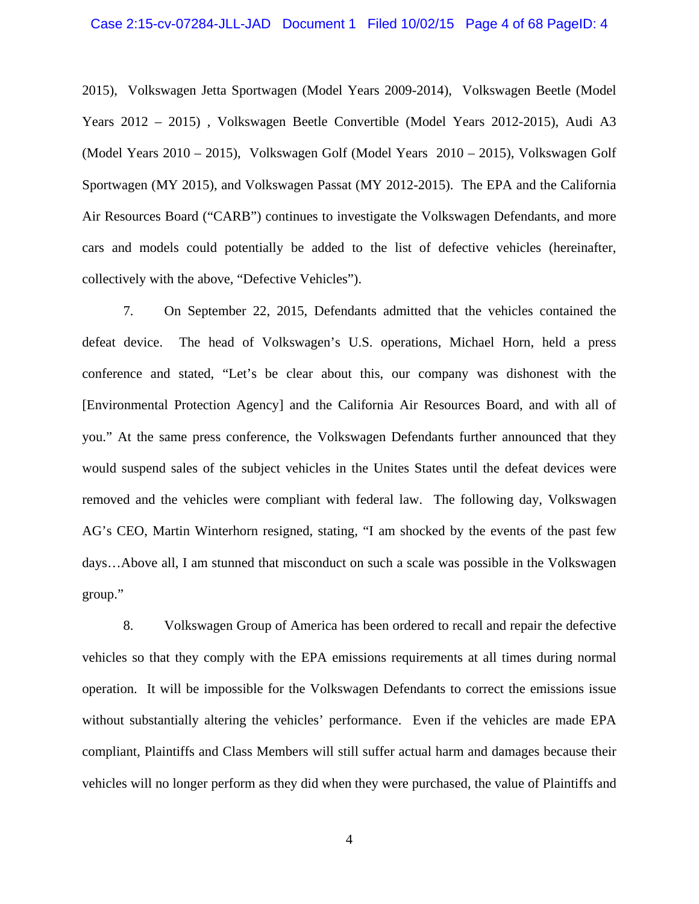2015), Volkswagen Jetta Sportwagen (Model Years 2009-2014), Volkswagen Beetle (Model Years 2012 – 2015) , Volkswagen Beetle Convertible (Model Years 2012-2015), Audi A3 (Model Years 2010 – 2015), Volkswagen Golf (Model Years 2010 – 2015), Volkswagen Golf Sportwagen (MY 2015), and Volkswagen Passat (MY 2012-2015). The EPA and the California Air Resources Board ("CARB") continues to investigate the Volkswagen Defendants, and more cars and models could potentially be added to the list of defective vehicles (hereinafter, collectively with the above, "Defective Vehicles").

7. On September 22, 2015, Defendants admitted that the vehicles contained the defeat device. The head of Volkswagen's U.S. operations, Michael Horn, held a press conference and stated, "Let's be clear about this, our company was dishonest with the [Environmental Protection Agency] and the California Air Resources Board, and with all of you." At the same press conference, the Volkswagen Defendants further announced that they would suspend sales of the subject vehicles in the Unites States until the defeat devices were removed and the vehicles were compliant with federal law. The following day, Volkswagen AG's CEO, Martin Winterhorn resigned, stating, "I am shocked by the events of the past few days…Above all, I am stunned that misconduct on such a scale was possible in the Volkswagen group."

8. Volkswagen Group of America has been ordered to recall and repair the defective vehicles so that they comply with the EPA emissions requirements at all times during normal operation. It will be impossible for the Volkswagen Defendants to correct the emissions issue without substantially altering the vehicles' performance. Even if the vehicles are made EPA compliant, Plaintiffs and Class Members will still suffer actual harm and damages because their vehicles will no longer perform as they did when they were purchased, the value of Plaintiffs and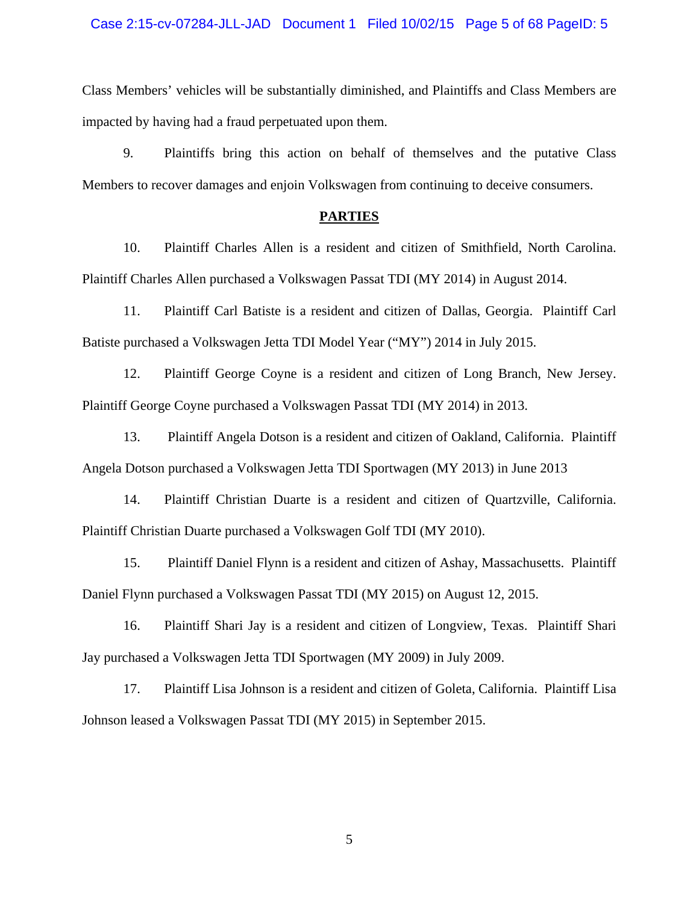Class Members' vehicles will be substantially diminished, and Plaintiffs and Class Members are impacted by having had a fraud perpetuated upon them.

9. Plaintiffs bring this action on behalf of themselves and the putative Class Members to recover damages and enjoin Volkswagen from continuing to deceive consumers.

# **PARTIES**

10. Plaintiff Charles Allen is a resident and citizen of Smithfield, North Carolina. Plaintiff Charles Allen purchased a Volkswagen Passat TDI (MY 2014) in August 2014.

11. Plaintiff Carl Batiste is a resident and citizen of Dallas, Georgia. Plaintiff Carl Batiste purchased a Volkswagen Jetta TDI Model Year ("MY") 2014 in July 2015.

12. Plaintiff George Coyne is a resident and citizen of Long Branch, New Jersey. Plaintiff George Coyne purchased a Volkswagen Passat TDI (MY 2014) in 2013.

13. Plaintiff Angela Dotson is a resident and citizen of Oakland, California. Plaintiff Angela Dotson purchased a Volkswagen Jetta TDI Sportwagen (MY 2013) in June 2013

14. Plaintiff Christian Duarte is a resident and citizen of Quartzville, California. Plaintiff Christian Duarte purchased a Volkswagen Golf TDI (MY 2010).

15. Plaintiff Daniel Flynn is a resident and citizen of Ashay, Massachusetts. Plaintiff Daniel Flynn purchased a Volkswagen Passat TDI (MY 2015) on August 12, 2015.

16. Plaintiff Shari Jay is a resident and citizen of Longview, Texas. Plaintiff Shari Jay purchased a Volkswagen Jetta TDI Sportwagen (MY 2009) in July 2009.

17. Plaintiff Lisa Johnson is a resident and citizen of Goleta, California. Plaintiff Lisa Johnson leased a Volkswagen Passat TDI (MY 2015) in September 2015.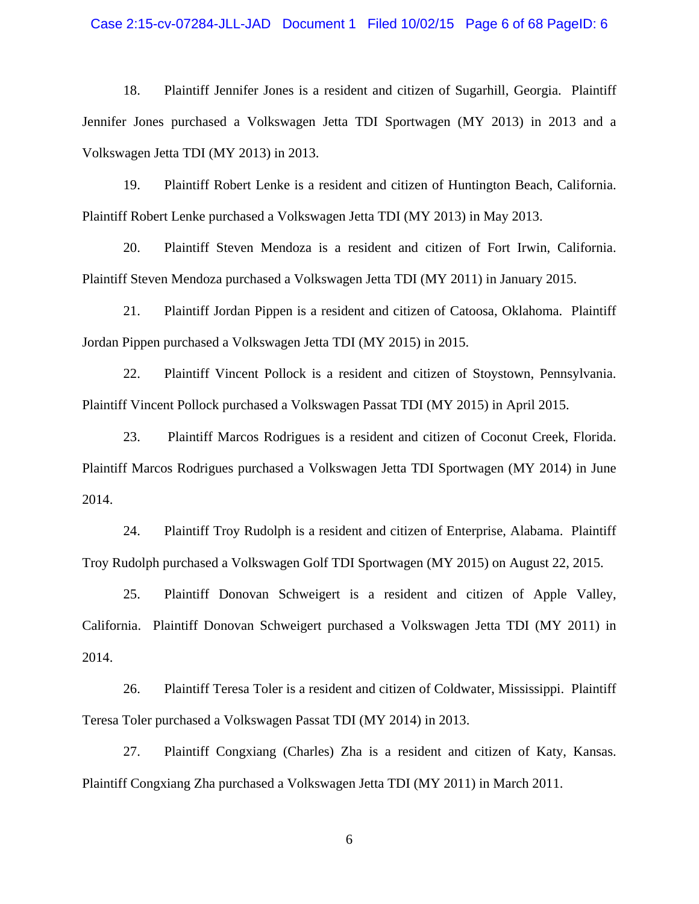Case 2:15-cv-07284-JLL-JAD Document 1 Filed 10/02/15 Page 6 of 68 PageID: 6

18. Plaintiff Jennifer Jones is a resident and citizen of Sugarhill, Georgia. Plaintiff Jennifer Jones purchased a Volkswagen Jetta TDI Sportwagen (MY 2013) in 2013 and a Volkswagen Jetta TDI (MY 2013) in 2013.

19. Plaintiff Robert Lenke is a resident and citizen of Huntington Beach, California. Plaintiff Robert Lenke purchased a Volkswagen Jetta TDI (MY 2013) in May 2013.

20. Plaintiff Steven Mendoza is a resident and citizen of Fort Irwin, California. Plaintiff Steven Mendoza purchased a Volkswagen Jetta TDI (MY 2011) in January 2015.

21. Plaintiff Jordan Pippen is a resident and citizen of Catoosa, Oklahoma. Plaintiff Jordan Pippen purchased a Volkswagen Jetta TDI (MY 2015) in 2015.

22. Plaintiff Vincent Pollock is a resident and citizen of Stoystown, Pennsylvania. Plaintiff Vincent Pollock purchased a Volkswagen Passat TDI (MY 2015) in April 2015.

23. Plaintiff Marcos Rodrigues is a resident and citizen of Coconut Creek, Florida. Plaintiff Marcos Rodrigues purchased a Volkswagen Jetta TDI Sportwagen (MY 2014) in June 2014.

24. Plaintiff Troy Rudolph is a resident and citizen of Enterprise, Alabama. Plaintiff Troy Rudolph purchased a Volkswagen Golf TDI Sportwagen (MY 2015) on August 22, 2015.

25. Plaintiff Donovan Schweigert is a resident and citizen of Apple Valley, California. Plaintiff Donovan Schweigert purchased a Volkswagen Jetta TDI (MY 2011) in 2014.

26. Plaintiff Teresa Toler is a resident and citizen of Coldwater, Mississippi. Plaintiff Teresa Toler purchased a Volkswagen Passat TDI (MY 2014) in 2013.

27. Plaintiff Congxiang (Charles) Zha is a resident and citizen of Katy, Kansas. Plaintiff Congxiang Zha purchased a Volkswagen Jetta TDI (MY 2011) in March 2011.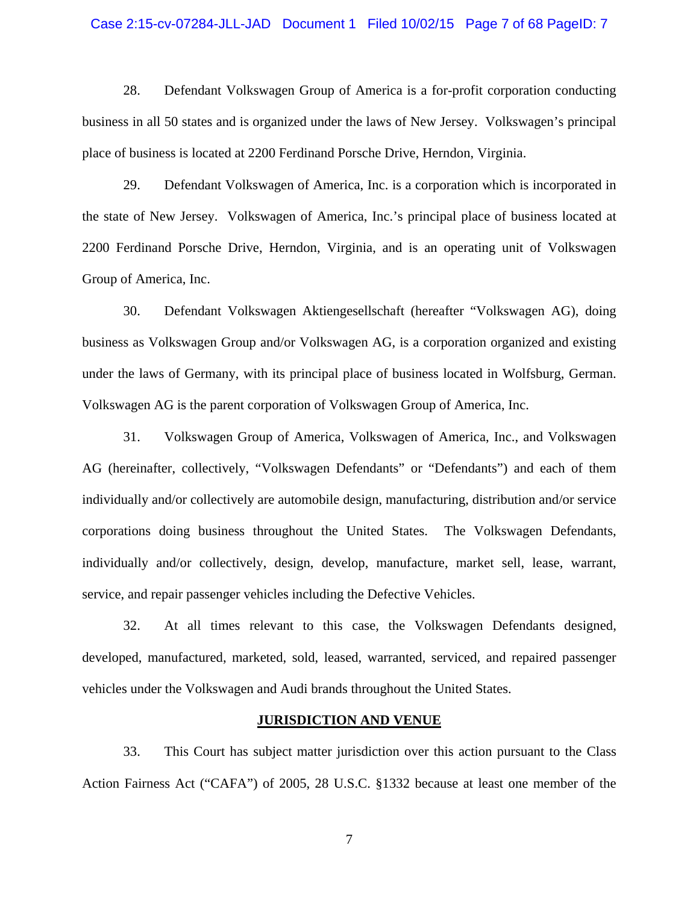#### Case 2:15-cv-07284-JLL-JAD Document 1 Filed 10/02/15 Page 7 of 68 PageID: 7

28. Defendant Volkswagen Group of America is a for-profit corporation conducting business in all 50 states and is organized under the laws of New Jersey. Volkswagen's principal place of business is located at 2200 Ferdinand Porsche Drive, Herndon, Virginia.

29. Defendant Volkswagen of America, Inc. is a corporation which is incorporated in the state of New Jersey. Volkswagen of America, Inc.'s principal place of business located at 2200 Ferdinand Porsche Drive, Herndon, Virginia, and is an operating unit of Volkswagen Group of America, Inc.

30. Defendant Volkswagen Aktiengesellschaft (hereafter "Volkswagen AG), doing business as Volkswagen Group and/or Volkswagen AG, is a corporation organized and existing under the laws of Germany, with its principal place of business located in Wolfsburg, German. Volkswagen AG is the parent corporation of Volkswagen Group of America, Inc.

31. Volkswagen Group of America, Volkswagen of America, Inc., and Volkswagen AG (hereinafter, collectively, "Volkswagen Defendants" or "Defendants") and each of them individually and/or collectively are automobile design, manufacturing, distribution and/or service corporations doing business throughout the United States. The Volkswagen Defendants, individually and/or collectively, design, develop, manufacture, market sell, lease, warrant, service, and repair passenger vehicles including the Defective Vehicles.

32. At all times relevant to this case, the Volkswagen Defendants designed, developed, manufactured, marketed, sold, leased, warranted, serviced, and repaired passenger vehicles under the Volkswagen and Audi brands throughout the United States.

### **JURISDICTION AND VENUE**

33. This Court has subject matter jurisdiction over this action pursuant to the Class Action Fairness Act ("CAFA") of 2005, 28 U.S.C. §1332 because at least one member of the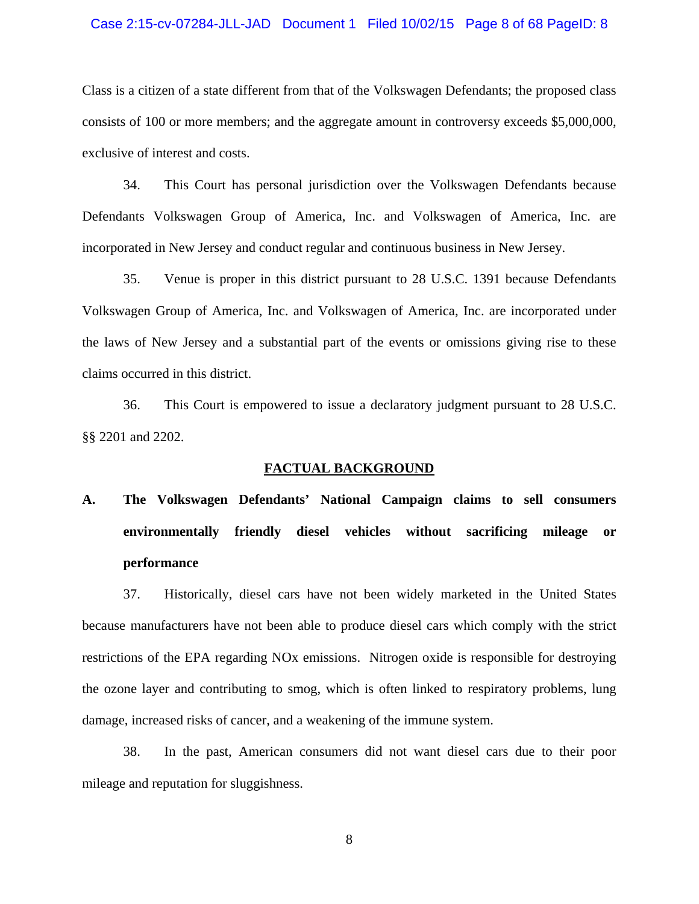#### Case 2:15-cv-07284-JLL-JAD Document 1 Filed 10/02/15 Page 8 of 68 PageID: 8

Class is a citizen of a state different from that of the Volkswagen Defendants; the proposed class consists of 100 or more members; and the aggregate amount in controversy exceeds \$5,000,000, exclusive of interest and costs.

34. This Court has personal jurisdiction over the Volkswagen Defendants because Defendants Volkswagen Group of America, Inc. and Volkswagen of America, Inc. are incorporated in New Jersey and conduct regular and continuous business in New Jersey.

35. Venue is proper in this district pursuant to 28 U.S.C. 1391 because Defendants Volkswagen Group of America, Inc. and Volkswagen of America, Inc. are incorporated under the laws of New Jersey and a substantial part of the events or omissions giving rise to these claims occurred in this district.

36. This Court is empowered to issue a declaratory judgment pursuant to 28 U.S.C. §§ 2201 and 2202.

#### **FACTUAL BACKGROUND**

# **A. The Volkswagen Defendants' National Campaign claims to sell consumers environmentally friendly diesel vehicles without sacrificing mileage or performance**

37. Historically, diesel cars have not been widely marketed in the United States because manufacturers have not been able to produce diesel cars which comply with the strict restrictions of the EPA regarding NOx emissions. Nitrogen oxide is responsible for destroying the ozone layer and contributing to smog, which is often linked to respiratory problems, lung damage, increased risks of cancer, and a weakening of the immune system.

38. In the past, American consumers did not want diesel cars due to their poor mileage and reputation for sluggishness.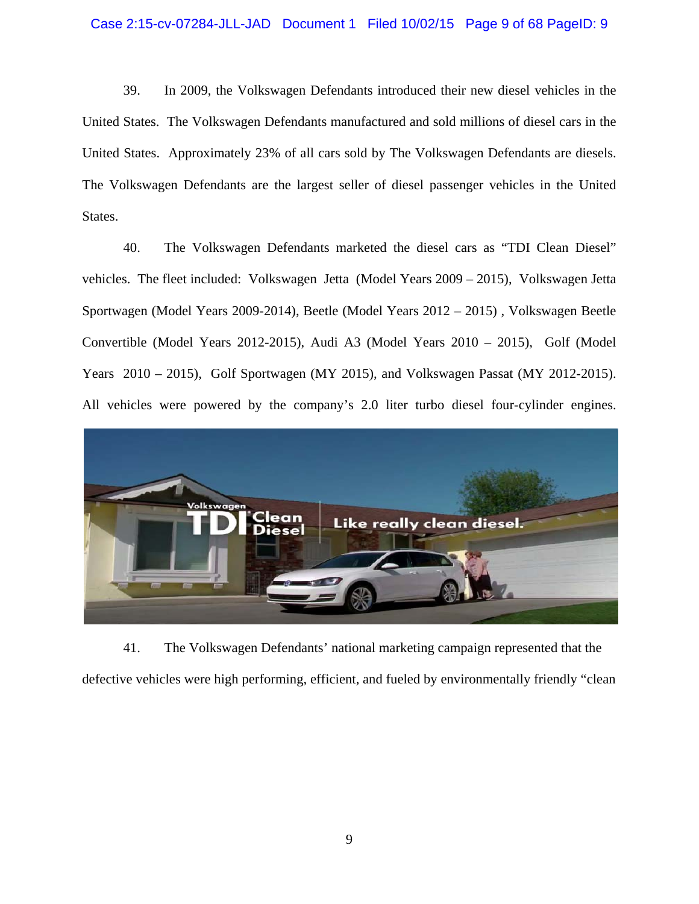39. In 2009, the Volkswagen Defendants introduced their new diesel vehicles in the United States. The Volkswagen Defendants manufactured and sold millions of diesel cars in the United States. Approximately 23% of all cars sold by The Volkswagen Defendants are diesels. The Volkswagen Defendants are the largest seller of diesel passenger vehicles in the United States.

40. The Volkswagen Defendants marketed the diesel cars as "TDI Clean Diesel" vehicles. The fleet included: Volkswagen Jetta (Model Years 2009 – 2015), Volkswagen Jetta Sportwagen (Model Years 2009-2014), Beetle (Model Years 2012 – 2015) , Volkswagen Beetle Convertible (Model Years 2012-2015), Audi A3 (Model Years 2010 – 2015), Golf (Model Years 2010 – 2015), Golf Sportwagen (MY 2015), and Volkswagen Passat (MY 2012-2015). All vehicles were powered by the company's 2.0 liter turbo diesel four-cylinder engines.



41. The Volkswagen Defendants' national marketing campaign represented that the defective vehicles were high performing, efficient, and fueled by environmentally friendly "clean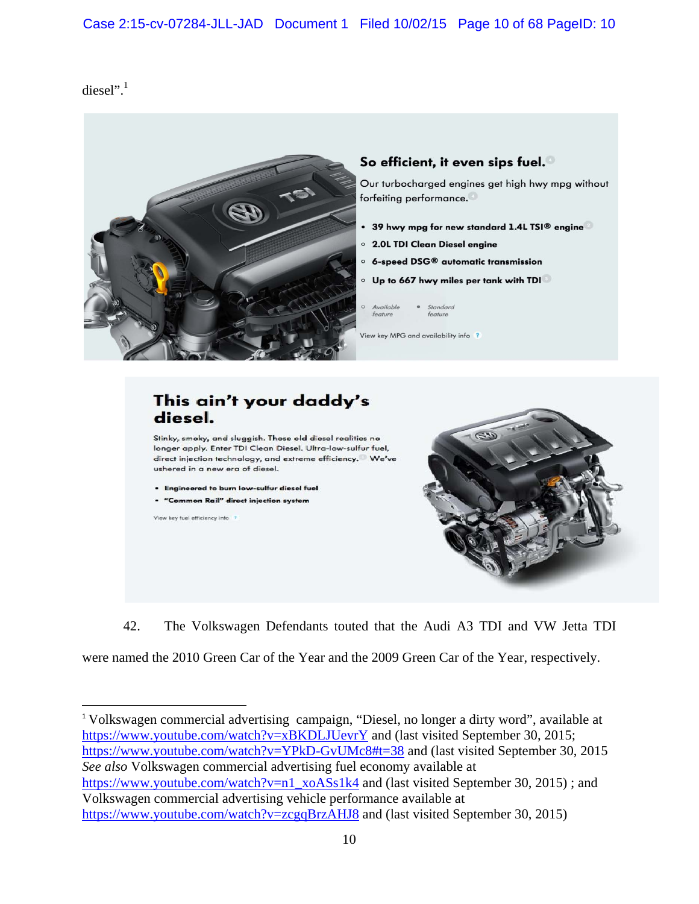diesel".<sup>1</sup>



# So efficient, it even sips fuel.

Our turbocharged engines get high hwy mpg without forfeiting performance.

- . 39 hwy mpg for new standard 1.4L TSI® engine
- 2.0L TDI Clean Diesel engine
- 6-speed DSG® automatic transmission
- Up to 667 hwy miles per tank with TDI
- $\circ$ Available Standard feature feature

View key MPG and availability info ?

# This ain't your daddy's diesel.

Stinky, smoky, and sluggish. Those old diesel realities no longer apply. Enter TDI Clean Diesel. Ultra-low-sulfur fuel, direct injection technology, and extreme efficiency. We've ushered in a new era of diesel.

- . Engineered to burn low-sulfur diesel fuel
- . "Common Rail" direct injection system

View key fuel efficiency info

<u> 1989 - Johann Barn, mars eta bat erroman erroman erroman erroman erroman erroman erroman erroman erroman err</u>



42. The Volkswagen Defendants touted that the Audi A3 TDI and VW Jetta TDI

were named the 2010 Green Car of the Year and the 2009 Green Car of the Year, respectively.

<sup>1</sup> Volkswagen commercial advertising campaign, "Diesel, no longer a dirty word", available at https://www.youtube.com/watch?v=xBKDLJUevrY and (last visited September 30, 2015; https://www.youtube.com/watch?v=YPkD-GvUMc8#t=38 and (last visited September 30, 2015 *See also* Volkswagen commercial advertising fuel economy available at https://www.youtube.com/watch?v=n1\_xoASs1k4 and (last visited September 30, 2015); and Volkswagen commercial advertising vehicle performance available at https://www.youtube.com/watch?v=zcgqBrzAHJ8 and (last visited September 30, 2015)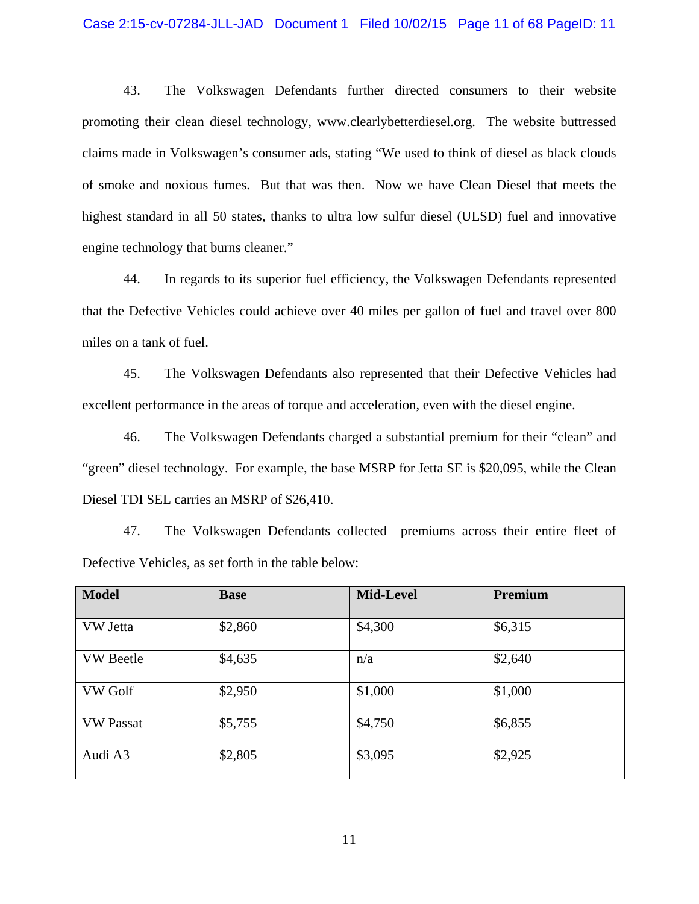#### Case 2:15-cv-07284-JLL-JAD Document 1 Filed 10/02/15 Page 11 of 68 PageID: 11

43. The Volkswagen Defendants further directed consumers to their website promoting their clean diesel technology, www.clearlybetterdiesel.org. The website buttressed claims made in Volkswagen's consumer ads, stating "We used to think of diesel as black clouds of smoke and noxious fumes. But that was then. Now we have Clean Diesel that meets the highest standard in all 50 states, thanks to ultra low sulfur diesel (ULSD) fuel and innovative engine technology that burns cleaner."

44. In regards to its superior fuel efficiency, the Volkswagen Defendants represented that the Defective Vehicles could achieve over 40 miles per gallon of fuel and travel over 800 miles on a tank of fuel.

45. The Volkswagen Defendants also represented that their Defective Vehicles had excellent performance in the areas of torque and acceleration, even with the diesel engine.

46. The Volkswagen Defendants charged a substantial premium for their "clean" and "green" diesel technology. For example, the base MSRP for Jetta SE is \$20,095, while the Clean Diesel TDI SEL carries an MSRP of \$26,410.

47. The Volkswagen Defendants collected premiums across their entire fleet of Defective Vehicles, as set forth in the table below:

| <b>Model</b>     | <b>Base</b> | Mid-Level | Premium |
|------------------|-------------|-----------|---------|
| VW Jetta         | \$2,860     | \$4,300   | \$6,315 |
| <b>VW</b> Beetle | \$4,635     | n/a       | \$2,640 |
| VW Golf          | \$2,950     | \$1,000   | \$1,000 |
| <b>VW Passat</b> | \$5,755     | \$4,750   | \$6,855 |
| Audi A3          | \$2,805     | \$3,095   | \$2,925 |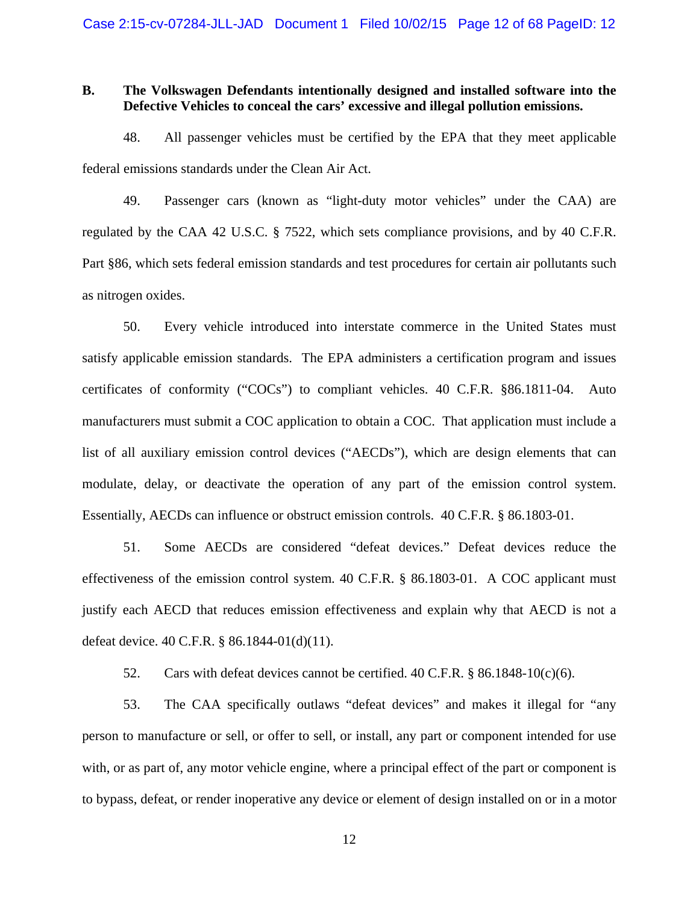# **B. The Volkswagen Defendants intentionally designed and installed software into the Defective Vehicles to conceal the cars' excessive and illegal pollution emissions.**

48. All passenger vehicles must be certified by the EPA that they meet applicable federal emissions standards under the Clean Air Act.

49. Passenger cars (known as "light-duty motor vehicles" under the CAA) are regulated by the CAA 42 U.S.C. § 7522, which sets compliance provisions, and by 40 C.F.R. Part §86, which sets federal emission standards and test procedures for certain air pollutants such as nitrogen oxides.

50. Every vehicle introduced into interstate commerce in the United States must satisfy applicable emission standards. The EPA administers a certification program and issues certificates of conformity ("COCs") to compliant vehicles. 40 C.F.R. §86.1811-04. Auto manufacturers must submit a COC application to obtain a COC. That application must include a list of all auxiliary emission control devices ("AECDs"), which are design elements that can modulate, delay, or deactivate the operation of any part of the emission control system. Essentially, AECDs can influence or obstruct emission controls. 40 C.F.R. § 86.1803-01.

51. Some AECDs are considered "defeat devices." Defeat devices reduce the effectiveness of the emission control system. 40 C.F.R. § 86.1803-01. A COC applicant must justify each AECD that reduces emission effectiveness and explain why that AECD is not a defeat device. 40 C.F.R. § 86.1844-01(d)(11).

52. Cars with defeat devices cannot be certified.  $40 \text{ C.F.R.}$  §  $86.1848 \cdot 10(c)(6)$ .

53. The CAA specifically outlaws "defeat devices" and makes it illegal for "any person to manufacture or sell, or offer to sell, or install, any part or component intended for use with, or as part of, any motor vehicle engine, where a principal effect of the part or component is to bypass, defeat, or render inoperative any device or element of design installed on or in a motor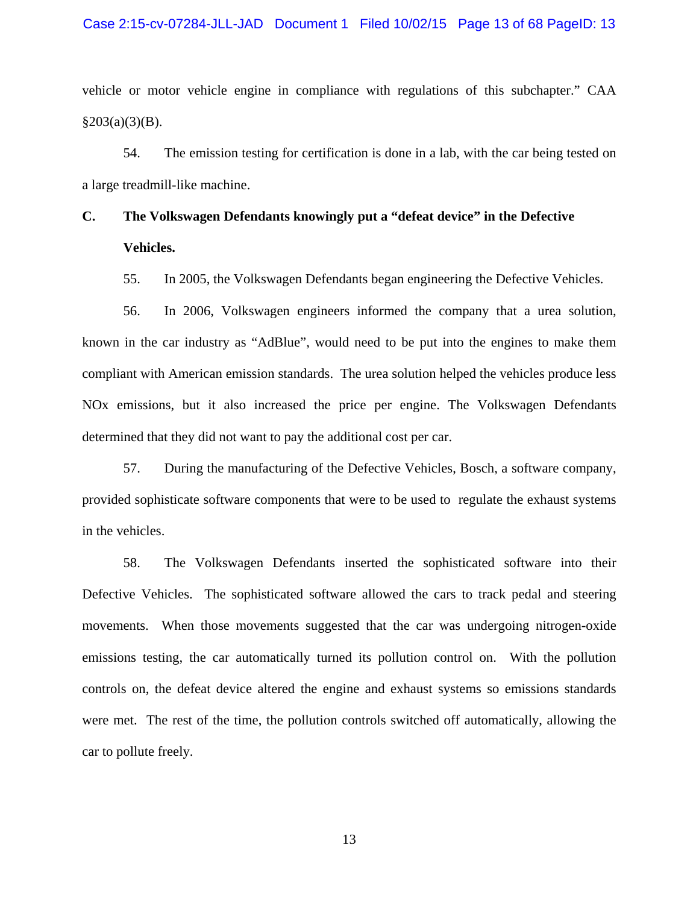#### Case 2:15-cv-07284-JLL-JAD Document 1 Filed 10/02/15 Page 13 of 68 PageID: 13

vehicle or motor vehicle engine in compliance with regulations of this subchapter." CAA  $§203(a)(3)(B).$ 

54. The emission testing for certification is done in a lab, with the car being tested on a large treadmill-like machine.

# **C. The Volkswagen Defendants knowingly put a "defeat device" in the Defective Vehicles.**

55. In 2005, the Volkswagen Defendants began engineering the Defective Vehicles.

56. In 2006, Volkswagen engineers informed the company that a urea solution, known in the car industry as "AdBlue", would need to be put into the engines to make them compliant with American emission standards. The urea solution helped the vehicles produce less NOx emissions, but it also increased the price per engine. The Volkswagen Defendants determined that they did not want to pay the additional cost per car.

57. During the manufacturing of the Defective Vehicles, Bosch, a software company, provided sophisticate software components that were to be used to regulate the exhaust systems in the vehicles.

58. The Volkswagen Defendants inserted the sophisticated software into their Defective Vehicles. The sophisticated software allowed the cars to track pedal and steering movements. When those movements suggested that the car was undergoing nitrogen-oxide emissions testing, the car automatically turned its pollution control on. With the pollution controls on, the defeat device altered the engine and exhaust systems so emissions standards were met. The rest of the time, the pollution controls switched off automatically, allowing the car to pollute freely.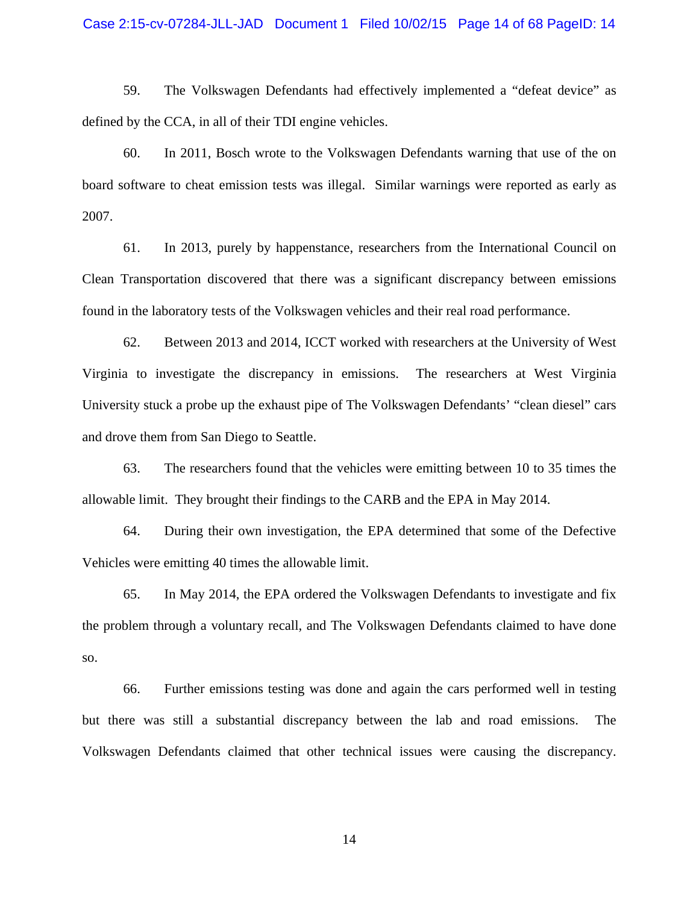#### Case 2:15-cv-07284-JLL-JAD Document 1 Filed 10/02/15 Page 14 of 68 PageID: 14

59. The Volkswagen Defendants had effectively implemented a "defeat device" as defined by the CCA, in all of their TDI engine vehicles.

60. In 2011, Bosch wrote to the Volkswagen Defendants warning that use of the on board software to cheat emission tests was illegal. Similar warnings were reported as early as 2007.

61. In 2013, purely by happenstance, researchers from the International Council on Clean Transportation discovered that there was a significant discrepancy between emissions found in the laboratory tests of the Volkswagen vehicles and their real road performance.

62. Between 2013 and 2014, ICCT worked with researchers at the University of West Virginia to investigate the discrepancy in emissions. The researchers at West Virginia University stuck a probe up the exhaust pipe of The Volkswagen Defendants' "clean diesel" cars and drove them from San Diego to Seattle.

63. The researchers found that the vehicles were emitting between 10 to 35 times the allowable limit. They brought their findings to the CARB and the EPA in May 2014.

64. During their own investigation, the EPA determined that some of the Defective Vehicles were emitting 40 times the allowable limit.

65. In May 2014, the EPA ordered the Volkswagen Defendants to investigate and fix the problem through a voluntary recall, and The Volkswagen Defendants claimed to have done so.

66. Further emissions testing was done and again the cars performed well in testing but there was still a substantial discrepancy between the lab and road emissions. The Volkswagen Defendants claimed that other technical issues were causing the discrepancy.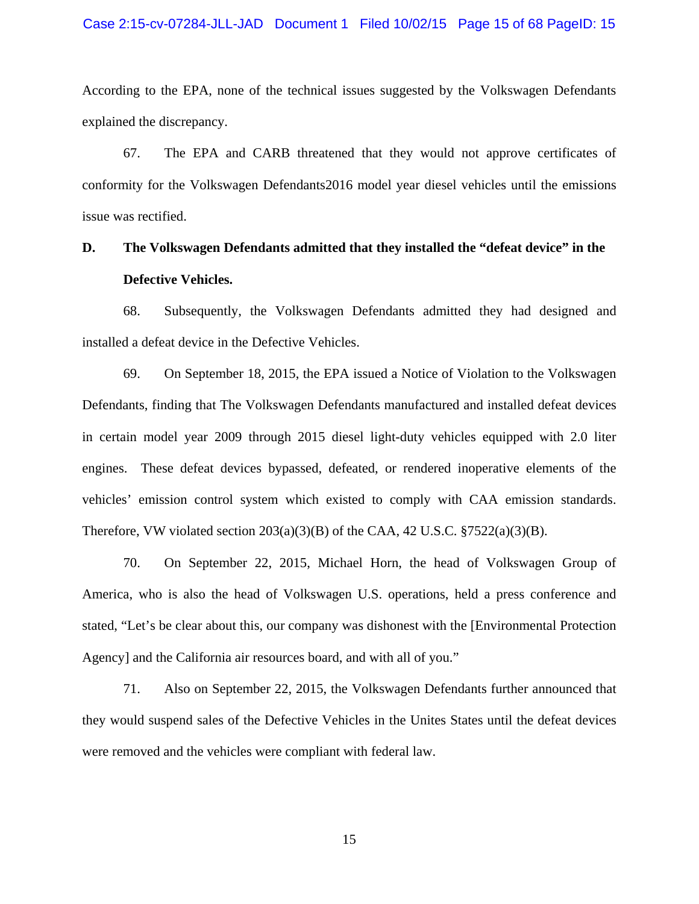#### Case 2:15-cv-07284-JLL-JAD Document 1 Filed 10/02/15 Page 15 of 68 PageID: 15

According to the EPA, none of the technical issues suggested by the Volkswagen Defendants explained the discrepancy.

67. The EPA and CARB threatened that they would not approve certificates of conformity for the Volkswagen Defendants2016 model year diesel vehicles until the emissions issue was rectified.

# **D. The Volkswagen Defendants admitted that they installed the "defeat device" in the Defective Vehicles.**

68. Subsequently, the Volkswagen Defendants admitted they had designed and installed a defeat device in the Defective Vehicles.

69. On September 18, 2015, the EPA issued a Notice of Violation to the Volkswagen Defendants, finding that The Volkswagen Defendants manufactured and installed defeat devices in certain model year 2009 through 2015 diesel light-duty vehicles equipped with 2.0 liter engines. These defeat devices bypassed, defeated, or rendered inoperative elements of the vehicles' emission control system which existed to comply with CAA emission standards. Therefore, VW violated section  $203(a)(3)(B)$  of the CAA, 42 U.S.C.  $\S 7522(a)(3)(B)$ .

70. On September 22, 2015, Michael Horn, the head of Volkswagen Group of America, who is also the head of Volkswagen U.S. operations, held a press conference and stated, "Let's be clear about this, our company was dishonest with the [Environmental Protection Agency] and the California air resources board, and with all of you."

71. Also on September 22, 2015, the Volkswagen Defendants further announced that they would suspend sales of the Defective Vehicles in the Unites States until the defeat devices were removed and the vehicles were compliant with federal law.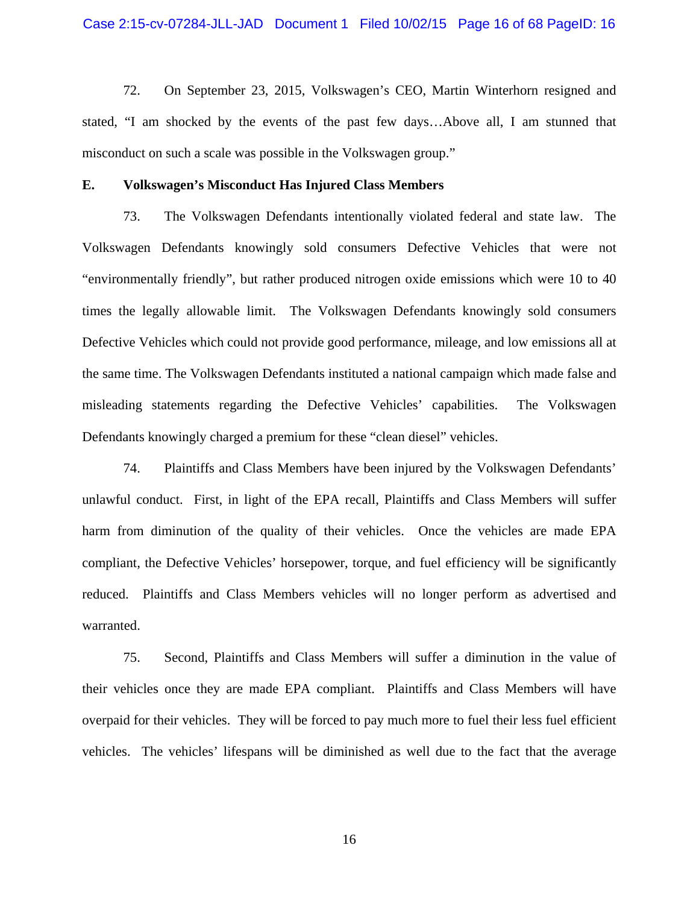72. On September 23, 2015, Volkswagen's CEO, Martin Winterhorn resigned and stated, "I am shocked by the events of the past few days…Above all, I am stunned that misconduct on such a scale was possible in the Volkswagen group."

#### **E. Volkswagen's Misconduct Has Injured Class Members**

73. The Volkswagen Defendants intentionally violated federal and state law. The Volkswagen Defendants knowingly sold consumers Defective Vehicles that were not "environmentally friendly", but rather produced nitrogen oxide emissions which were 10 to 40 times the legally allowable limit. The Volkswagen Defendants knowingly sold consumers Defective Vehicles which could not provide good performance, mileage, and low emissions all at the same time. The Volkswagen Defendants instituted a national campaign which made false and misleading statements regarding the Defective Vehicles' capabilities. The Volkswagen Defendants knowingly charged a premium for these "clean diesel" vehicles.

74. Plaintiffs and Class Members have been injured by the Volkswagen Defendants' unlawful conduct. First, in light of the EPA recall, Plaintiffs and Class Members will suffer harm from diminution of the quality of their vehicles. Once the vehicles are made EPA compliant, the Defective Vehicles' horsepower, torque, and fuel efficiency will be significantly reduced. Plaintiffs and Class Members vehicles will no longer perform as advertised and warranted.

75. Second, Plaintiffs and Class Members will suffer a diminution in the value of their vehicles once they are made EPA compliant. Plaintiffs and Class Members will have overpaid for their vehicles. They will be forced to pay much more to fuel their less fuel efficient vehicles. The vehicles' lifespans will be diminished as well due to the fact that the average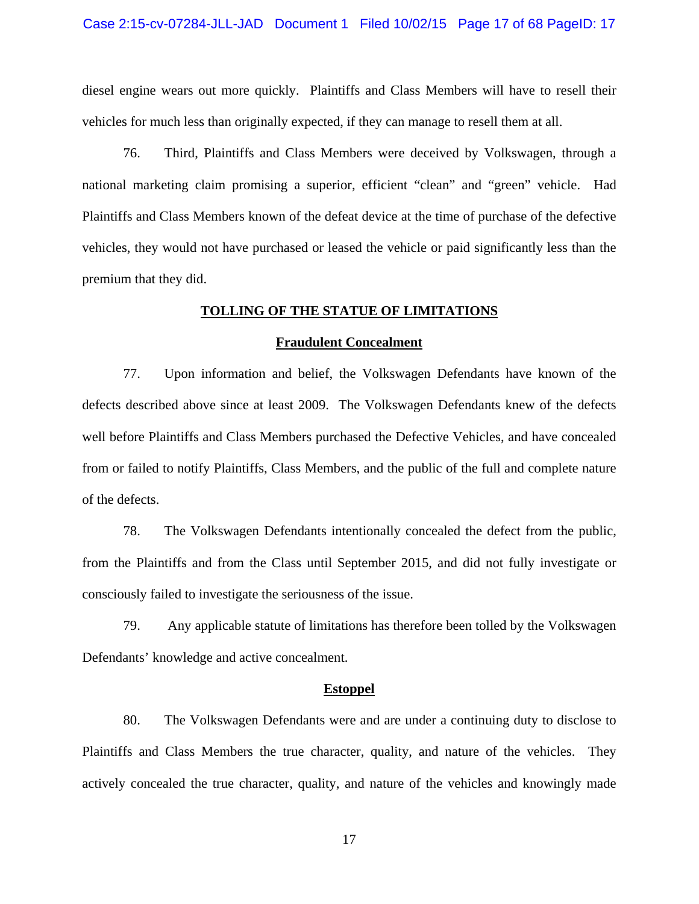#### Case 2:15-cv-07284-JLL-JAD Document 1 Filed 10/02/15 Page 17 of 68 PageID: 17

diesel engine wears out more quickly. Plaintiffs and Class Members will have to resell their vehicles for much less than originally expected, if they can manage to resell them at all.

76. Third, Plaintiffs and Class Members were deceived by Volkswagen, through a national marketing claim promising a superior, efficient "clean" and "green" vehicle. Had Plaintiffs and Class Members known of the defeat device at the time of purchase of the defective vehicles, they would not have purchased or leased the vehicle or paid significantly less than the premium that they did.

#### **TOLLING OF THE STATUE OF LIMITATIONS**

#### **Fraudulent Concealment**

77. Upon information and belief, the Volkswagen Defendants have known of the defects described above since at least 2009. The Volkswagen Defendants knew of the defects well before Plaintiffs and Class Members purchased the Defective Vehicles, and have concealed from or failed to notify Plaintiffs, Class Members, and the public of the full and complete nature of the defects.

78. The Volkswagen Defendants intentionally concealed the defect from the public, from the Plaintiffs and from the Class until September 2015, and did not fully investigate or consciously failed to investigate the seriousness of the issue.

79. Any applicable statute of limitations has therefore been tolled by the Volkswagen Defendants' knowledge and active concealment.

#### **Estoppel**

80. The Volkswagen Defendants were and are under a continuing duty to disclose to Plaintiffs and Class Members the true character, quality, and nature of the vehicles. They actively concealed the true character, quality, and nature of the vehicles and knowingly made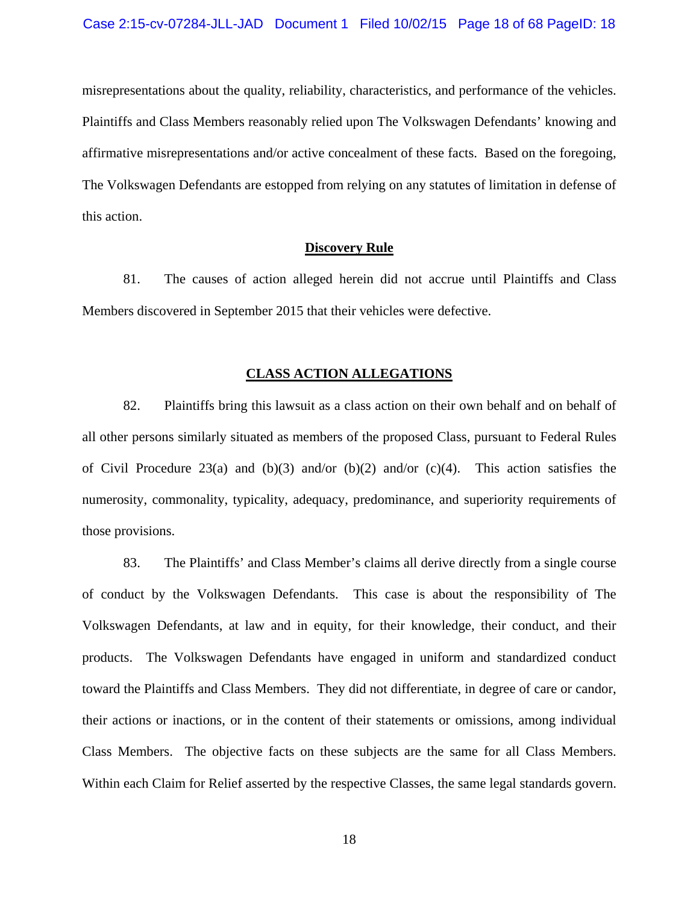misrepresentations about the quality, reliability, characteristics, and performance of the vehicles. Plaintiffs and Class Members reasonably relied upon The Volkswagen Defendants' knowing and affirmative misrepresentations and/or active concealment of these facts. Based on the foregoing, The Volkswagen Defendants are estopped from relying on any statutes of limitation in defense of this action.

#### **Discovery Rule**

81. The causes of action alleged herein did not accrue until Plaintiffs and Class Members discovered in September 2015 that their vehicles were defective.

#### **CLASS ACTION ALLEGATIONS**

82. Plaintiffs bring this lawsuit as a class action on their own behalf and on behalf of all other persons similarly situated as members of the proposed Class, pursuant to Federal Rules of Civil Procedure 23(a) and (b)(3) and/or (b)(2) and/or (c)(4). This action satisfies the numerosity, commonality, typicality, adequacy, predominance, and superiority requirements of those provisions.

83. The Plaintiffs' and Class Member's claims all derive directly from a single course of conduct by the Volkswagen Defendants. This case is about the responsibility of The Volkswagen Defendants, at law and in equity, for their knowledge, their conduct, and their products. The Volkswagen Defendants have engaged in uniform and standardized conduct toward the Plaintiffs and Class Members. They did not differentiate, in degree of care or candor, their actions or inactions, or in the content of their statements or omissions, among individual Class Members. The objective facts on these subjects are the same for all Class Members. Within each Claim for Relief asserted by the respective Classes, the same legal standards govern.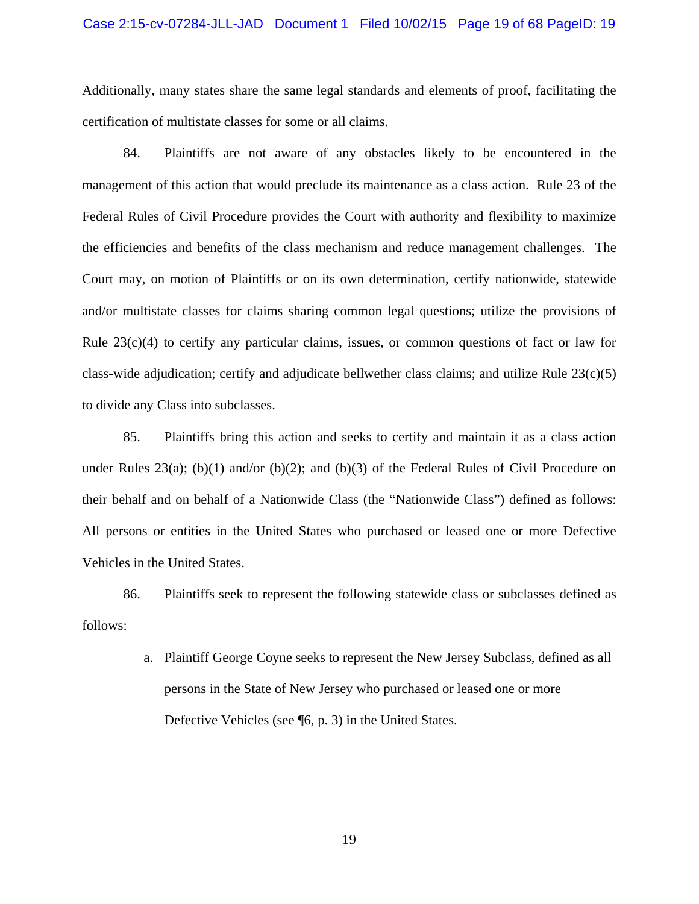#### Case 2:15-cv-07284-JLL-JAD Document 1 Filed 10/02/15 Page 19 of 68 PageID: 19

Additionally, many states share the same legal standards and elements of proof, facilitating the certification of multistate classes for some or all claims.

84. Plaintiffs are not aware of any obstacles likely to be encountered in the management of this action that would preclude its maintenance as a class action. Rule 23 of the Federal Rules of Civil Procedure provides the Court with authority and flexibility to maximize the efficiencies and benefits of the class mechanism and reduce management challenges. The Court may, on motion of Plaintiffs or on its own determination, certify nationwide, statewide and/or multistate classes for claims sharing common legal questions; utilize the provisions of Rule  $23(c)(4)$  to certify any particular claims, issues, or common questions of fact or law for class-wide adjudication; certify and adjudicate bellwether class claims; and utilize Rule  $23(c)(5)$ to divide any Class into subclasses.

85. Plaintiffs bring this action and seeks to certify and maintain it as a class action under Rules  $23(a)$ ; (b)(1) and/or (b)(2); and (b)(3) of the Federal Rules of Civil Procedure on their behalf and on behalf of a Nationwide Class (the "Nationwide Class") defined as follows: All persons or entities in the United States who purchased or leased one or more Defective Vehicles in the United States.

86. Plaintiffs seek to represent the following statewide class or subclasses defined as follows:

> a. Plaintiff George Coyne seeks to represent the New Jersey Subclass, defined as all persons in the State of New Jersey who purchased or leased one or more Defective Vehicles (see ¶6, p. 3) in the United States.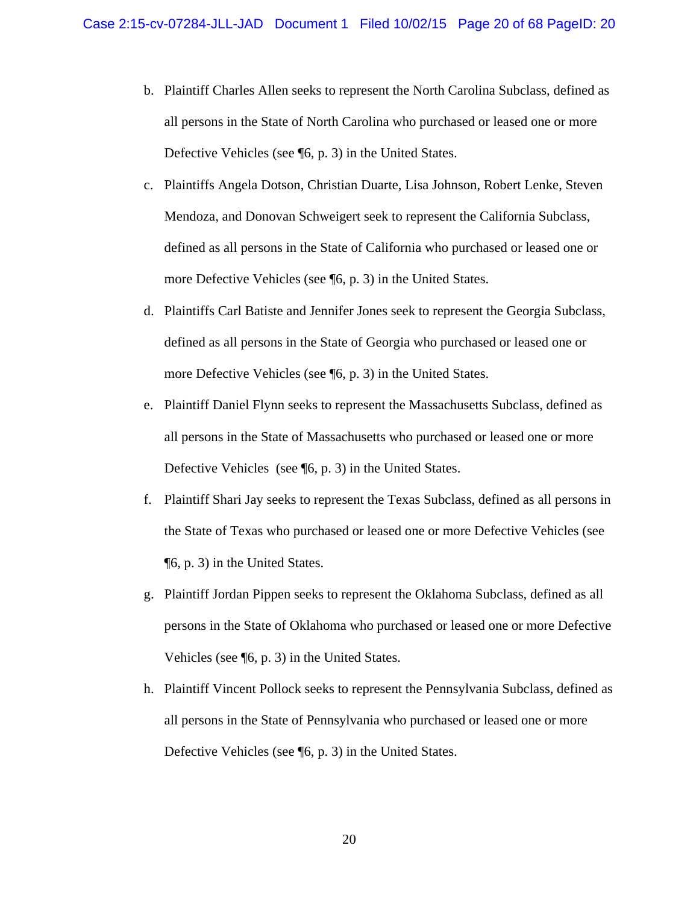- b. Plaintiff Charles Allen seeks to represent the North Carolina Subclass, defined as all persons in the State of North Carolina who purchased or leased one or more Defective Vehicles (see ¶6, p. 3) in the United States.
- c. Plaintiffs Angela Dotson, Christian Duarte, Lisa Johnson, Robert Lenke, Steven Mendoza, and Donovan Schweigert seek to represent the California Subclass, defined as all persons in the State of California who purchased or leased one or more Defective Vehicles (see ¶6, p. 3) in the United States.
- d. Plaintiffs Carl Batiste and Jennifer Jones seek to represent the Georgia Subclass, defined as all persons in the State of Georgia who purchased or leased one or more Defective Vehicles (see ¶6, p. 3) in the United States.
- e. Plaintiff Daniel Flynn seeks to represent the Massachusetts Subclass, defined as all persons in the State of Massachusetts who purchased or leased one or more Defective Vehicles (see ¶6, p. 3) in the United States.
- f. Plaintiff Shari Jay seeks to represent the Texas Subclass, defined as all persons in the State of Texas who purchased or leased one or more Defective Vehicles (see ¶6, p. 3) in the United States.
- g. Plaintiff Jordan Pippen seeks to represent the Oklahoma Subclass, defined as all persons in the State of Oklahoma who purchased or leased one or more Defective Vehicles (see ¶6, p. 3) in the United States.
- h. Plaintiff Vincent Pollock seeks to represent the Pennsylvania Subclass, defined as all persons in the State of Pennsylvania who purchased or leased one or more Defective Vehicles (see ¶6, p. 3) in the United States.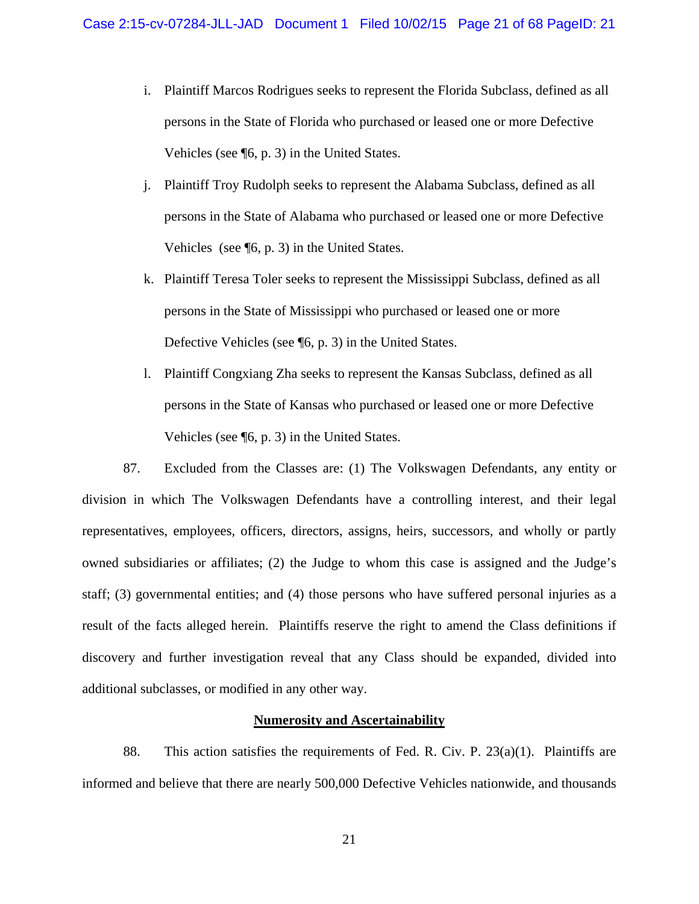- i. Plaintiff Marcos Rodrigues seeks to represent the Florida Subclass, defined as all persons in the State of Florida who purchased or leased one or more Defective Vehicles (see ¶6, p. 3) in the United States.
- j. Plaintiff Troy Rudolph seeks to represent the Alabama Subclass, defined as all persons in the State of Alabama who purchased or leased one or more Defective Vehicles (see ¶6, p. 3) in the United States.
- k. Plaintiff Teresa Toler seeks to represent the Mississippi Subclass, defined as all persons in the State of Mississippi who purchased or leased one or more Defective Vehicles (see ¶6, p. 3) in the United States.
- l. Plaintiff Congxiang Zha seeks to represent the Kansas Subclass, defined as all persons in the State of Kansas who purchased or leased one or more Defective Vehicles (see ¶6, p. 3) in the United States.

87. Excluded from the Classes are: (1) The Volkswagen Defendants, any entity or division in which The Volkswagen Defendants have a controlling interest, and their legal representatives, employees, officers, directors, assigns, heirs, successors, and wholly or partly owned subsidiaries or affiliates; (2) the Judge to whom this case is assigned and the Judge's staff; (3) governmental entities; and (4) those persons who have suffered personal injuries as a result of the facts alleged herein. Plaintiffs reserve the right to amend the Class definitions if discovery and further investigation reveal that any Class should be expanded, divided into additional subclasses, or modified in any other way.

#### **Numerosity and Ascertainability**

88. This action satisfies the requirements of Fed. R. Civ. P. 23(a)(1). Plaintiffs are informed and believe that there are nearly 500,000 Defective Vehicles nationwide, and thousands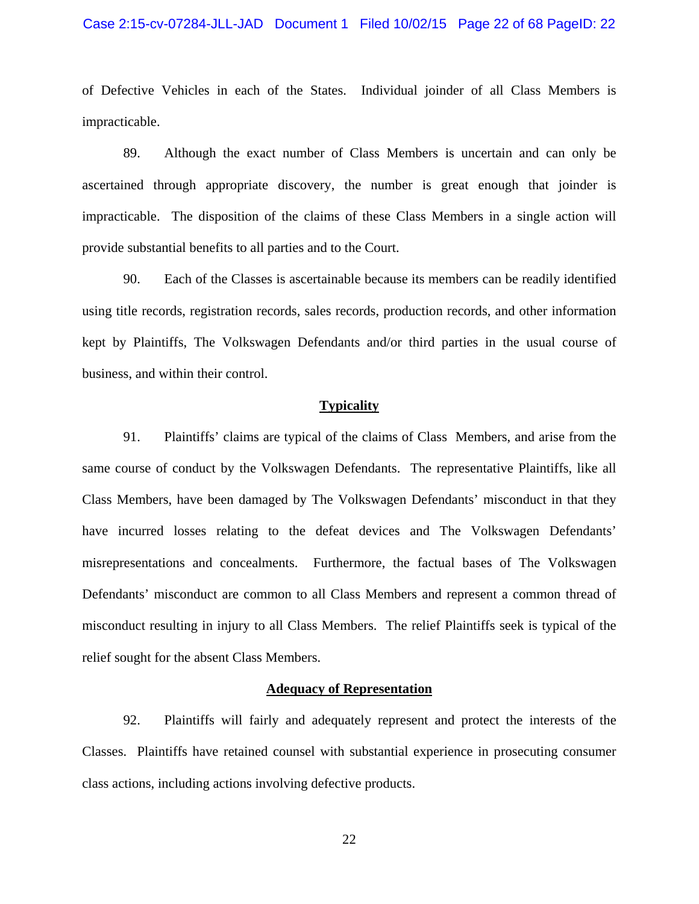#### Case 2:15-cv-07284-JLL-JAD Document 1 Filed 10/02/15 Page 22 of 68 PageID: 22

of Defective Vehicles in each of the States. Individual joinder of all Class Members is impracticable.

89. Although the exact number of Class Members is uncertain and can only be ascertained through appropriate discovery, the number is great enough that joinder is impracticable. The disposition of the claims of these Class Members in a single action will provide substantial benefits to all parties and to the Court.

90. Each of the Classes is ascertainable because its members can be readily identified using title records, registration records, sales records, production records, and other information kept by Plaintiffs, The Volkswagen Defendants and/or third parties in the usual course of business, and within their control.

#### **Typicality**

91. Plaintiffs' claims are typical of the claims of Class Members, and arise from the same course of conduct by the Volkswagen Defendants. The representative Plaintiffs, like all Class Members, have been damaged by The Volkswagen Defendants' misconduct in that they have incurred losses relating to the defeat devices and The Volkswagen Defendants' misrepresentations and concealments. Furthermore, the factual bases of The Volkswagen Defendants' misconduct are common to all Class Members and represent a common thread of misconduct resulting in injury to all Class Members. The relief Plaintiffs seek is typical of the relief sought for the absent Class Members.

#### **Adequacy of Representation**

92. Plaintiffs will fairly and adequately represent and protect the interests of the Classes. Plaintiffs have retained counsel with substantial experience in prosecuting consumer class actions, including actions involving defective products.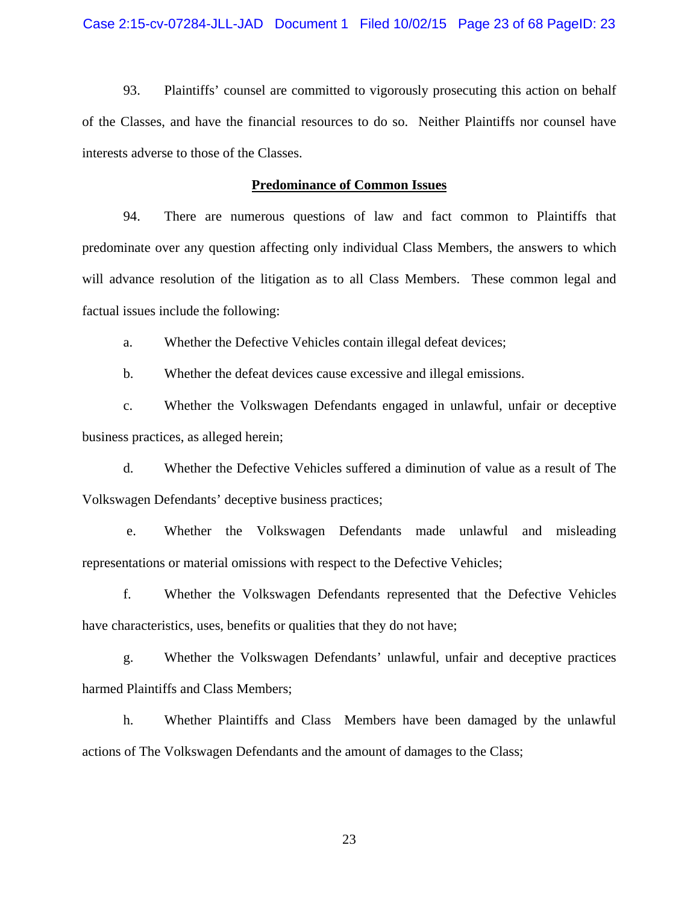93. Plaintiffs' counsel are committed to vigorously prosecuting this action on behalf of the Classes, and have the financial resources to do so. Neither Plaintiffs nor counsel have interests adverse to those of the Classes.

#### **Predominance of Common Issues**

94. There are numerous questions of law and fact common to Plaintiffs that predominate over any question affecting only individual Class Members, the answers to which will advance resolution of the litigation as to all Class Members. These common legal and factual issues include the following:

a. Whether the Defective Vehicles contain illegal defeat devices;

b. Whether the defeat devices cause excessive and illegal emissions.

 c. Whether the Volkswagen Defendants engaged in unlawful, unfair or deceptive business practices, as alleged herein;

 d. Whether the Defective Vehicles suffered a diminution of value as a result of The Volkswagen Defendants' deceptive business practices;

 e. Whether the Volkswagen Defendants made unlawful and misleading representations or material omissions with respect to the Defective Vehicles;

 f. Whether the Volkswagen Defendants represented that the Defective Vehicles have characteristics, uses, benefits or qualities that they do not have;

 g. Whether the Volkswagen Defendants' unlawful, unfair and deceptive practices harmed Plaintiffs and Class Members;

 h. Whether Plaintiffs and Class Members have been damaged by the unlawful actions of The Volkswagen Defendants and the amount of damages to the Class;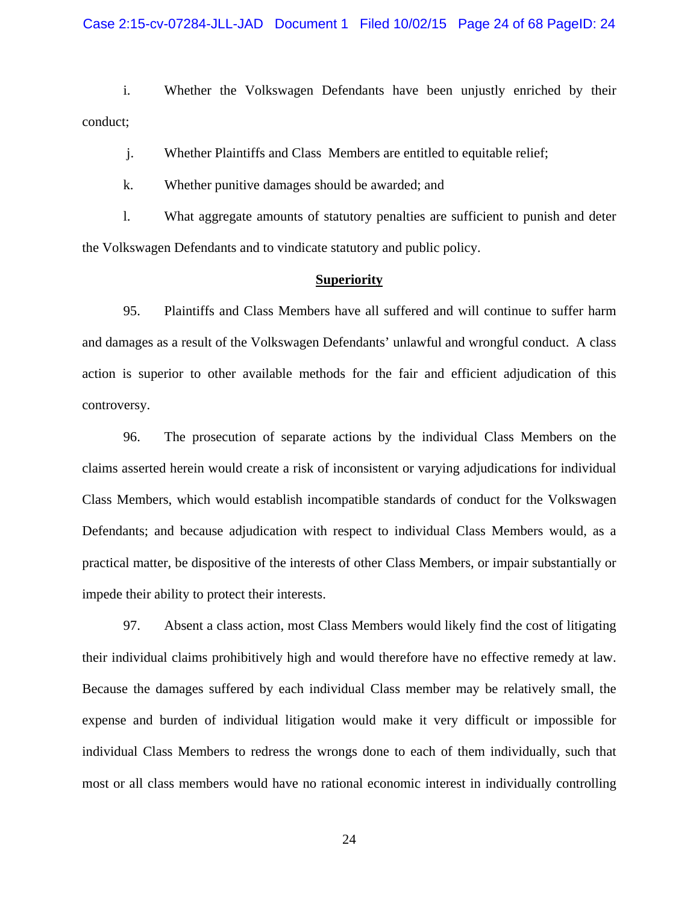i. Whether the Volkswagen Defendants have been unjustly enriched by their conduct;

j. Whether Plaintiffs and Class Members are entitled to equitable relief;

k. Whether punitive damages should be awarded; and

 l. What aggregate amounts of statutory penalties are sufficient to punish and deter the Volkswagen Defendants and to vindicate statutory and public policy.

#### **Superiority**

95. Plaintiffs and Class Members have all suffered and will continue to suffer harm and damages as a result of the Volkswagen Defendants' unlawful and wrongful conduct. A class action is superior to other available methods for the fair and efficient adjudication of this controversy.

96. The prosecution of separate actions by the individual Class Members on the claims asserted herein would create a risk of inconsistent or varying adjudications for individual Class Members, which would establish incompatible standards of conduct for the Volkswagen Defendants; and because adjudication with respect to individual Class Members would, as a practical matter, be dispositive of the interests of other Class Members, or impair substantially or impede their ability to protect their interests.

97. Absent a class action, most Class Members would likely find the cost of litigating their individual claims prohibitively high and would therefore have no effective remedy at law. Because the damages suffered by each individual Class member may be relatively small, the expense and burden of individual litigation would make it very difficult or impossible for individual Class Members to redress the wrongs done to each of them individually, such that most or all class members would have no rational economic interest in individually controlling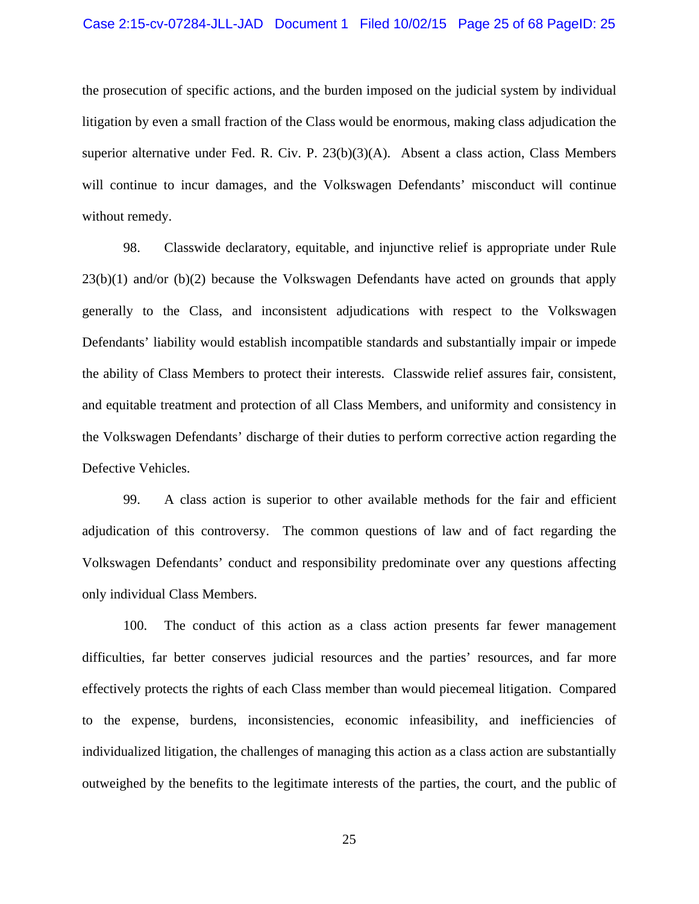the prosecution of specific actions, and the burden imposed on the judicial system by individual litigation by even a small fraction of the Class would be enormous, making class adjudication the superior alternative under Fed. R. Civ. P. 23(b)(3)(A). Absent a class action, Class Members will continue to incur damages, and the Volkswagen Defendants' misconduct will continue without remedy.

98. Classwide declaratory, equitable, and injunctive relief is appropriate under Rule 23(b)(1) and/or (b)(2) because the Volkswagen Defendants have acted on grounds that apply generally to the Class, and inconsistent adjudications with respect to the Volkswagen Defendants' liability would establish incompatible standards and substantially impair or impede the ability of Class Members to protect their interests. Classwide relief assures fair, consistent, and equitable treatment and protection of all Class Members, and uniformity and consistency in the Volkswagen Defendants' discharge of their duties to perform corrective action regarding the Defective Vehicles.

99. A class action is superior to other available methods for the fair and efficient adjudication of this controversy. The common questions of law and of fact regarding the Volkswagen Defendants' conduct and responsibility predominate over any questions affecting only individual Class Members.

100. The conduct of this action as a class action presents far fewer management difficulties, far better conserves judicial resources and the parties' resources, and far more effectively protects the rights of each Class member than would piecemeal litigation. Compared to the expense, burdens, inconsistencies, economic infeasibility, and inefficiencies of individualized litigation, the challenges of managing this action as a class action are substantially outweighed by the benefits to the legitimate interests of the parties, the court, and the public of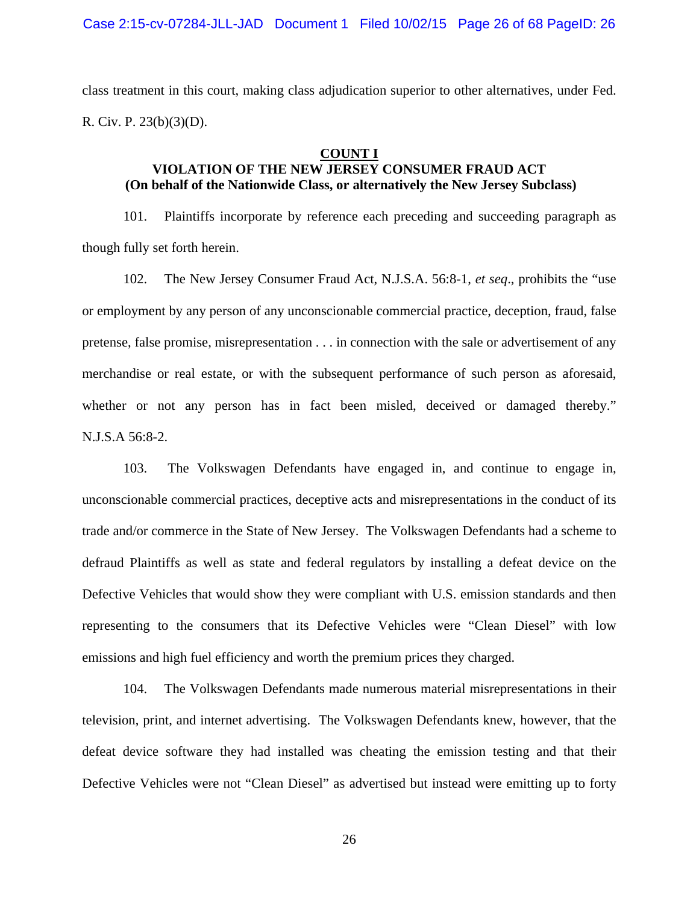Case 2:15-cv-07284-JLL-JAD Document 1 Filed 10/02/15 Page 26 of 68 PageID: 26

class treatment in this court, making class adjudication superior to other alternatives, under Fed. R. Civ. P. 23(b)(3)(D).

## **COUNT I**

# **VIOLATION OF THE NEW JERSEY CONSUMER FRAUD ACT (On behalf of the Nationwide Class, or alternatively the New Jersey Subclass)**

101. Plaintiffs incorporate by reference each preceding and succeeding paragraph as though fully set forth herein.

102. The New Jersey Consumer Fraud Act, N.J.S.A. 56:8-1, *et seq*., prohibits the "use or employment by any person of any unconscionable commercial practice, deception, fraud, false pretense, false promise, misrepresentation . . . in connection with the sale or advertisement of any merchandise or real estate, or with the subsequent performance of such person as aforesaid, whether or not any person has in fact been misled, deceived or damaged thereby." N.J.S.A 56:8-2.

103. The Volkswagen Defendants have engaged in, and continue to engage in, unconscionable commercial practices, deceptive acts and misrepresentations in the conduct of its trade and/or commerce in the State of New Jersey. The Volkswagen Defendants had a scheme to defraud Plaintiffs as well as state and federal regulators by installing a defeat device on the Defective Vehicles that would show they were compliant with U.S. emission standards and then representing to the consumers that its Defective Vehicles were "Clean Diesel" with low emissions and high fuel efficiency and worth the premium prices they charged.

104. The Volkswagen Defendants made numerous material misrepresentations in their television, print, and internet advertising. The Volkswagen Defendants knew, however, that the defeat device software they had installed was cheating the emission testing and that their Defective Vehicles were not "Clean Diesel" as advertised but instead were emitting up to forty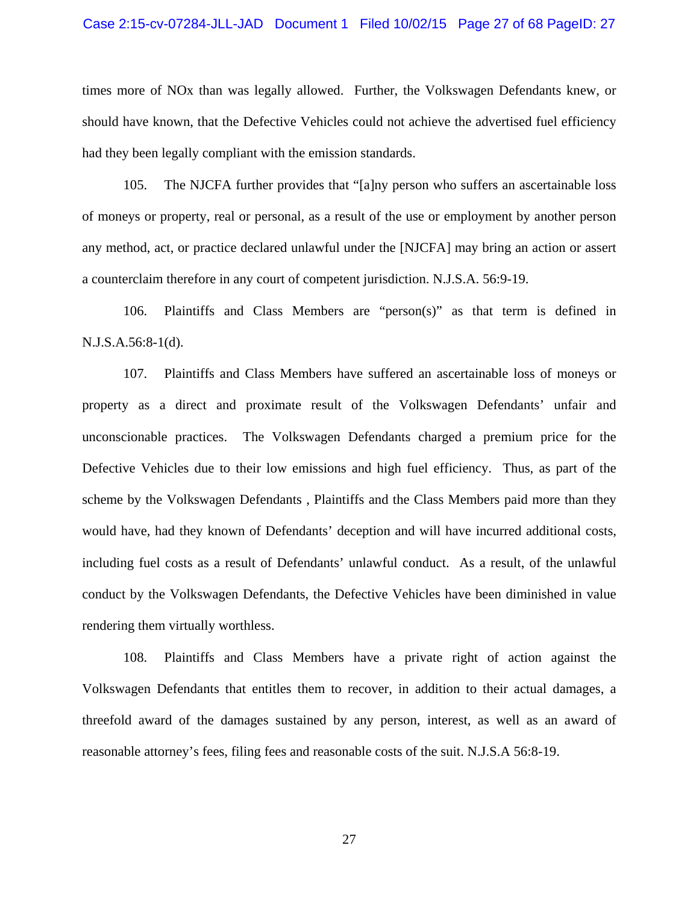#### Case 2:15-cv-07284-JLL-JAD Document 1 Filed 10/02/15 Page 27 of 68 PageID: 27

times more of NOx than was legally allowed. Further, the Volkswagen Defendants knew, or should have known, that the Defective Vehicles could not achieve the advertised fuel efficiency had they been legally compliant with the emission standards.

105. The NJCFA further provides that "[a]ny person who suffers an ascertainable loss of moneys or property, real or personal, as a result of the use or employment by another person any method, act, or practice declared unlawful under the [NJCFA] may bring an action or assert a counterclaim therefore in any court of competent jurisdiction. N.J.S.A. 56:9-19.

106. Plaintiffs and Class Members are "person(s)" as that term is defined in N.J.S.A.56:8-1(d).

107. Plaintiffs and Class Members have suffered an ascertainable loss of moneys or property as a direct and proximate result of the Volkswagen Defendants' unfair and unconscionable practices. The Volkswagen Defendants charged a premium price for the Defective Vehicles due to their low emissions and high fuel efficiency. Thus, as part of the scheme by the Volkswagen Defendants , Plaintiffs and the Class Members paid more than they would have, had they known of Defendants' deception and will have incurred additional costs, including fuel costs as a result of Defendants' unlawful conduct. As a result, of the unlawful conduct by the Volkswagen Defendants, the Defective Vehicles have been diminished in value rendering them virtually worthless.

108. Plaintiffs and Class Members have a private right of action against the Volkswagen Defendants that entitles them to recover, in addition to their actual damages, a threefold award of the damages sustained by any person, interest, as well as an award of reasonable attorney's fees, filing fees and reasonable costs of the suit. N.J.S.A 56:8-19.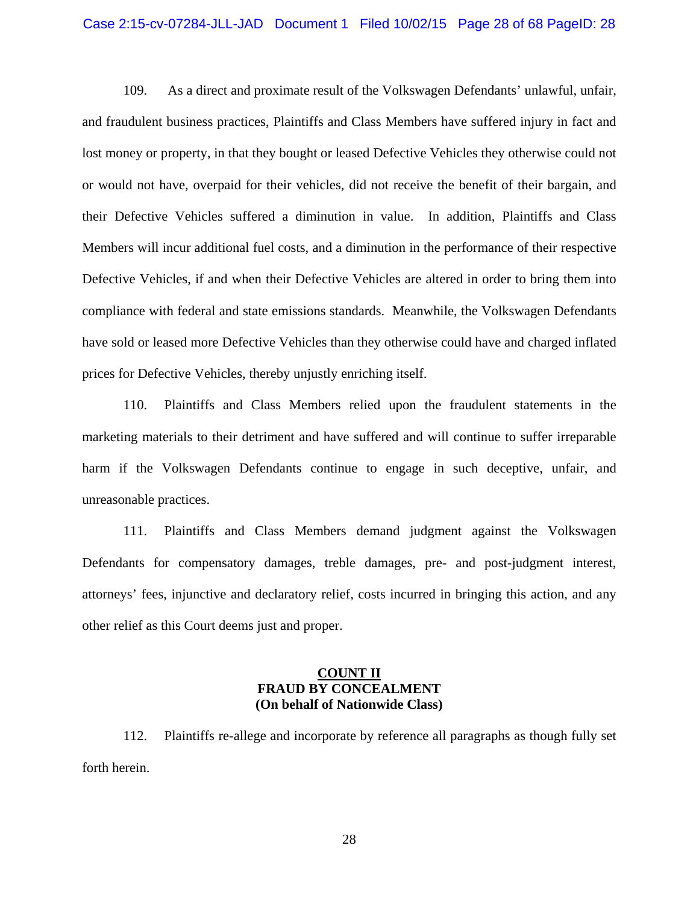#### Case 2:15-cv-07284-JLL-JAD Document 1 Filed 10/02/15 Page 28 of 68 PageID: 28

109. As a direct and proximate result of the Volkswagen Defendants' unlawful, unfair, and fraudulent business practices, Plaintiffs and Class Members have suffered injury in fact and lost money or property, in that they bought or leased Defective Vehicles they otherwise could not or would not have, overpaid for their vehicles, did not receive the benefit of their bargain, and their Defective Vehicles suffered a diminution in value. In addition, Plaintiffs and Class Members will incur additional fuel costs, and a diminution in the performance of their respective Defective Vehicles, if and when their Defective Vehicles are altered in order to bring them into compliance with federal and state emissions standards. Meanwhile, the Volkswagen Defendants have sold or leased more Defective Vehicles than they otherwise could have and charged inflated prices for Defective Vehicles, thereby unjustly enriching itself.

110. Plaintiffs and Class Members relied upon the fraudulent statements in the marketing materials to their detriment and have suffered and will continue to suffer irreparable harm if the Volkswagen Defendants continue to engage in such deceptive, unfair, and unreasonable practices.

111. Plaintiffs and Class Members demand judgment against the Volkswagen Defendants for compensatory damages, treble damages, pre- and post-judgment interest, attorneys' fees, injunctive and declaratory relief, costs incurred in bringing this action, and any other relief as this Court deems just and proper.

# **COUNT II FRAUD BY CONCEALMENT (On behalf of Nationwide Class)**

112. Plaintiffs re-allege and incorporate by reference all paragraphs as though fully set forth herein.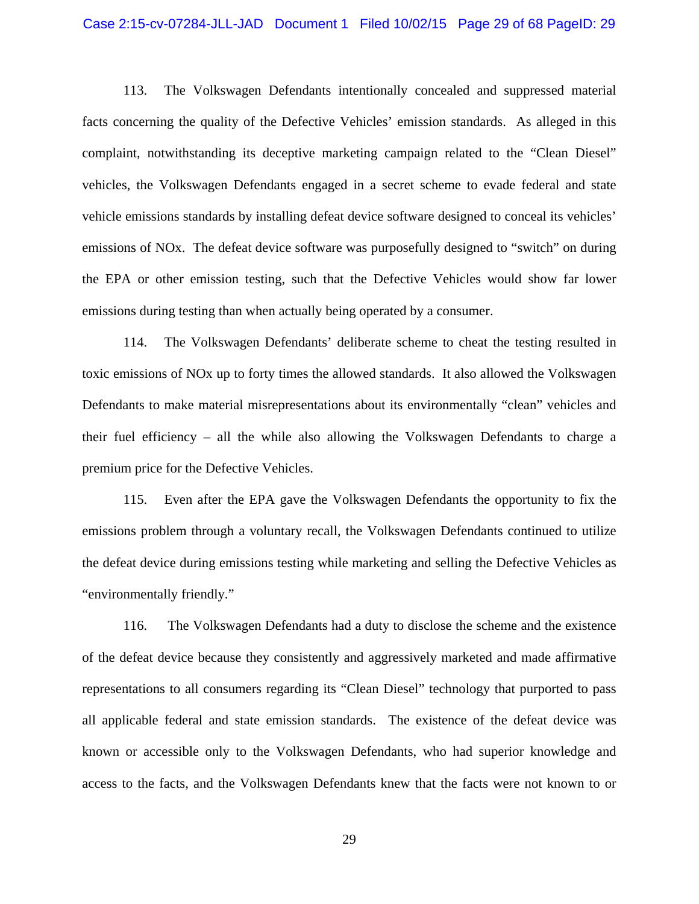#### Case 2:15-cv-07284-JLL-JAD Document 1 Filed 10/02/15 Page 29 of 68 PageID: 29

113. The Volkswagen Defendants intentionally concealed and suppressed material facts concerning the quality of the Defective Vehicles' emission standards. As alleged in this complaint, notwithstanding its deceptive marketing campaign related to the "Clean Diesel" vehicles, the Volkswagen Defendants engaged in a secret scheme to evade federal and state vehicle emissions standards by installing defeat device software designed to conceal its vehicles' emissions of NOx. The defeat device software was purposefully designed to "switch" on during the EPA or other emission testing, such that the Defective Vehicles would show far lower emissions during testing than when actually being operated by a consumer.

114. The Volkswagen Defendants' deliberate scheme to cheat the testing resulted in toxic emissions of NOx up to forty times the allowed standards. It also allowed the Volkswagen Defendants to make material misrepresentations about its environmentally "clean" vehicles and their fuel efficiency – all the while also allowing the Volkswagen Defendants to charge a premium price for the Defective Vehicles.

115. Even after the EPA gave the Volkswagen Defendants the opportunity to fix the emissions problem through a voluntary recall, the Volkswagen Defendants continued to utilize the defeat device during emissions testing while marketing and selling the Defective Vehicles as "environmentally friendly."

116. The Volkswagen Defendants had a duty to disclose the scheme and the existence of the defeat device because they consistently and aggressively marketed and made affirmative representations to all consumers regarding its "Clean Diesel" technology that purported to pass all applicable federal and state emission standards. The existence of the defeat device was known or accessible only to the Volkswagen Defendants, who had superior knowledge and access to the facts, and the Volkswagen Defendants knew that the facts were not known to or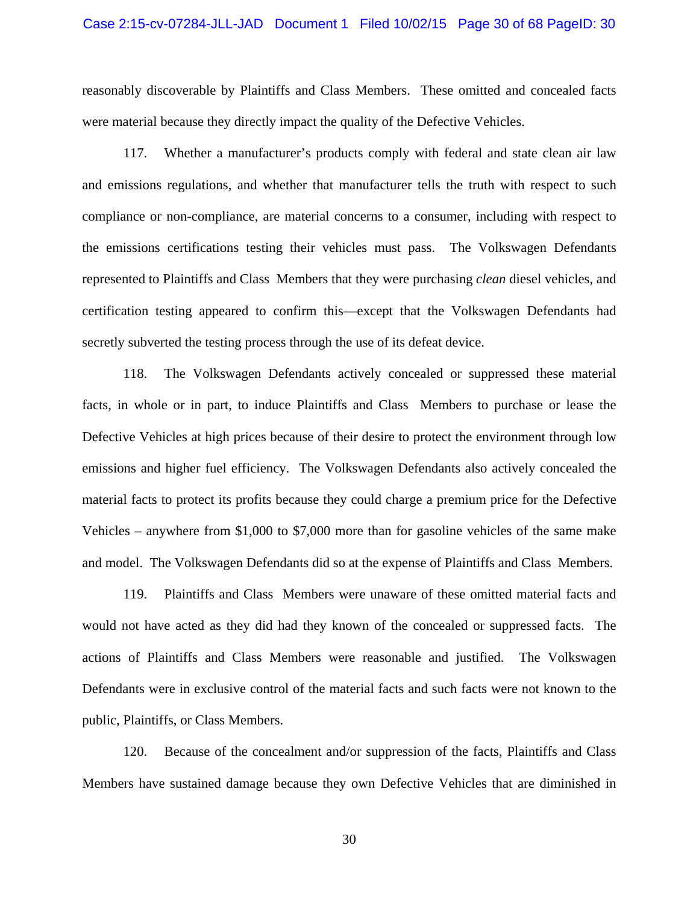#### Case 2:15-cv-07284-JLL-JAD Document 1 Filed 10/02/15 Page 30 of 68 PageID: 30

reasonably discoverable by Plaintiffs and Class Members. These omitted and concealed facts were material because they directly impact the quality of the Defective Vehicles.

117. Whether a manufacturer's products comply with federal and state clean air law and emissions regulations, and whether that manufacturer tells the truth with respect to such compliance or non-compliance, are material concerns to a consumer, including with respect to the emissions certifications testing their vehicles must pass. The Volkswagen Defendants represented to Plaintiffs and Class Members that they were purchasing *clean* diesel vehicles, and certification testing appeared to confirm this—except that the Volkswagen Defendants had secretly subverted the testing process through the use of its defeat device.

118. The Volkswagen Defendants actively concealed or suppressed these material facts, in whole or in part, to induce Plaintiffs and Class Members to purchase or lease the Defective Vehicles at high prices because of their desire to protect the environment through low emissions and higher fuel efficiency. The Volkswagen Defendants also actively concealed the material facts to protect its profits because they could charge a premium price for the Defective Vehicles – anywhere from \$1,000 to \$7,000 more than for gasoline vehicles of the same make and model. The Volkswagen Defendants did so at the expense of Plaintiffs and Class Members.

119. Plaintiffs and Class Members were unaware of these omitted material facts and would not have acted as they did had they known of the concealed or suppressed facts. The actions of Plaintiffs and Class Members were reasonable and justified. The Volkswagen Defendants were in exclusive control of the material facts and such facts were not known to the public, Plaintiffs, or Class Members.

120. Because of the concealment and/or suppression of the facts, Plaintiffs and Class Members have sustained damage because they own Defective Vehicles that are diminished in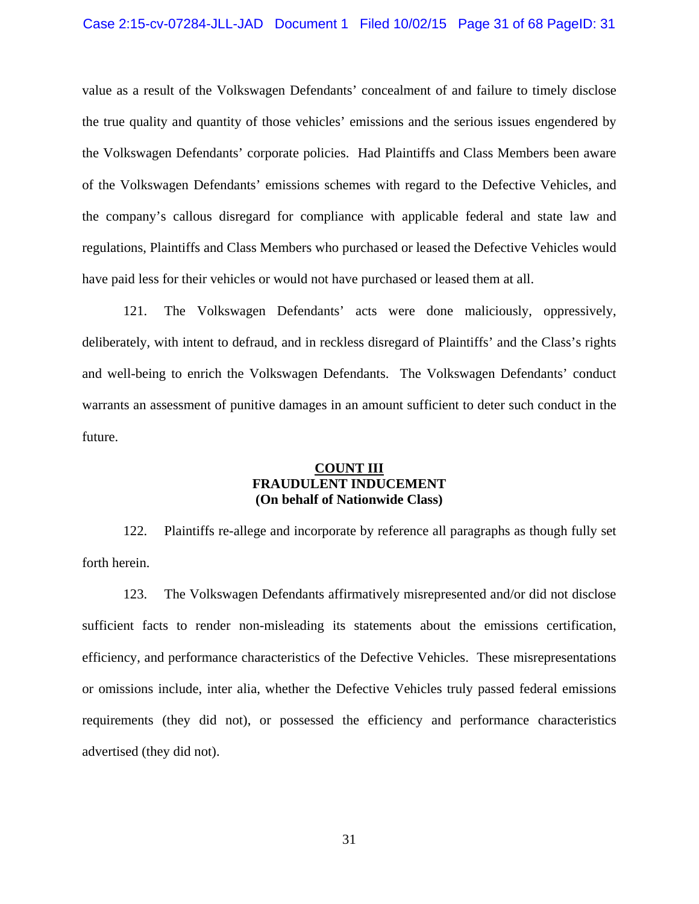#### Case 2:15-cv-07284-JLL-JAD Document 1 Filed 10/02/15 Page 31 of 68 PageID: 31

value as a result of the Volkswagen Defendants' concealment of and failure to timely disclose the true quality and quantity of those vehicles' emissions and the serious issues engendered by the Volkswagen Defendants' corporate policies. Had Plaintiffs and Class Members been aware of the Volkswagen Defendants' emissions schemes with regard to the Defective Vehicles, and the company's callous disregard for compliance with applicable federal and state law and regulations, Plaintiffs and Class Members who purchased or leased the Defective Vehicles would have paid less for their vehicles or would not have purchased or leased them at all.

121. The Volkswagen Defendants' acts were done maliciously, oppressively, deliberately, with intent to defraud, and in reckless disregard of Plaintiffs' and the Class's rights and well-being to enrich the Volkswagen Defendants. The Volkswagen Defendants' conduct warrants an assessment of punitive damages in an amount sufficient to deter such conduct in the future.

# **COUNT III FRAUDULENT INDUCEMENT (On behalf of Nationwide Class)**

122. Plaintiffs re-allege and incorporate by reference all paragraphs as though fully set forth herein.

123. The Volkswagen Defendants affirmatively misrepresented and/or did not disclose sufficient facts to render non-misleading its statements about the emissions certification, efficiency, and performance characteristics of the Defective Vehicles. These misrepresentations or omissions include, inter alia, whether the Defective Vehicles truly passed federal emissions requirements (they did not), or possessed the efficiency and performance characteristics advertised (they did not).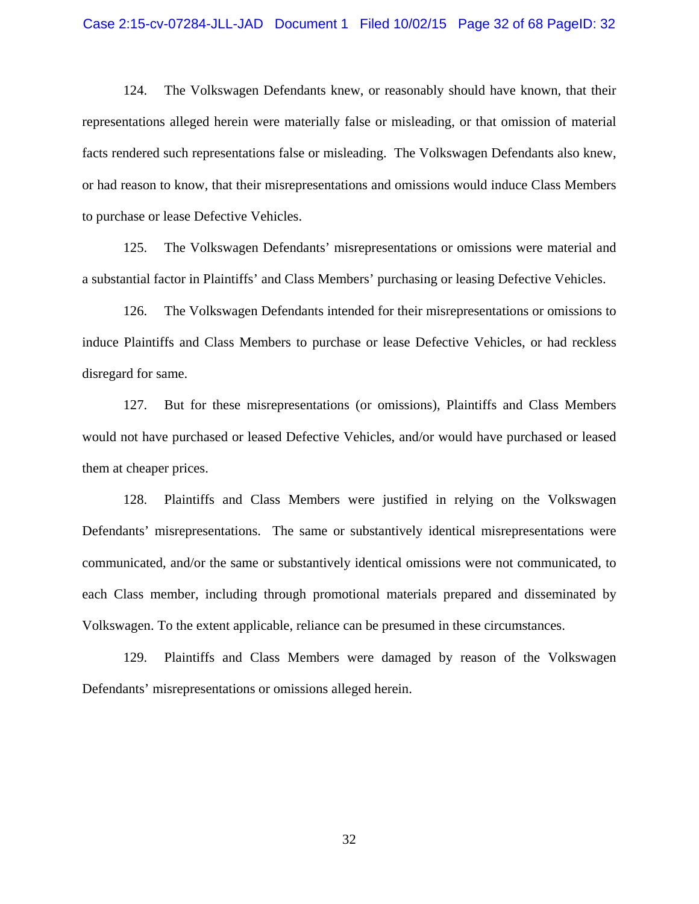#### Case 2:15-cv-07284-JLL-JAD Document 1 Filed 10/02/15 Page 32 of 68 PageID: 32

124. The Volkswagen Defendants knew, or reasonably should have known, that their representations alleged herein were materially false or misleading, or that omission of material facts rendered such representations false or misleading. The Volkswagen Defendants also knew, or had reason to know, that their misrepresentations and omissions would induce Class Members to purchase or lease Defective Vehicles.

125. The Volkswagen Defendants' misrepresentations or omissions were material and a substantial factor in Plaintiffs' and Class Members' purchasing or leasing Defective Vehicles.

126. The Volkswagen Defendants intended for their misrepresentations or omissions to induce Plaintiffs and Class Members to purchase or lease Defective Vehicles, or had reckless disregard for same.

127. But for these misrepresentations (or omissions), Plaintiffs and Class Members would not have purchased or leased Defective Vehicles, and/or would have purchased or leased them at cheaper prices.

128. Plaintiffs and Class Members were justified in relying on the Volkswagen Defendants' misrepresentations. The same or substantively identical misrepresentations were communicated, and/or the same or substantively identical omissions were not communicated, to each Class member, including through promotional materials prepared and disseminated by Volkswagen. To the extent applicable, reliance can be presumed in these circumstances.

129. Plaintiffs and Class Members were damaged by reason of the Volkswagen Defendants' misrepresentations or omissions alleged herein.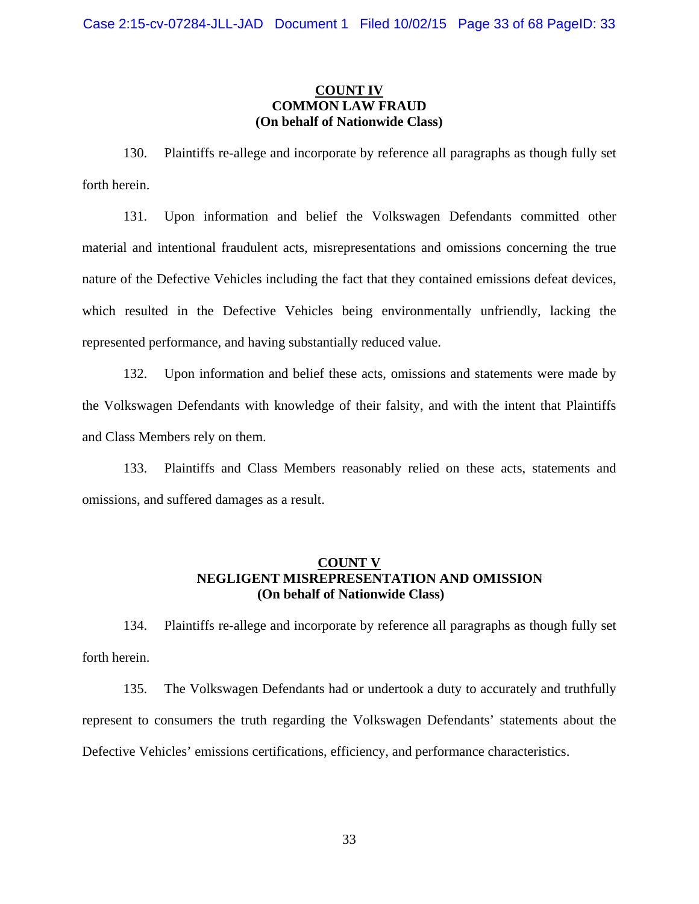# **COUNT IV COMMON LAW FRAUD (On behalf of Nationwide Class)**

130. Plaintiffs re-allege and incorporate by reference all paragraphs as though fully set forth herein.

131. Upon information and belief the Volkswagen Defendants committed other material and intentional fraudulent acts, misrepresentations and omissions concerning the true nature of the Defective Vehicles including the fact that they contained emissions defeat devices, which resulted in the Defective Vehicles being environmentally unfriendly, lacking the represented performance, and having substantially reduced value.

132. Upon information and belief these acts, omissions and statements were made by the Volkswagen Defendants with knowledge of their falsity, and with the intent that Plaintiffs and Class Members rely on them.

133. Plaintiffs and Class Members reasonably relied on these acts, statements and omissions, and suffered damages as a result.

# **COUNT V NEGLIGENT MISREPRESENTATION AND OMISSION (On behalf of Nationwide Class)**

134. Plaintiffs re-allege and incorporate by reference all paragraphs as though fully set forth herein.

135. The Volkswagen Defendants had or undertook a duty to accurately and truthfully represent to consumers the truth regarding the Volkswagen Defendants' statements about the Defective Vehicles' emissions certifications, efficiency, and performance characteristics.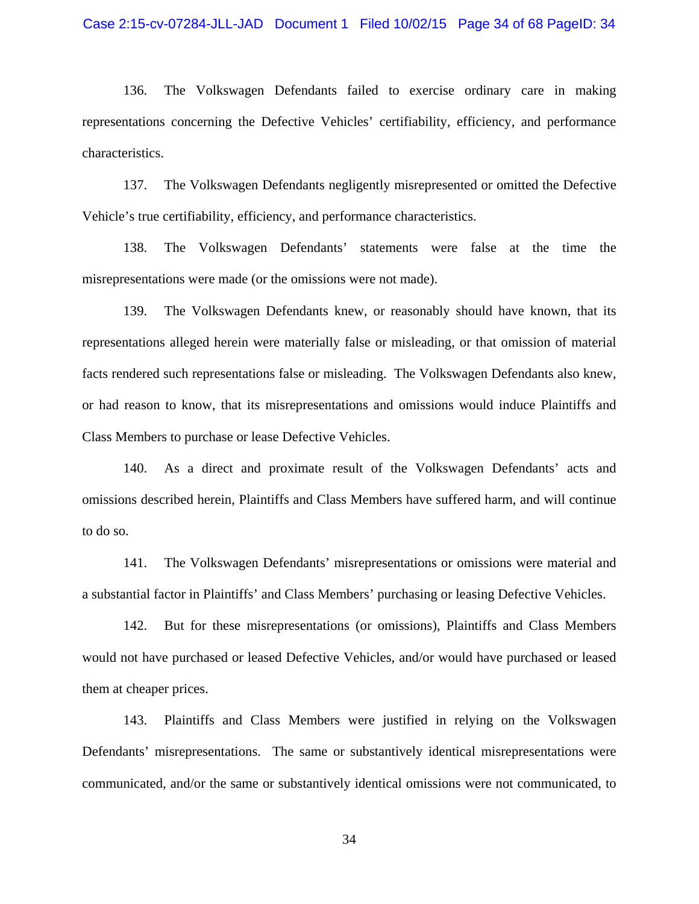136. The Volkswagen Defendants failed to exercise ordinary care in making representations concerning the Defective Vehicles' certifiability, efficiency, and performance characteristics.

137. The Volkswagen Defendants negligently misrepresented or omitted the Defective Vehicle's true certifiability, efficiency, and performance characteristics.

138. The Volkswagen Defendants' statements were false at the time the misrepresentations were made (or the omissions were not made).

139. The Volkswagen Defendants knew, or reasonably should have known, that its representations alleged herein were materially false or misleading, or that omission of material facts rendered such representations false or misleading. The Volkswagen Defendants also knew, or had reason to know, that its misrepresentations and omissions would induce Plaintiffs and Class Members to purchase or lease Defective Vehicles.

140. As a direct and proximate result of the Volkswagen Defendants' acts and omissions described herein, Plaintiffs and Class Members have suffered harm, and will continue to do so.

141. The Volkswagen Defendants' misrepresentations or omissions were material and a substantial factor in Plaintiffs' and Class Members' purchasing or leasing Defective Vehicles.

142. But for these misrepresentations (or omissions), Plaintiffs and Class Members would not have purchased or leased Defective Vehicles, and/or would have purchased or leased them at cheaper prices.

143. Plaintiffs and Class Members were justified in relying on the Volkswagen Defendants' misrepresentations. The same or substantively identical misrepresentations were communicated, and/or the same or substantively identical omissions were not communicated, to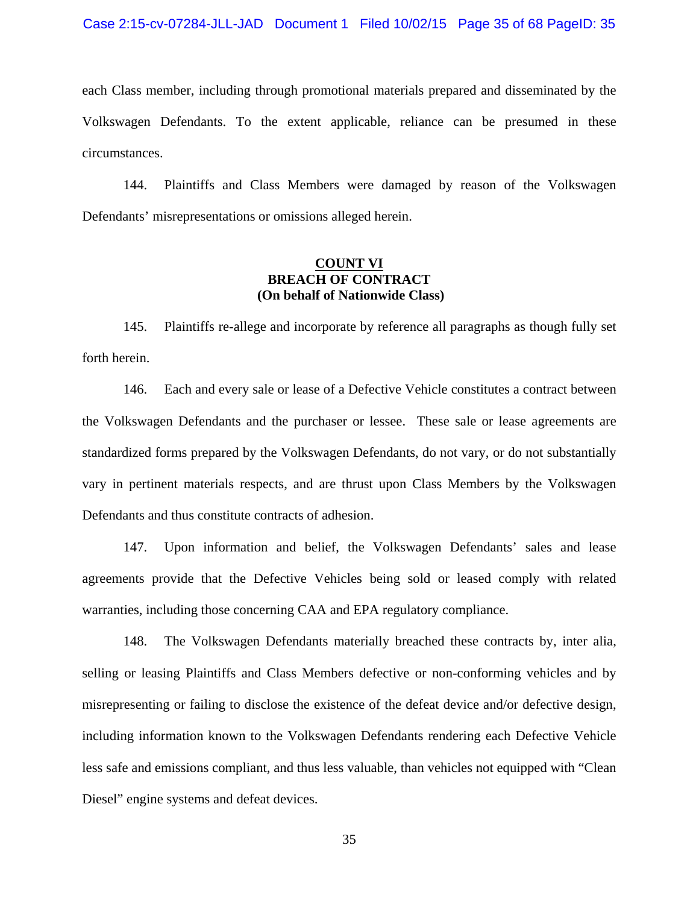each Class member, including through promotional materials prepared and disseminated by the Volkswagen Defendants. To the extent applicable, reliance can be presumed in these circumstances.

144. Plaintiffs and Class Members were damaged by reason of the Volkswagen Defendants' misrepresentations or omissions alleged herein.

# **COUNT VI BREACH OF CONTRACT (On behalf of Nationwide Class)**

145. Plaintiffs re-allege and incorporate by reference all paragraphs as though fully set forth herein.

146. Each and every sale or lease of a Defective Vehicle constitutes a contract between the Volkswagen Defendants and the purchaser or lessee. These sale or lease agreements are standardized forms prepared by the Volkswagen Defendants, do not vary, or do not substantially vary in pertinent materials respects, and are thrust upon Class Members by the Volkswagen Defendants and thus constitute contracts of adhesion.

147. Upon information and belief, the Volkswagen Defendants' sales and lease agreements provide that the Defective Vehicles being sold or leased comply with related warranties, including those concerning CAA and EPA regulatory compliance.

148. The Volkswagen Defendants materially breached these contracts by, inter alia, selling or leasing Plaintiffs and Class Members defective or non-conforming vehicles and by misrepresenting or failing to disclose the existence of the defeat device and/or defective design, including information known to the Volkswagen Defendants rendering each Defective Vehicle less safe and emissions compliant, and thus less valuable, than vehicles not equipped with "Clean Diesel" engine systems and defeat devices.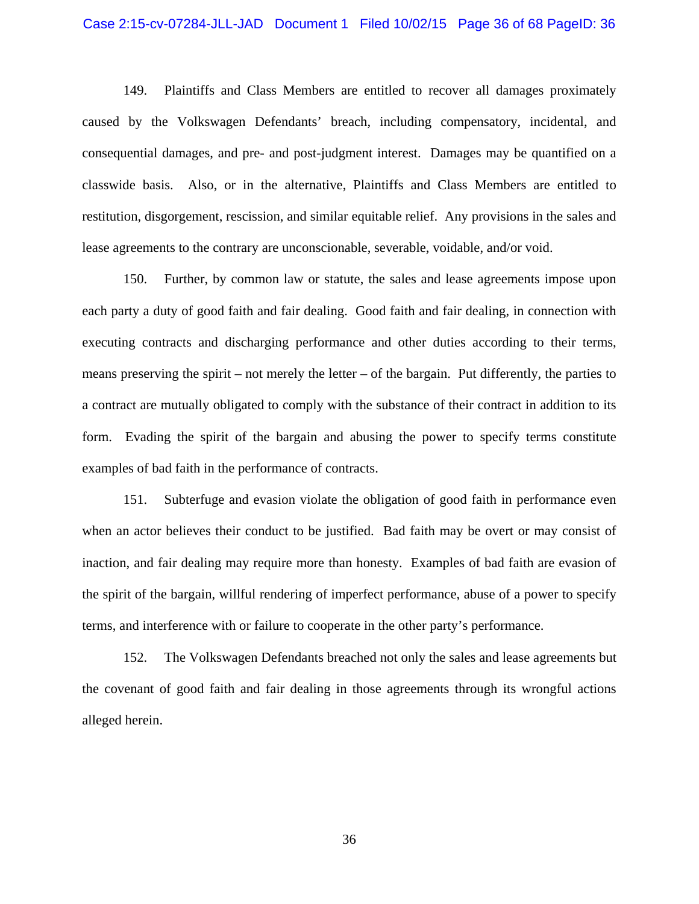#### Case 2:15-cv-07284-JLL-JAD Document 1 Filed 10/02/15 Page 36 of 68 PageID: 36

149. Plaintiffs and Class Members are entitled to recover all damages proximately caused by the Volkswagen Defendants' breach, including compensatory, incidental, and consequential damages, and pre- and post-judgment interest. Damages may be quantified on a classwide basis. Also, or in the alternative, Plaintiffs and Class Members are entitled to restitution, disgorgement, rescission, and similar equitable relief. Any provisions in the sales and lease agreements to the contrary are unconscionable, severable, voidable, and/or void.

150. Further, by common law or statute, the sales and lease agreements impose upon each party a duty of good faith and fair dealing. Good faith and fair dealing, in connection with executing contracts and discharging performance and other duties according to their terms, means preserving the spirit – not merely the letter – of the bargain. Put differently, the parties to a contract are mutually obligated to comply with the substance of their contract in addition to its form. Evading the spirit of the bargain and abusing the power to specify terms constitute examples of bad faith in the performance of contracts.

151. Subterfuge and evasion violate the obligation of good faith in performance even when an actor believes their conduct to be justified. Bad faith may be overt or may consist of inaction, and fair dealing may require more than honesty. Examples of bad faith are evasion of the spirit of the bargain, willful rendering of imperfect performance, abuse of a power to specify terms, and interference with or failure to cooperate in the other party's performance.

152. The Volkswagen Defendants breached not only the sales and lease agreements but the covenant of good faith and fair dealing in those agreements through its wrongful actions alleged herein.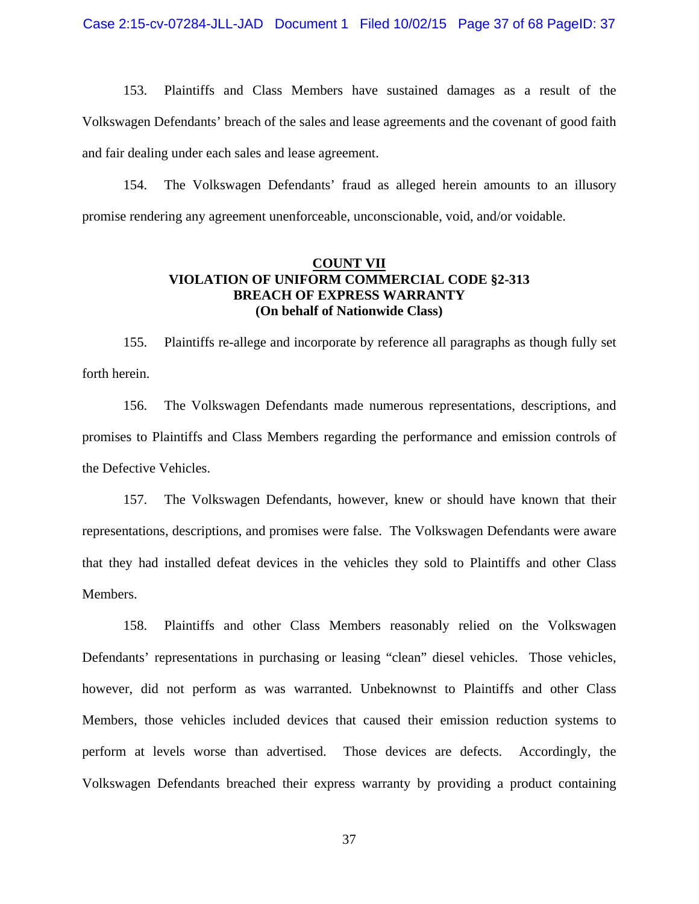153. Plaintiffs and Class Members have sustained damages as a result of the Volkswagen Defendants' breach of the sales and lease agreements and the covenant of good faith and fair dealing under each sales and lease agreement.

154. The Volkswagen Defendants' fraud as alleged herein amounts to an illusory promise rendering any agreement unenforceable, unconscionable, void, and/or voidable.

## **COUNT VII VIOLATION OF UNIFORM COMMERCIAL CODE §2-313 BREACH OF EXPRESS WARRANTY (On behalf of Nationwide Class)**

155. Plaintiffs re-allege and incorporate by reference all paragraphs as though fully set forth herein.

156. The Volkswagen Defendants made numerous representations, descriptions, and promises to Plaintiffs and Class Members regarding the performance and emission controls of the Defective Vehicles.

157. The Volkswagen Defendants, however, knew or should have known that their representations, descriptions, and promises were false. The Volkswagen Defendants were aware that they had installed defeat devices in the vehicles they sold to Plaintiffs and other Class Members.

158. Plaintiffs and other Class Members reasonably relied on the Volkswagen Defendants' representations in purchasing or leasing "clean" diesel vehicles. Those vehicles, however, did not perform as was warranted. Unbeknownst to Plaintiffs and other Class Members, those vehicles included devices that caused their emission reduction systems to perform at levels worse than advertised. Those devices are defects. Accordingly, the Volkswagen Defendants breached their express warranty by providing a product containing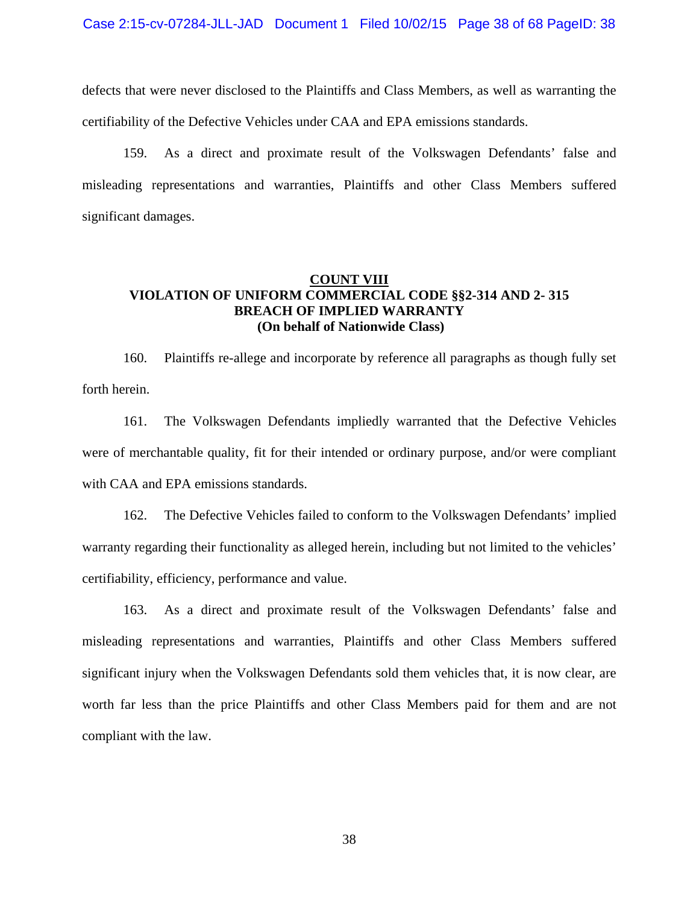defects that were never disclosed to the Plaintiffs and Class Members, as well as warranting the certifiability of the Defective Vehicles under CAA and EPA emissions standards.

159. As a direct and proximate result of the Volkswagen Defendants' false and misleading representations and warranties, Plaintiffs and other Class Members suffered significant damages.

## **COUNT VIII VIOLATION OF UNIFORM COMMERCIAL CODE §§2-314 AND 2- 315 BREACH OF IMPLIED WARRANTY (On behalf of Nationwide Class)**

160. Plaintiffs re-allege and incorporate by reference all paragraphs as though fully set forth herein.

161. The Volkswagen Defendants impliedly warranted that the Defective Vehicles were of merchantable quality, fit for their intended or ordinary purpose, and/or were compliant with CAA and EPA emissions standards.

162. The Defective Vehicles failed to conform to the Volkswagen Defendants' implied warranty regarding their functionality as alleged herein, including but not limited to the vehicles' certifiability, efficiency, performance and value.

163. As a direct and proximate result of the Volkswagen Defendants' false and misleading representations and warranties, Plaintiffs and other Class Members suffered significant injury when the Volkswagen Defendants sold them vehicles that, it is now clear, are worth far less than the price Plaintiffs and other Class Members paid for them and are not compliant with the law.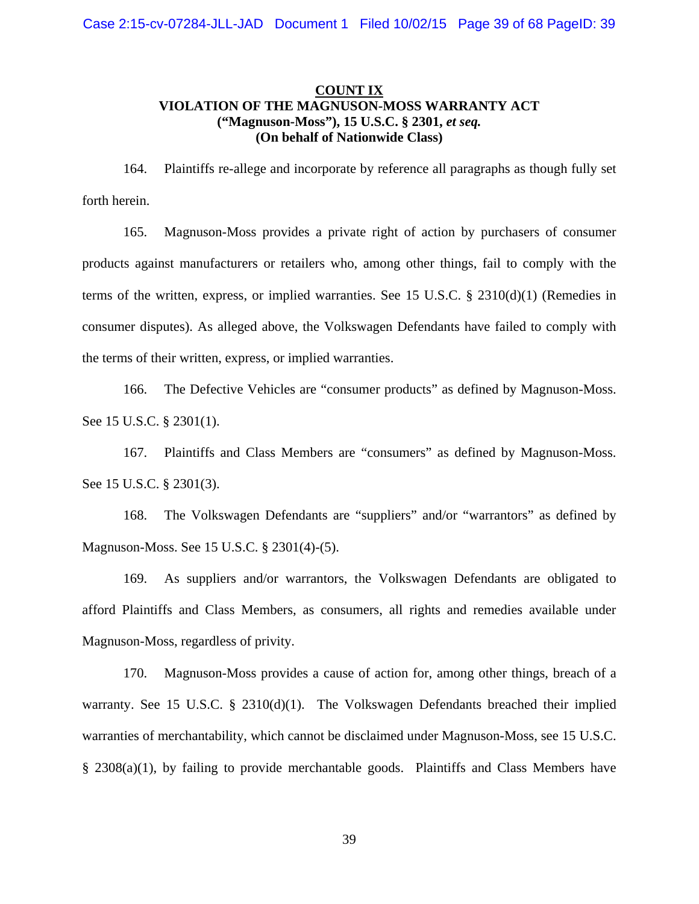## **COUNT IX VIOLATION OF THE MAGNUSON-MOSS WARRANTY ACT ("Magnuson-Moss"), 15 U.S.C. § 2301,** *et seq.*   **(On behalf of Nationwide Class)**

164. Plaintiffs re-allege and incorporate by reference all paragraphs as though fully set forth herein.

165. Magnuson-Moss provides a private right of action by purchasers of consumer products against manufacturers or retailers who, among other things, fail to comply with the terms of the written, express, or implied warranties. See 15 U.S.C. § 2310(d)(1) (Remedies in consumer disputes). As alleged above, the Volkswagen Defendants have failed to comply with the terms of their written, express, or implied warranties.

166. The Defective Vehicles are "consumer products" as defined by Magnuson-Moss. See 15 U.S.C. § 2301(1).

167. Plaintiffs and Class Members are "consumers" as defined by Magnuson-Moss. See 15 U.S.C. § 2301(3).

168. The Volkswagen Defendants are "suppliers" and/or "warrantors" as defined by Magnuson-Moss. See 15 U.S.C. § 2301(4)-(5).

169. As suppliers and/or warrantors, the Volkswagen Defendants are obligated to afford Plaintiffs and Class Members, as consumers, all rights and remedies available under Magnuson-Moss, regardless of privity.

170. Magnuson-Moss provides a cause of action for, among other things, breach of a warranty. See 15 U.S.C. § 2310(d)(1). The Volkswagen Defendants breached their implied warranties of merchantability, which cannot be disclaimed under Magnuson-Moss, see 15 U.S.C. § 2308(a)(1), by failing to provide merchantable goods. Plaintiffs and Class Members have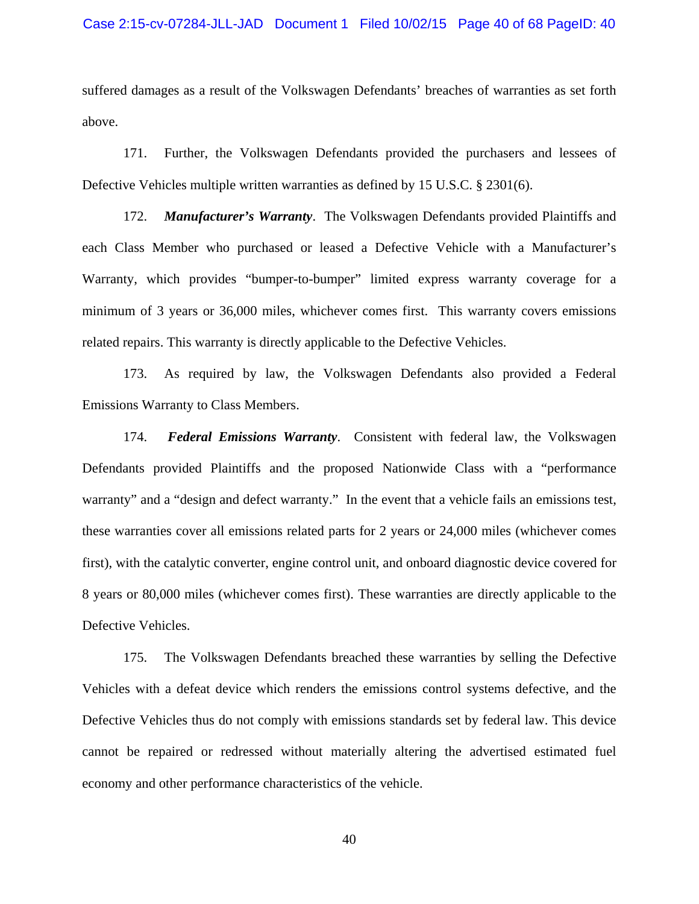suffered damages as a result of the Volkswagen Defendants' breaches of warranties as set forth above.

171. Further, the Volkswagen Defendants provided the purchasers and lessees of Defective Vehicles multiple written warranties as defined by 15 U.S.C. § 2301(6).

172. *Manufacturer's Warranty*. The Volkswagen Defendants provided Plaintiffs and each Class Member who purchased or leased a Defective Vehicle with a Manufacturer's Warranty, which provides "bumper-to-bumper" limited express warranty coverage for a minimum of 3 years or 36,000 miles, whichever comes first. This warranty covers emissions related repairs. This warranty is directly applicable to the Defective Vehicles.

173. As required by law, the Volkswagen Defendants also provided a Federal Emissions Warranty to Class Members.

174. *Federal Emissions Warranty*. Consistent with federal law, the Volkswagen Defendants provided Plaintiffs and the proposed Nationwide Class with a "performance warranty" and a "design and defect warranty." In the event that a vehicle fails an emissions test, these warranties cover all emissions related parts for 2 years or 24,000 miles (whichever comes first), with the catalytic converter, engine control unit, and onboard diagnostic device covered for 8 years or 80,000 miles (whichever comes first). These warranties are directly applicable to the Defective Vehicles.

175. The Volkswagen Defendants breached these warranties by selling the Defective Vehicles with a defeat device which renders the emissions control systems defective, and the Defective Vehicles thus do not comply with emissions standards set by federal law. This device cannot be repaired or redressed without materially altering the advertised estimated fuel economy and other performance characteristics of the vehicle.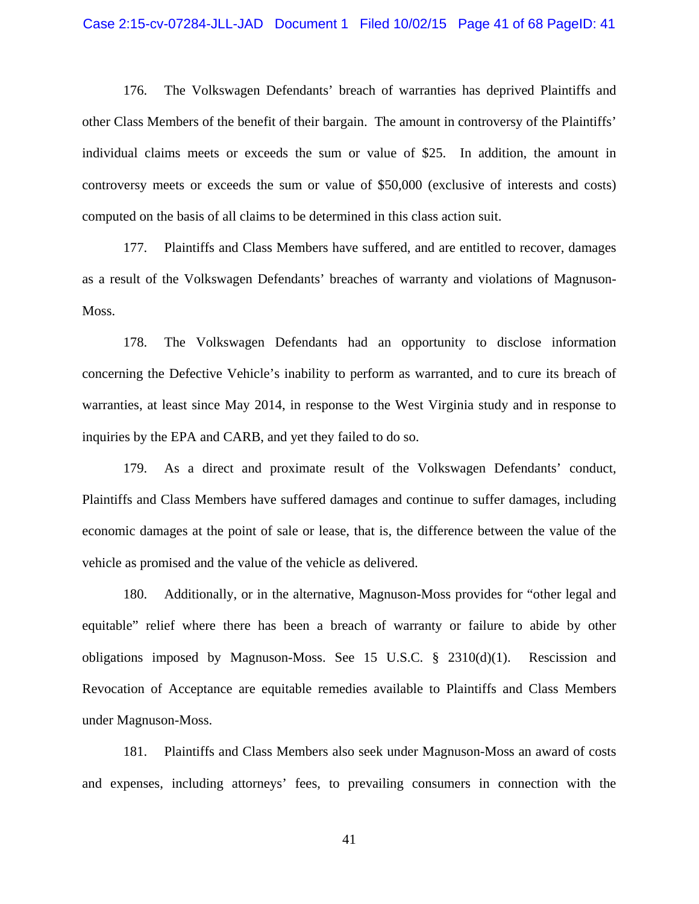#### Case 2:15-cv-07284-JLL-JAD Document 1 Filed 10/02/15 Page 41 of 68 PageID: 41

176. The Volkswagen Defendants' breach of warranties has deprived Plaintiffs and other Class Members of the benefit of their bargain. The amount in controversy of the Plaintiffs' individual claims meets or exceeds the sum or value of \$25. In addition, the amount in controversy meets or exceeds the sum or value of \$50,000 (exclusive of interests and costs) computed on the basis of all claims to be determined in this class action suit.

177. Plaintiffs and Class Members have suffered, and are entitled to recover, damages as a result of the Volkswagen Defendants' breaches of warranty and violations of Magnuson-Moss.

178. The Volkswagen Defendants had an opportunity to disclose information concerning the Defective Vehicle's inability to perform as warranted, and to cure its breach of warranties, at least since May 2014, in response to the West Virginia study and in response to inquiries by the EPA and CARB, and yet they failed to do so.

179. As a direct and proximate result of the Volkswagen Defendants' conduct, Plaintiffs and Class Members have suffered damages and continue to suffer damages, including economic damages at the point of sale or lease, that is, the difference between the value of the vehicle as promised and the value of the vehicle as delivered.

180. Additionally, or in the alternative, Magnuson-Moss provides for "other legal and equitable" relief where there has been a breach of warranty or failure to abide by other obligations imposed by Magnuson-Moss. See 15 U.S.C. § 2310(d)(1). Rescission and Revocation of Acceptance are equitable remedies available to Plaintiffs and Class Members under Magnuson-Moss.

181. Plaintiffs and Class Members also seek under Magnuson-Moss an award of costs and expenses, including attorneys' fees, to prevailing consumers in connection with the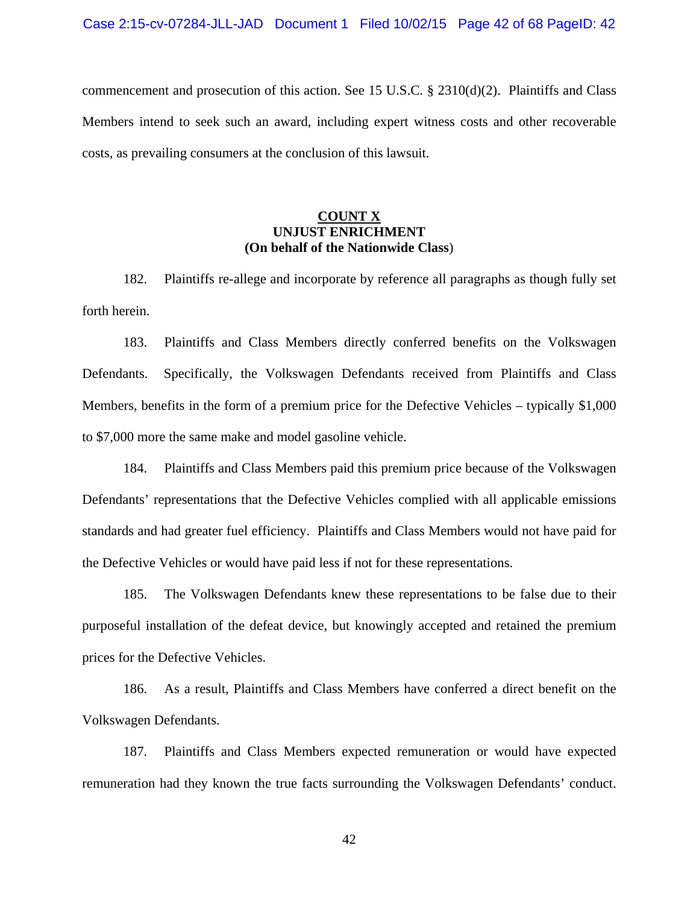commencement and prosecution of this action. See 15 U.S.C. § 2310(d)(2). Plaintiffs and Class Members intend to seek such an award, including expert witness costs and other recoverable costs, as prevailing consumers at the conclusion of this lawsuit.

## **COUNT X UNJUST ENRICHMENT (On behalf of the Nationwide Class**)

182. Plaintiffs re-allege and incorporate by reference all paragraphs as though fully set forth herein.

183. Plaintiffs and Class Members directly conferred benefits on the Volkswagen Defendants. Specifically, the Volkswagen Defendants received from Plaintiffs and Class Members, benefits in the form of a premium price for the Defective Vehicles – typically \$1,000 to \$7,000 more the same make and model gasoline vehicle.

184. Plaintiffs and Class Members paid this premium price because of the Volkswagen Defendants' representations that the Defective Vehicles complied with all applicable emissions standards and had greater fuel efficiency. Plaintiffs and Class Members would not have paid for the Defective Vehicles or would have paid less if not for these representations.

185. The Volkswagen Defendants knew these representations to be false due to their purposeful installation of the defeat device, but knowingly accepted and retained the premium prices for the Defective Vehicles.

186. As a result, Plaintiffs and Class Members have conferred a direct benefit on the Volkswagen Defendants.

187. Plaintiffs and Class Members expected remuneration or would have expected remuneration had they known the true facts surrounding the Volkswagen Defendants' conduct.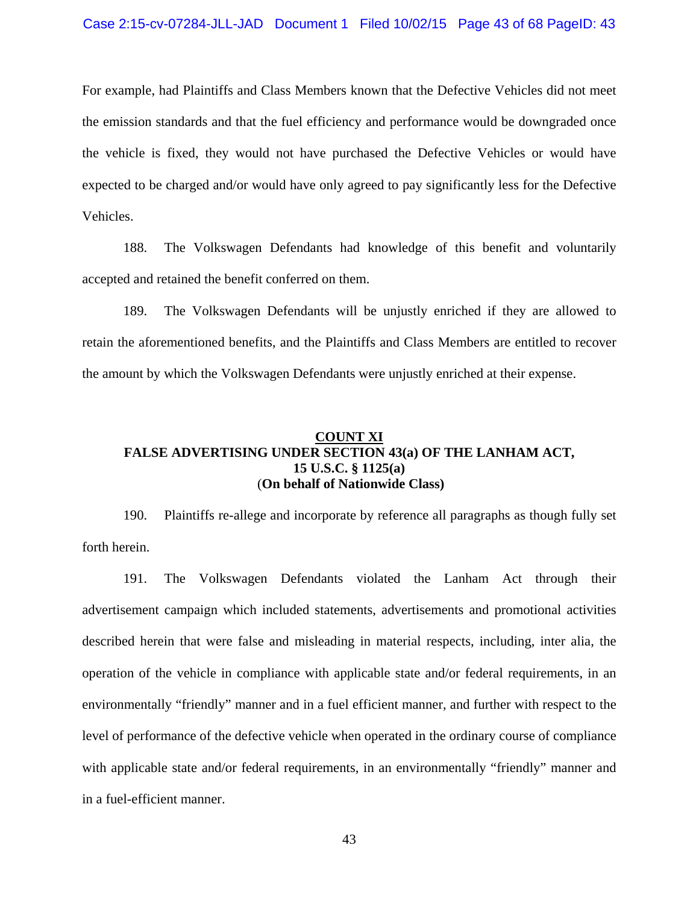For example, had Plaintiffs and Class Members known that the Defective Vehicles did not meet the emission standards and that the fuel efficiency and performance would be downgraded once the vehicle is fixed, they would not have purchased the Defective Vehicles or would have expected to be charged and/or would have only agreed to pay significantly less for the Defective Vehicles.

188. The Volkswagen Defendants had knowledge of this benefit and voluntarily accepted and retained the benefit conferred on them.

189. The Volkswagen Defendants will be unjustly enriched if they are allowed to retain the aforementioned benefits, and the Plaintiffs and Class Members are entitled to recover the amount by which the Volkswagen Defendants were unjustly enriched at their expense.

## **COUNT XI FALSE ADVERTISING UNDER SECTION 43(a) OF THE LANHAM ACT, 15 U.S.C. § 1125(a)**  (**On behalf of Nationwide Class)**

190. Plaintiffs re-allege and incorporate by reference all paragraphs as though fully set forth herein.

191. The Volkswagen Defendants violated the Lanham Act through their advertisement campaign which included statements, advertisements and promotional activities described herein that were false and misleading in material respects, including, inter alia, the operation of the vehicle in compliance with applicable state and/or federal requirements, in an environmentally "friendly" manner and in a fuel efficient manner, and further with respect to the level of performance of the defective vehicle when operated in the ordinary course of compliance with applicable state and/or federal requirements, in an environmentally "friendly" manner and in a fuel-efficient manner.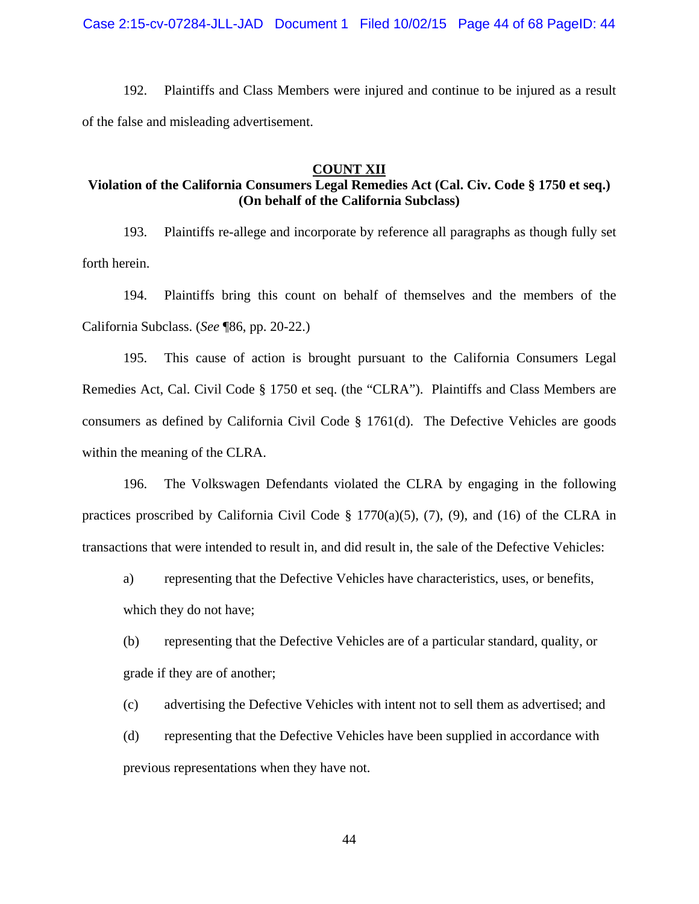192. Plaintiffs and Class Members were injured and continue to be injured as a result of the false and misleading advertisement.

#### **COUNT XII**

## **Violation of the California Consumers Legal Remedies Act (Cal. Civ. Code § 1750 et seq.) (On behalf of the California Subclass)**

193. Plaintiffs re-allege and incorporate by reference all paragraphs as though fully set forth herein.

194. Plaintiffs bring this count on behalf of themselves and the members of the California Subclass. (*See* ¶86, pp. 20-22.)

195. This cause of action is brought pursuant to the California Consumers Legal Remedies Act, Cal. Civil Code § 1750 et seq. (the "CLRA"). Plaintiffs and Class Members are consumers as defined by California Civil Code § 1761(d). The Defective Vehicles are goods within the meaning of the CLRA.

196. The Volkswagen Defendants violated the CLRA by engaging in the following practices proscribed by California Civil Code  $\S$  1770(a)(5), (7), (9), and (16) of the CLRA in transactions that were intended to result in, and did result in, the sale of the Defective Vehicles:

a) representing that the Defective Vehicles have characteristics, uses, or benefits, which they do not have;

(b) representing that the Defective Vehicles are of a particular standard, quality, or grade if they are of another;

(c) advertising the Defective Vehicles with intent not to sell them as advertised; and

(d) representing that the Defective Vehicles have been supplied in accordance with previous representations when they have not.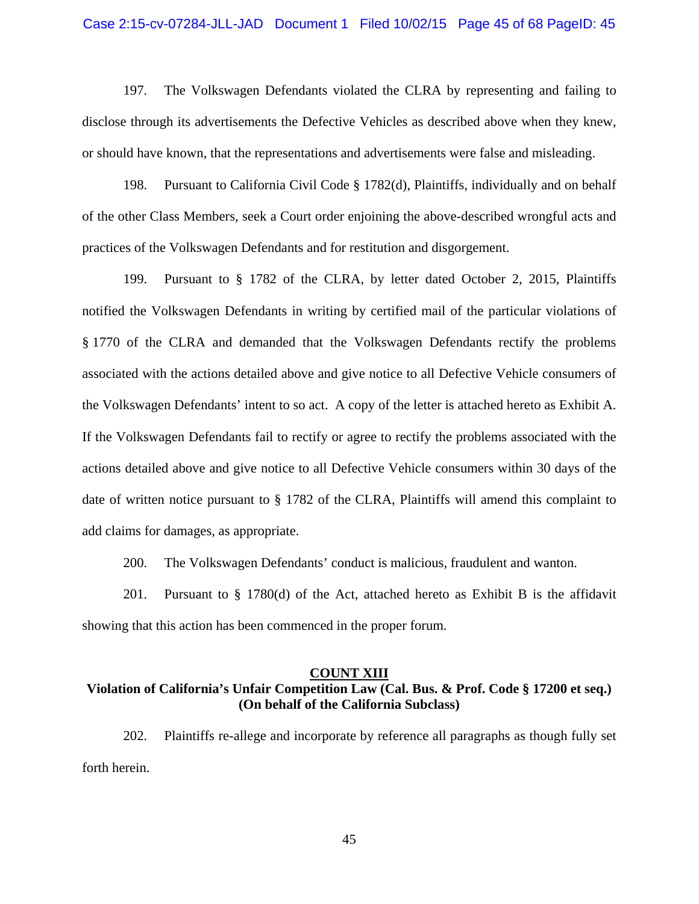#### Case 2:15-cv-07284-JLL-JAD Document 1 Filed 10/02/15 Page 45 of 68 PageID: 45

197. The Volkswagen Defendants violated the CLRA by representing and failing to disclose through its advertisements the Defective Vehicles as described above when they knew, or should have known, that the representations and advertisements were false and misleading.

198. Pursuant to California Civil Code § 1782(d), Plaintiffs, individually and on behalf of the other Class Members, seek a Court order enjoining the above-described wrongful acts and practices of the Volkswagen Defendants and for restitution and disgorgement.

199. Pursuant to § 1782 of the CLRA, by letter dated October 2, 2015, Plaintiffs notified the Volkswagen Defendants in writing by certified mail of the particular violations of § 1770 of the CLRA and demanded that the Volkswagen Defendants rectify the problems associated with the actions detailed above and give notice to all Defective Vehicle consumers of the Volkswagen Defendants' intent to so act. A copy of the letter is attached hereto as Exhibit A. If the Volkswagen Defendants fail to rectify or agree to rectify the problems associated with the actions detailed above and give notice to all Defective Vehicle consumers within 30 days of the date of written notice pursuant to § 1782 of the CLRA, Plaintiffs will amend this complaint to add claims for damages, as appropriate.

200. The Volkswagen Defendants' conduct is malicious, fraudulent and wanton.

201. Pursuant to § 1780(d) of the Act, attached hereto as Exhibit B is the affidavit showing that this action has been commenced in the proper forum.

## **COUNT XIII**

## **Violation of California's Unfair Competition Law (Cal. Bus. & Prof. Code § 17200 et seq.) (On behalf of the California Subclass)**

202. Plaintiffs re-allege and incorporate by reference all paragraphs as though fully set forth herein.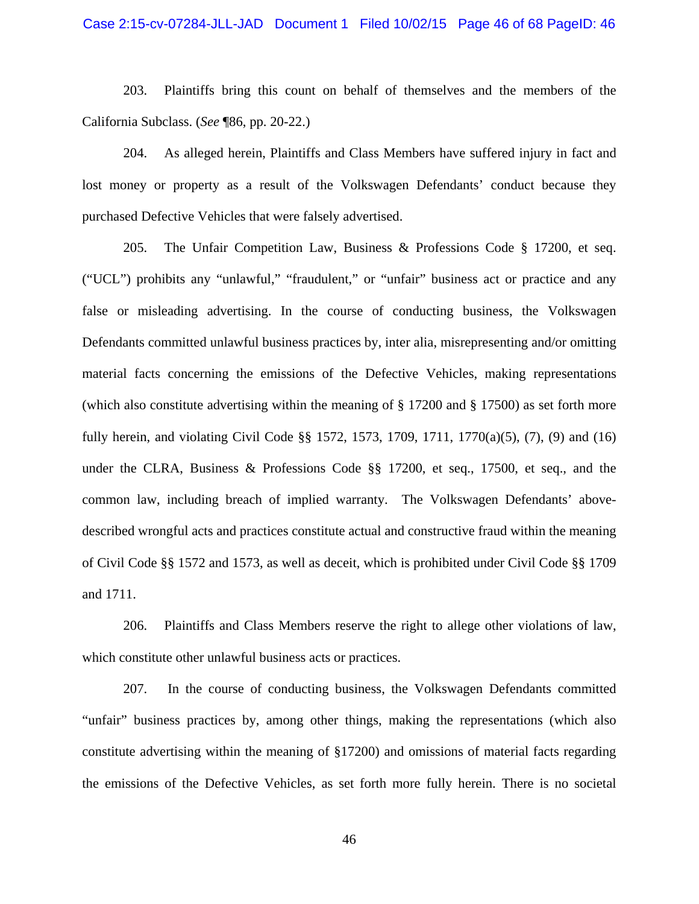203. Plaintiffs bring this count on behalf of themselves and the members of the California Subclass. (*See* ¶86, pp. 20-22.)

204. As alleged herein, Plaintiffs and Class Members have suffered injury in fact and lost money or property as a result of the Volkswagen Defendants' conduct because they purchased Defective Vehicles that were falsely advertised.

205. The Unfair Competition Law, Business & Professions Code § 17200, et seq. ("UCL") prohibits any "unlawful," "fraudulent," or "unfair" business act or practice and any false or misleading advertising. In the course of conducting business, the Volkswagen Defendants committed unlawful business practices by, inter alia, misrepresenting and/or omitting material facts concerning the emissions of the Defective Vehicles, making representations (which also constitute advertising within the meaning of § 17200 and § 17500) as set forth more fully herein, and violating Civil Code §§ 1572, 1573, 1709, 1711, 1770(a)(5), (7), (9) and (16) under the CLRA, Business & Professions Code §§ 17200, et seq., 17500, et seq., and the common law, including breach of implied warranty. The Volkswagen Defendants' abovedescribed wrongful acts and practices constitute actual and constructive fraud within the meaning of Civil Code §§ 1572 and 1573, as well as deceit, which is prohibited under Civil Code §§ 1709 and 1711.

206. Plaintiffs and Class Members reserve the right to allege other violations of law, which constitute other unlawful business acts or practices.

207. In the course of conducting business, the Volkswagen Defendants committed "unfair" business practices by, among other things, making the representations (which also constitute advertising within the meaning of §17200) and omissions of material facts regarding the emissions of the Defective Vehicles, as set forth more fully herein. There is no societal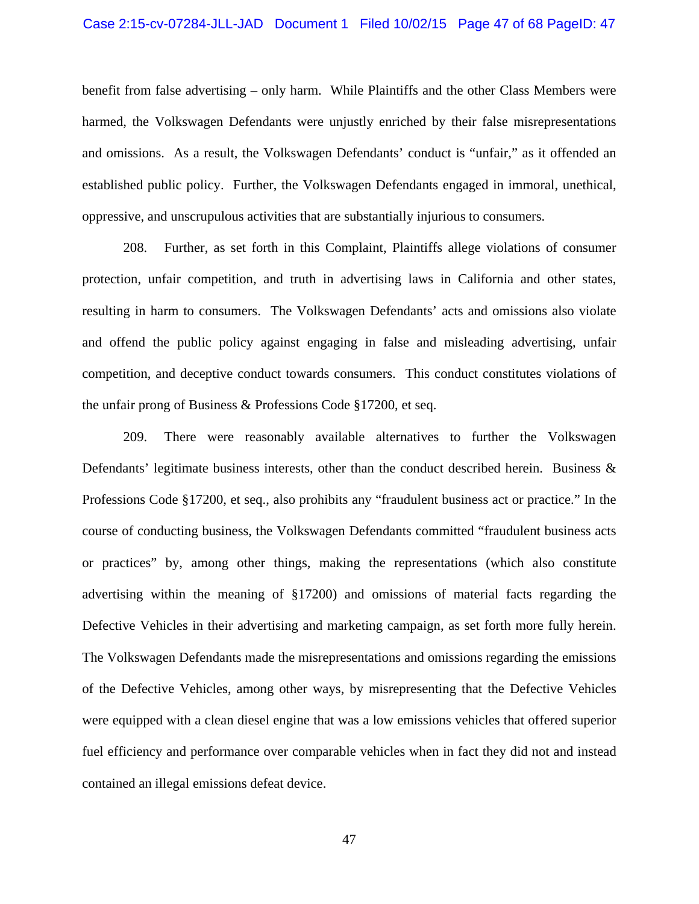#### Case 2:15-cv-07284-JLL-JAD Document 1 Filed 10/02/15 Page 47 of 68 PageID: 47

benefit from false advertising – only harm. While Plaintiffs and the other Class Members were harmed, the Volkswagen Defendants were unjustly enriched by their false misrepresentations and omissions. As a result, the Volkswagen Defendants' conduct is "unfair," as it offended an established public policy. Further, the Volkswagen Defendants engaged in immoral, unethical, oppressive, and unscrupulous activities that are substantially injurious to consumers.

208. Further, as set forth in this Complaint, Plaintiffs allege violations of consumer protection, unfair competition, and truth in advertising laws in California and other states, resulting in harm to consumers. The Volkswagen Defendants' acts and omissions also violate and offend the public policy against engaging in false and misleading advertising, unfair competition, and deceptive conduct towards consumers. This conduct constitutes violations of the unfair prong of Business & Professions Code §17200, et seq.

209. There were reasonably available alternatives to further the Volkswagen Defendants' legitimate business interests, other than the conduct described herein. Business & Professions Code §17200, et seq., also prohibits any "fraudulent business act or practice." In the course of conducting business, the Volkswagen Defendants committed "fraudulent business acts or practices" by, among other things, making the representations (which also constitute advertising within the meaning of §17200) and omissions of material facts regarding the Defective Vehicles in their advertising and marketing campaign, as set forth more fully herein. The Volkswagen Defendants made the misrepresentations and omissions regarding the emissions of the Defective Vehicles, among other ways, by misrepresenting that the Defective Vehicles were equipped with a clean diesel engine that was a low emissions vehicles that offered superior fuel efficiency and performance over comparable vehicles when in fact they did not and instead contained an illegal emissions defeat device.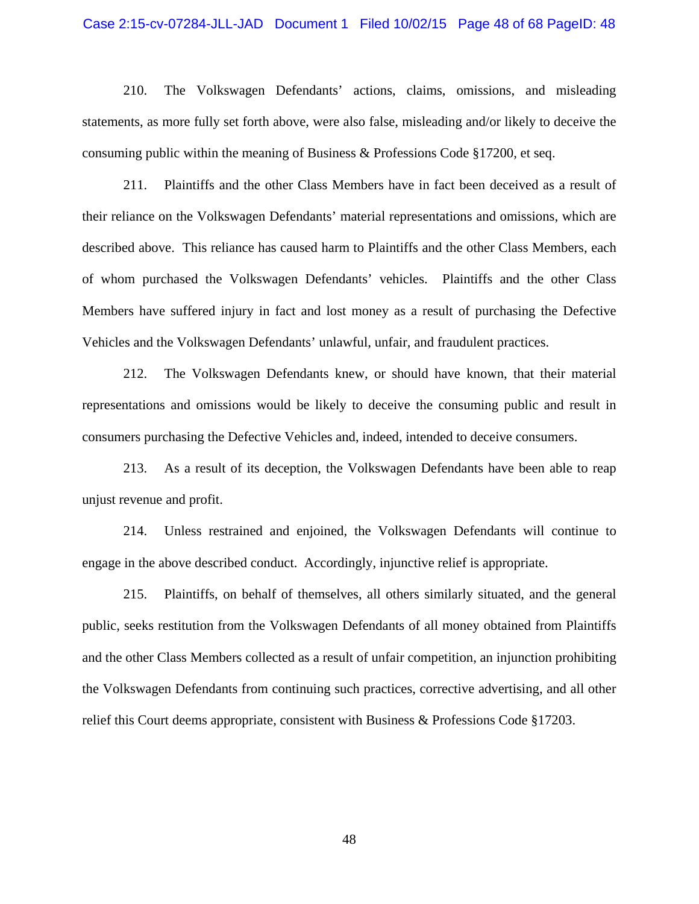#### Case 2:15-cv-07284-JLL-JAD Document 1 Filed 10/02/15 Page 48 of 68 PageID: 48

210. The Volkswagen Defendants' actions, claims, omissions, and misleading statements, as more fully set forth above, were also false, misleading and/or likely to deceive the consuming public within the meaning of Business & Professions Code §17200, et seq.

211. Plaintiffs and the other Class Members have in fact been deceived as a result of their reliance on the Volkswagen Defendants' material representations and omissions, which are described above. This reliance has caused harm to Plaintiffs and the other Class Members, each of whom purchased the Volkswagen Defendants' vehicles. Plaintiffs and the other Class Members have suffered injury in fact and lost money as a result of purchasing the Defective Vehicles and the Volkswagen Defendants' unlawful, unfair, and fraudulent practices.

212. The Volkswagen Defendants knew, or should have known, that their material representations and omissions would be likely to deceive the consuming public and result in consumers purchasing the Defective Vehicles and, indeed, intended to deceive consumers.

213. As a result of its deception, the Volkswagen Defendants have been able to reap unjust revenue and profit.

214. Unless restrained and enjoined, the Volkswagen Defendants will continue to engage in the above described conduct. Accordingly, injunctive relief is appropriate.

215. Plaintiffs, on behalf of themselves, all others similarly situated, and the general public, seeks restitution from the Volkswagen Defendants of all money obtained from Plaintiffs and the other Class Members collected as a result of unfair competition, an injunction prohibiting the Volkswagen Defendants from continuing such practices, corrective advertising, and all other relief this Court deems appropriate, consistent with Business & Professions Code §17203.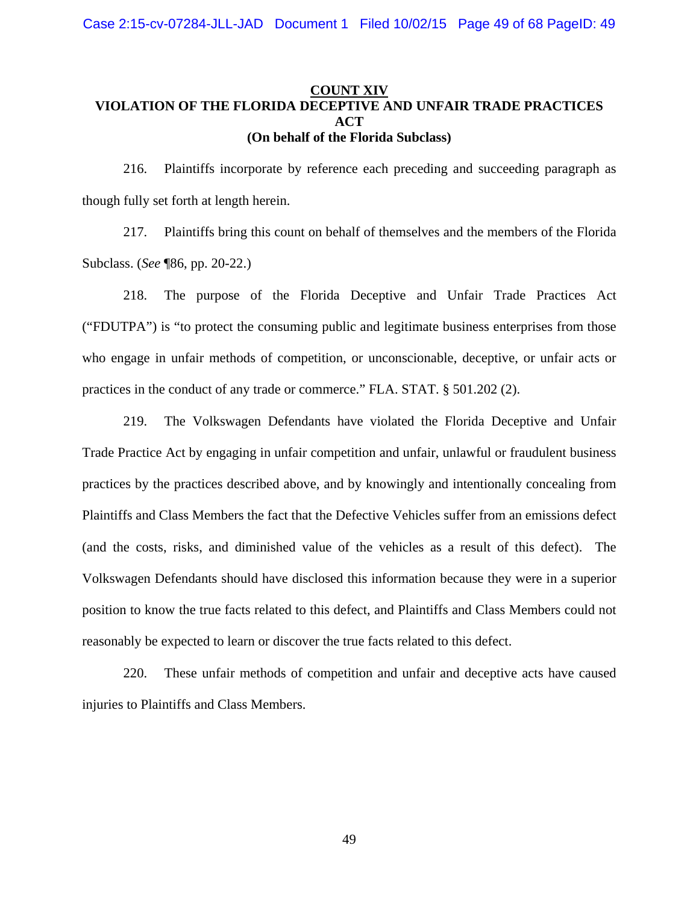## **COUNT XIV VIOLATION OF THE FLORIDA DECEPTIVE AND UNFAIR TRADE PRACTICES ACT (On behalf of the Florida Subclass)**

216. Plaintiffs incorporate by reference each preceding and succeeding paragraph as though fully set forth at length herein.

217. Plaintiffs bring this count on behalf of themselves and the members of the Florida Subclass. (*See* ¶86, pp. 20-22.)

218. The purpose of the Florida Deceptive and Unfair Trade Practices Act ("FDUTPA") is "to protect the consuming public and legitimate business enterprises from those who engage in unfair methods of competition, or unconscionable, deceptive, or unfair acts or practices in the conduct of any trade or commerce." FLA. STAT. § 501.202 (2).

219. The Volkswagen Defendants have violated the Florida Deceptive and Unfair Trade Practice Act by engaging in unfair competition and unfair, unlawful or fraudulent business practices by the practices described above, and by knowingly and intentionally concealing from Plaintiffs and Class Members the fact that the Defective Vehicles suffer from an emissions defect (and the costs, risks, and diminished value of the vehicles as a result of this defect). The Volkswagen Defendants should have disclosed this information because they were in a superior position to know the true facts related to this defect, and Plaintiffs and Class Members could not reasonably be expected to learn or discover the true facts related to this defect.

220. These unfair methods of competition and unfair and deceptive acts have caused injuries to Plaintiffs and Class Members.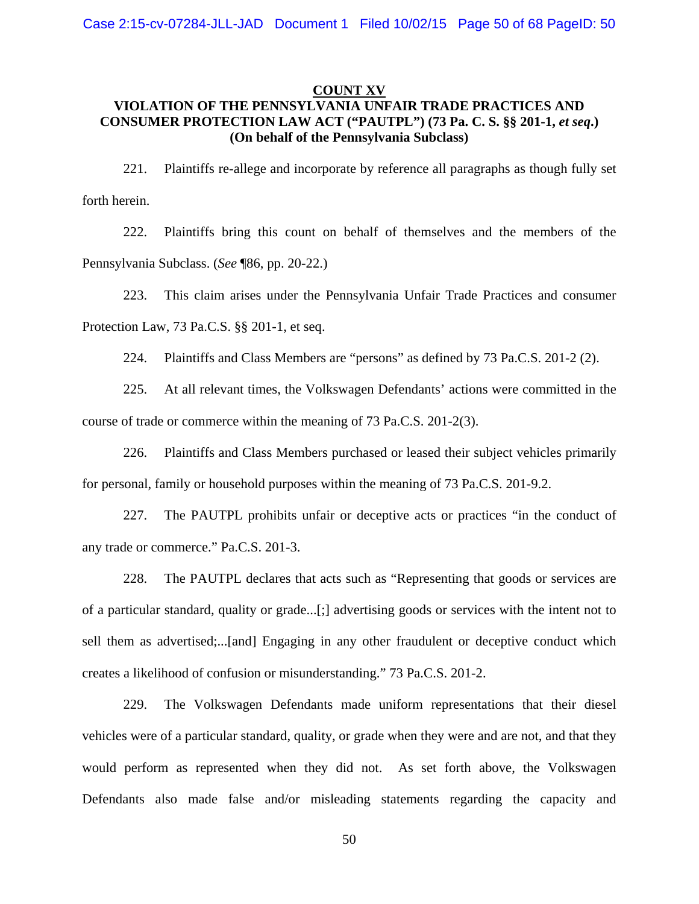#### **COUNT XV**

## **VIOLATION OF THE PENNSYLVANIA UNFAIR TRADE PRACTICES AND CONSUMER PROTECTION LAW ACT ("PAUTPL") (73 Pa. C. S. §§ 201-1,** *et seq***.) (On behalf of the Pennsylvania Subclass)**

221. Plaintiffs re-allege and incorporate by reference all paragraphs as though fully set forth herein.

222. Plaintiffs bring this count on behalf of themselves and the members of the Pennsylvania Subclass. (*See* ¶86, pp. 20-22.)

223. This claim arises under the Pennsylvania Unfair Trade Practices and consumer Protection Law, 73 Pa.C.S. §§ 201-1, et seq.

224. Plaintiffs and Class Members are "persons" as defined by 73 Pa.C.S. 201-2 (2).

225. At all relevant times, the Volkswagen Defendants' actions were committed in the course of trade or commerce within the meaning of 73 Pa.C.S. 201-2(3).

226. Plaintiffs and Class Members purchased or leased their subject vehicles primarily for personal, family or household purposes within the meaning of 73 Pa.C.S. 201-9.2.

227. The PAUTPL prohibits unfair or deceptive acts or practices "in the conduct of any trade or commerce." Pa.C.S. 201-3.

228. The PAUTPL declares that acts such as "Representing that goods or services are of a particular standard, quality or grade...[;] advertising goods or services with the intent not to sell them as advertised;...[and] Engaging in any other fraudulent or deceptive conduct which creates a likelihood of confusion or misunderstanding." 73 Pa.C.S. 201-2.

229. The Volkswagen Defendants made uniform representations that their diesel vehicles were of a particular standard, quality, or grade when they were and are not, and that they would perform as represented when they did not. As set forth above, the Volkswagen Defendants also made false and/or misleading statements regarding the capacity and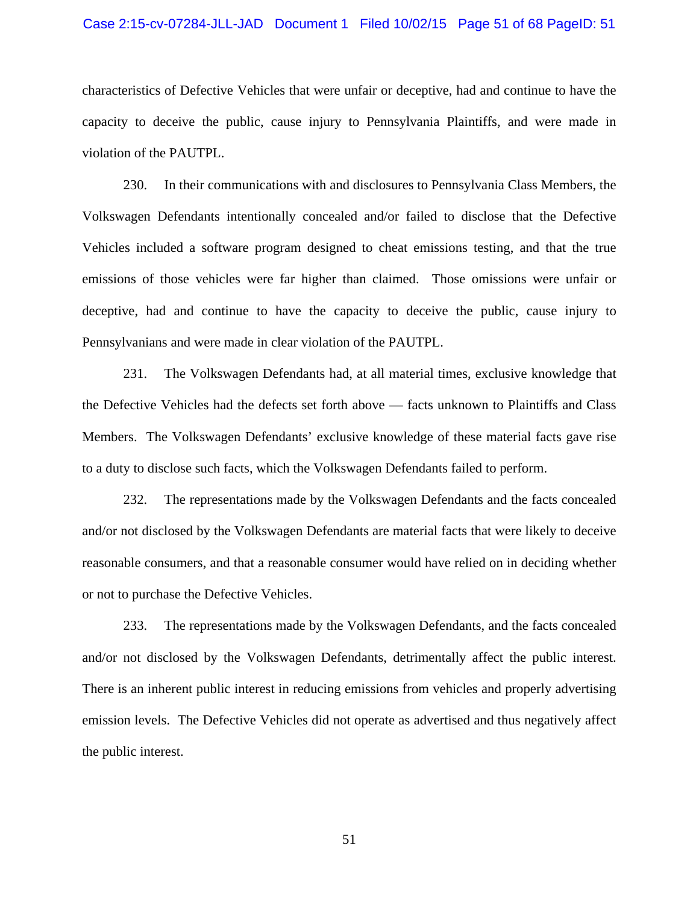#### Case 2:15-cv-07284-JLL-JAD Document 1 Filed 10/02/15 Page 51 of 68 PageID: 51

characteristics of Defective Vehicles that were unfair or deceptive, had and continue to have the capacity to deceive the public, cause injury to Pennsylvania Plaintiffs, and were made in violation of the PAUTPL.

230. In their communications with and disclosures to Pennsylvania Class Members, the Volkswagen Defendants intentionally concealed and/or failed to disclose that the Defective Vehicles included a software program designed to cheat emissions testing, and that the true emissions of those vehicles were far higher than claimed. Those omissions were unfair or deceptive, had and continue to have the capacity to deceive the public, cause injury to Pennsylvanians and were made in clear violation of the PAUTPL.

231. The Volkswagen Defendants had, at all material times, exclusive knowledge that the Defective Vehicles had the defects set forth above — facts unknown to Plaintiffs and Class Members. The Volkswagen Defendants' exclusive knowledge of these material facts gave rise to a duty to disclose such facts, which the Volkswagen Defendants failed to perform.

232. The representations made by the Volkswagen Defendants and the facts concealed and/or not disclosed by the Volkswagen Defendants are material facts that were likely to deceive reasonable consumers, and that a reasonable consumer would have relied on in deciding whether or not to purchase the Defective Vehicles.

233. The representations made by the Volkswagen Defendants, and the facts concealed and/or not disclosed by the Volkswagen Defendants, detrimentally affect the public interest. There is an inherent public interest in reducing emissions from vehicles and properly advertising emission levels. The Defective Vehicles did not operate as advertised and thus negatively affect the public interest.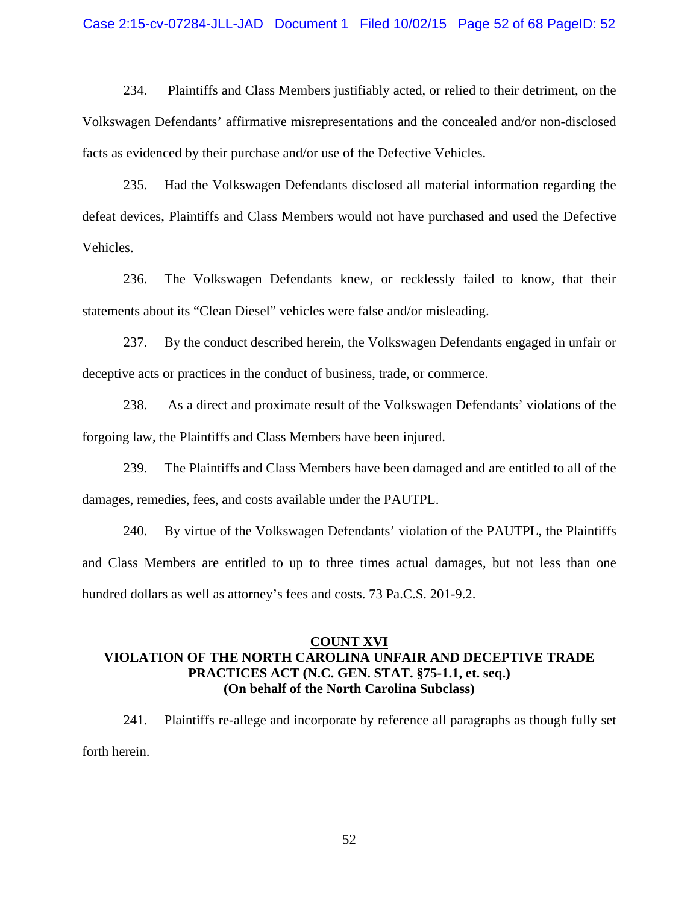#### Case 2:15-cv-07284-JLL-JAD Document 1 Filed 10/02/15 Page 52 of 68 PageID: 52

234. Plaintiffs and Class Members justifiably acted, or relied to their detriment, on the Volkswagen Defendants' affirmative misrepresentations and the concealed and/or non-disclosed facts as evidenced by their purchase and/or use of the Defective Vehicles.

235. Had the Volkswagen Defendants disclosed all material information regarding the defeat devices, Plaintiffs and Class Members would not have purchased and used the Defective Vehicles.

236. The Volkswagen Defendants knew, or recklessly failed to know, that their statements about its "Clean Diesel" vehicles were false and/or misleading.

237. By the conduct described herein, the Volkswagen Defendants engaged in unfair or deceptive acts or practices in the conduct of business, trade, or commerce.

238. As a direct and proximate result of the Volkswagen Defendants' violations of the forgoing law, the Plaintiffs and Class Members have been injured.

239. The Plaintiffs and Class Members have been damaged and are entitled to all of the damages, remedies, fees, and costs available under the PAUTPL.

240. By virtue of the Volkswagen Defendants' violation of the PAUTPL, the Plaintiffs and Class Members are entitled to up to three times actual damages, but not less than one hundred dollars as well as attorney's fees and costs. 73 Pa.C.S. 201-9.2.

## **COUNT XVI VIOLATION OF THE NORTH CAROLINA UNFAIR AND DECEPTIVE TRADE PRACTICES ACT (N.C. GEN. STAT. §75-1.1, et. seq.) (On behalf of the North Carolina Subclass)**

241. Plaintiffs re-allege and incorporate by reference all paragraphs as though fully set forth herein.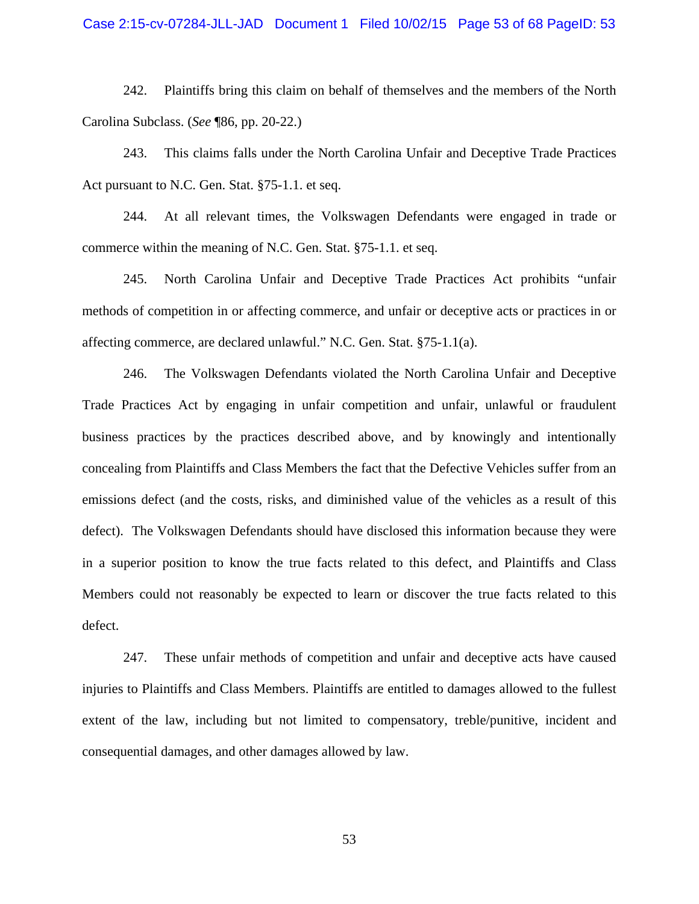#### Case 2:15-cv-07284-JLL-JAD Document 1 Filed 10/02/15 Page 53 of 68 PageID: 53

242. Plaintiffs bring this claim on behalf of themselves and the members of the North Carolina Subclass. (*See* ¶86, pp. 20-22.)

243. This claims falls under the North Carolina Unfair and Deceptive Trade Practices Act pursuant to N.C. Gen. Stat. §75-1.1. et seq.

244. At all relevant times, the Volkswagen Defendants were engaged in trade or commerce within the meaning of N.C. Gen. Stat. §75-1.1. et seq.

245. North Carolina Unfair and Deceptive Trade Practices Act prohibits "unfair methods of competition in or affecting commerce, and unfair or deceptive acts or practices in or affecting commerce, are declared unlawful." N.C. Gen. Stat. §75-1.1(a).

246. The Volkswagen Defendants violated the North Carolina Unfair and Deceptive Trade Practices Act by engaging in unfair competition and unfair, unlawful or fraudulent business practices by the practices described above, and by knowingly and intentionally concealing from Plaintiffs and Class Members the fact that the Defective Vehicles suffer from an emissions defect (and the costs, risks, and diminished value of the vehicles as a result of this defect). The Volkswagen Defendants should have disclosed this information because they were in a superior position to know the true facts related to this defect, and Plaintiffs and Class Members could not reasonably be expected to learn or discover the true facts related to this defect.

247. These unfair methods of competition and unfair and deceptive acts have caused injuries to Plaintiffs and Class Members. Plaintiffs are entitled to damages allowed to the fullest extent of the law, including but not limited to compensatory, treble/punitive, incident and consequential damages, and other damages allowed by law.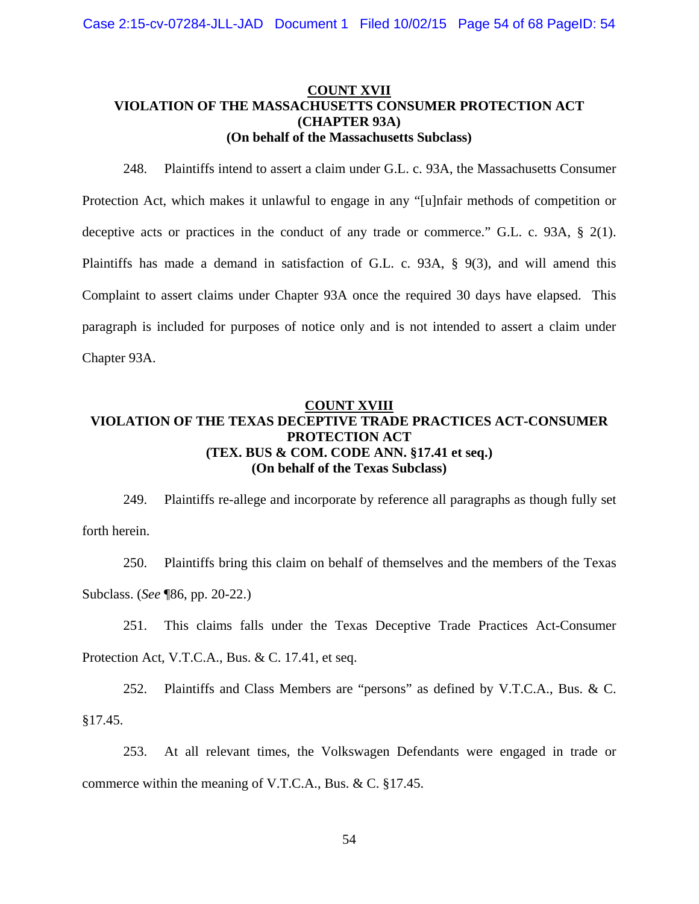## **COUNT XVII VIOLATION OF THE MASSACHUSETTS CONSUMER PROTECTION ACT (CHAPTER 93A) (On behalf of the Massachusetts Subclass)**

248. Plaintiffs intend to assert a claim under G.L. c. 93A, the Massachusetts Consumer Protection Act, which makes it unlawful to engage in any "[u]nfair methods of competition or deceptive acts or practices in the conduct of any trade or commerce." G.L. c. 93A, § 2(1). Plaintiffs has made a demand in satisfaction of G.L. c. 93A, § 9(3), and will amend this Complaint to assert claims under Chapter 93A once the required 30 days have elapsed. This paragraph is included for purposes of notice only and is not intended to assert a claim under Chapter 93A.

## **COUNT XVIII VIOLATION OF THE TEXAS DECEPTIVE TRADE PRACTICES ACT-CONSUMER PROTECTION ACT (TEX. BUS & COM. CODE ANN. §17.41 et seq.) (On behalf of the Texas Subclass)**

249. Plaintiffs re-allege and incorporate by reference all paragraphs as though fully set forth herein.

250. Plaintiffs bring this claim on behalf of themselves and the members of the Texas Subclass. (*See* ¶86, pp. 20-22.)

251. This claims falls under the Texas Deceptive Trade Practices Act-Consumer Protection Act, V.T.C.A., Bus. & C. 17.41, et seq.

252. Plaintiffs and Class Members are "persons" as defined by V.T.C.A., Bus. & C. §17.45.

253. At all relevant times, the Volkswagen Defendants were engaged in trade or commerce within the meaning of V.T.C.A., Bus. & C. §17.45.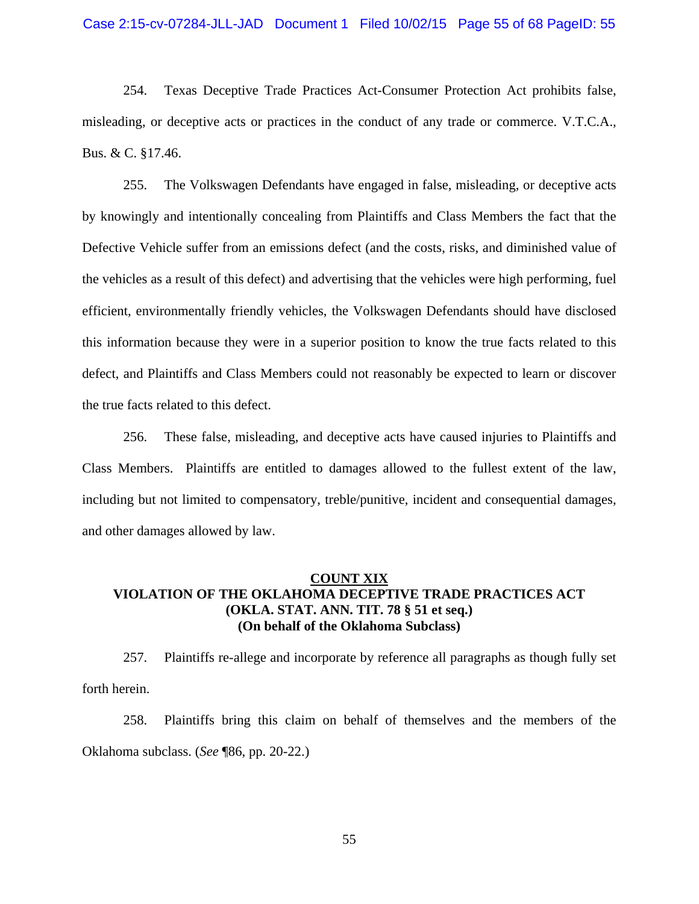254. Texas Deceptive Trade Practices Act-Consumer Protection Act prohibits false, misleading, or deceptive acts or practices in the conduct of any trade or commerce. V.T.C.A., Bus. & C. §17.46.

255. The Volkswagen Defendants have engaged in false, misleading, or deceptive acts by knowingly and intentionally concealing from Plaintiffs and Class Members the fact that the Defective Vehicle suffer from an emissions defect (and the costs, risks, and diminished value of the vehicles as a result of this defect) and advertising that the vehicles were high performing, fuel efficient, environmentally friendly vehicles, the Volkswagen Defendants should have disclosed this information because they were in a superior position to know the true facts related to this defect, and Plaintiffs and Class Members could not reasonably be expected to learn or discover the true facts related to this defect.

256. These false, misleading, and deceptive acts have caused injuries to Plaintiffs and Class Members. Plaintiffs are entitled to damages allowed to the fullest extent of the law, including but not limited to compensatory, treble/punitive, incident and consequential damages, and other damages allowed by law.

## **COUNT XIX VIOLATION OF THE OKLAHOMA DECEPTIVE TRADE PRACTICES ACT (OKLA. STAT. ANN. TIT. 78 § 51 et seq.) (On behalf of the Oklahoma Subclass)**

257. Plaintiffs re-allege and incorporate by reference all paragraphs as though fully set forth herein.

258. Plaintiffs bring this claim on behalf of themselves and the members of the Oklahoma subclass. (*See* ¶86, pp. 20-22.)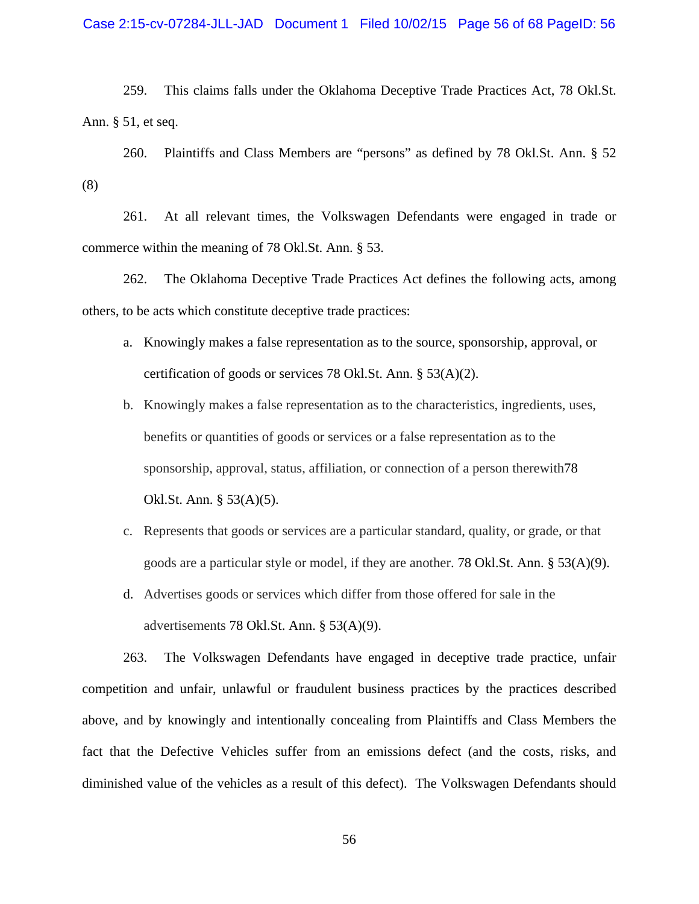#### Case 2:15-cv-07284-JLL-JAD Document 1 Filed 10/02/15 Page 56 of 68 PageID: 56

259. This claims falls under the Oklahoma Deceptive Trade Practices Act, 78 Okl.St. Ann. § 51, et seq.

260. Plaintiffs and Class Members are "persons" as defined by 78 Okl.St. Ann. § 52 (8)

261. At all relevant times, the Volkswagen Defendants were engaged in trade or commerce within the meaning of 78 Okl.St. Ann. § 53.

262. The Oklahoma Deceptive Trade Practices Act defines the following acts, among others, to be acts which constitute deceptive trade practices:

- a. Knowingly makes a false representation as to the source, sponsorship, approval, or certification of goods or services 78 Okl.St. Ann. § 53(A)(2).
- b. Knowingly makes a false representation as to the characteristics, ingredients, uses, benefits or quantities of goods or services or a false representation as to the sponsorship, approval, status, affiliation, or connection of a person therewith78 Okl.St. Ann. § 53(A)(5).
- c. Represents that goods or services are a particular standard, quality, or grade, or that goods are a particular style or model, if they are another. 78 Okl.St. Ann. § 53(A)(9).
- d. Advertises goods or services which differ from those offered for sale in the advertisements 78 Okl.St. Ann. § 53(A)(9).

263. The Volkswagen Defendants have engaged in deceptive trade practice, unfair competition and unfair, unlawful or fraudulent business practices by the practices described above, and by knowingly and intentionally concealing from Plaintiffs and Class Members the fact that the Defective Vehicles suffer from an emissions defect (and the costs, risks, and diminished value of the vehicles as a result of this defect). The Volkswagen Defendants should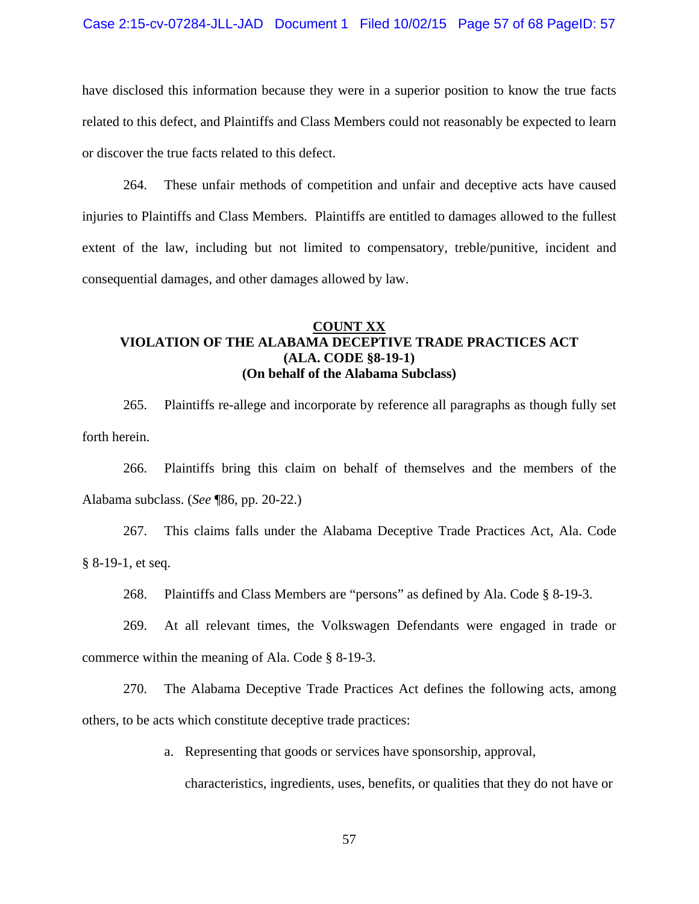#### Case 2:15-cv-07284-JLL-JAD Document 1 Filed 10/02/15 Page 57 of 68 PageID: 57

have disclosed this information because they were in a superior position to know the true facts related to this defect, and Plaintiffs and Class Members could not reasonably be expected to learn or discover the true facts related to this defect.

264. These unfair methods of competition and unfair and deceptive acts have caused injuries to Plaintiffs and Class Members. Plaintiffs are entitled to damages allowed to the fullest extent of the law, including but not limited to compensatory, treble/punitive, incident and consequential damages, and other damages allowed by law.

## **COUNT XX VIOLATION OF THE ALABAMA DECEPTIVE TRADE PRACTICES ACT (ALA. CODE §8-19-1) (On behalf of the Alabama Subclass)**

265. Plaintiffs re-allege and incorporate by reference all paragraphs as though fully set forth herein.

266. Plaintiffs bring this claim on behalf of themselves and the members of the Alabama subclass. (*See* ¶86, pp. 20-22.)

267. This claims falls under the Alabama Deceptive Trade Practices Act, Ala. Code § 8-19-1, et seq.

268. Plaintiffs and Class Members are "persons" as defined by Ala. Code § 8-19-3.

269. At all relevant times, the Volkswagen Defendants were engaged in trade or commerce within the meaning of Ala. Code § 8-19-3.

270. The Alabama Deceptive Trade Practices Act defines the following acts, among others, to be acts which constitute deceptive trade practices:

a. Representing that goods or services have sponsorship, approval,

characteristics, ingredients, uses, benefits, or qualities that they do not have or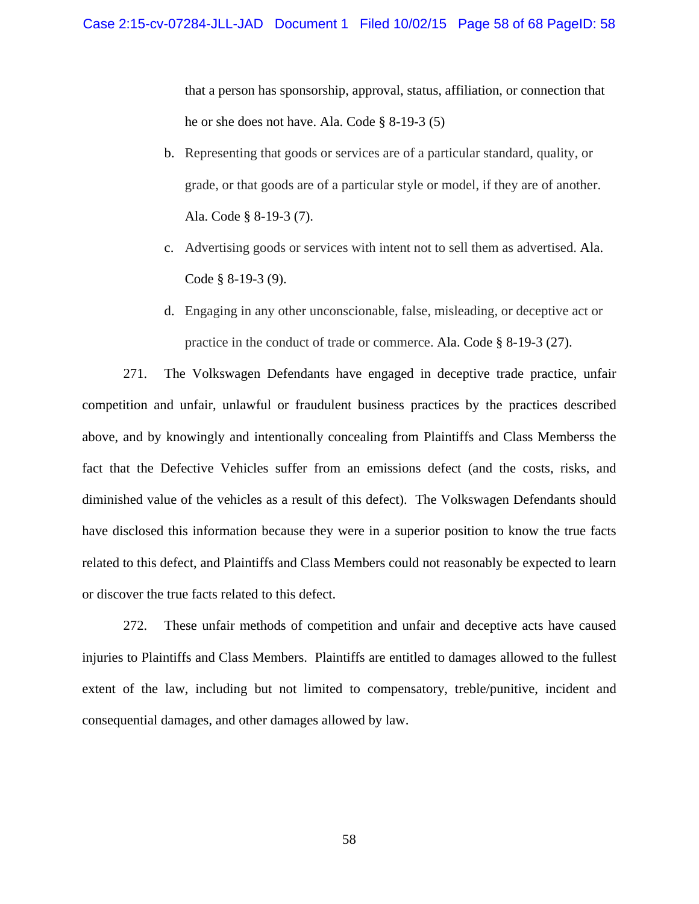that a person has sponsorship, approval, status, affiliation, or connection that he or she does not have. Ala. Code § 8-19-3 (5)

- b. Representing that goods or services are of a particular standard, quality, or grade, or that goods are of a particular style or model, if they are of another. Ala. Code § 8-19-3 (7).
- c. Advertising goods or services with intent not to sell them as advertised. Ala. Code § 8-19-3 (9).
- d. Engaging in any other unconscionable, false, misleading, or deceptive act or practice in the conduct of trade or commerce. Ala. Code § 8-19-3 (27).

271. The Volkswagen Defendants have engaged in deceptive trade practice, unfair competition and unfair, unlawful or fraudulent business practices by the practices described above, and by knowingly and intentionally concealing from Plaintiffs and Class Memberss the fact that the Defective Vehicles suffer from an emissions defect (and the costs, risks, and diminished value of the vehicles as a result of this defect). The Volkswagen Defendants should have disclosed this information because they were in a superior position to know the true facts related to this defect, and Plaintiffs and Class Members could not reasonably be expected to learn or discover the true facts related to this defect.

272. These unfair methods of competition and unfair and deceptive acts have caused injuries to Plaintiffs and Class Members. Plaintiffs are entitled to damages allowed to the fullest extent of the law, including but not limited to compensatory, treble/punitive, incident and consequential damages, and other damages allowed by law.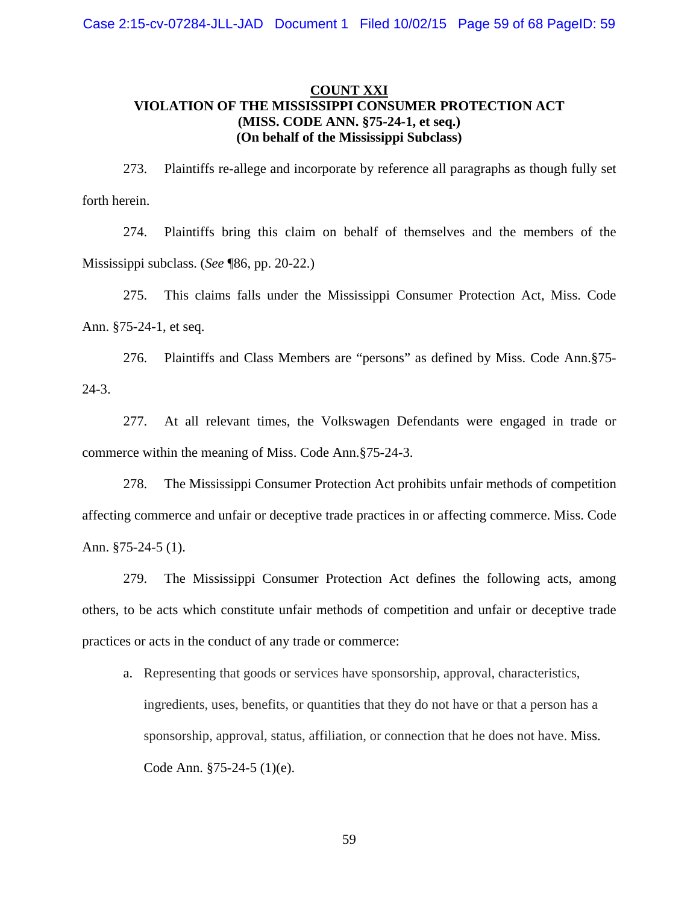## **COUNT XXI VIOLATION OF THE MISSISSIPPI CONSUMER PROTECTION ACT (MISS. CODE ANN. §75-24-1, et seq.) (On behalf of the Mississippi Subclass)**

273. Plaintiffs re-allege and incorporate by reference all paragraphs as though fully set forth herein.

274. Plaintiffs bring this claim on behalf of themselves and the members of the Mississippi subclass. (*See* ¶86, pp. 20-22.)

275. This claims falls under the Mississippi Consumer Protection Act, Miss. Code Ann. §75-24-1, et seq.

276. Plaintiffs and Class Members are "persons" as defined by Miss. Code Ann.§75- 24-3.

277. At all relevant times, the Volkswagen Defendants were engaged in trade or commerce within the meaning of Miss. Code Ann.§75-24-3.

278. The Mississippi Consumer Protection Act prohibits unfair methods of competition affecting commerce and unfair or deceptive trade practices in or affecting commerce. Miss. Code Ann. §75-24-5 (1).

279. The Mississippi Consumer Protection Act defines the following acts, among others, to be acts which constitute unfair methods of competition and unfair or deceptive trade practices or acts in the conduct of any trade or commerce:

a. Representing that goods or services have sponsorship, approval, characteristics, ingredients, uses, benefits, or quantities that they do not have or that a person has a sponsorship, approval, status, affiliation, or connection that he does not have. Miss. Code Ann. §75-24-5 (1)(e).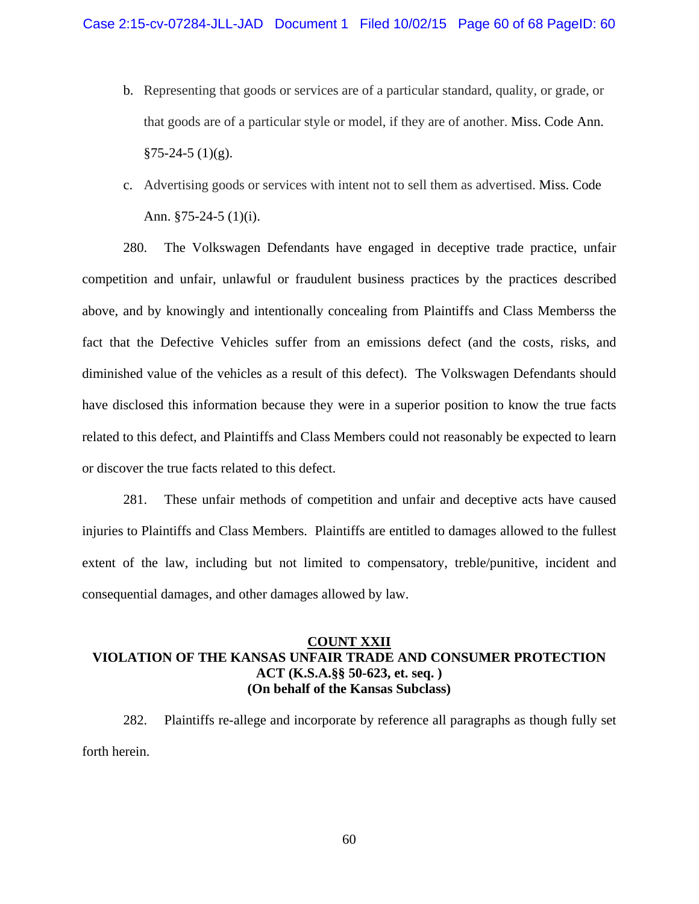- b. Representing that goods or services are of a particular standard, quality, or grade, or that goods are of a particular style or model, if they are of another. Miss. Code Ann.  $§75-24-5(1)(g).$
- c. Advertising goods or services with intent not to sell them as advertised. Miss. Code Ann. §75-24-5 (1)(i).

280. The Volkswagen Defendants have engaged in deceptive trade practice, unfair competition and unfair, unlawful or fraudulent business practices by the practices described above, and by knowingly and intentionally concealing from Plaintiffs and Class Memberss the fact that the Defective Vehicles suffer from an emissions defect (and the costs, risks, and diminished value of the vehicles as a result of this defect). The Volkswagen Defendants should have disclosed this information because they were in a superior position to know the true facts related to this defect, and Plaintiffs and Class Members could not reasonably be expected to learn or discover the true facts related to this defect.

281. These unfair methods of competition and unfair and deceptive acts have caused injuries to Plaintiffs and Class Members. Plaintiffs are entitled to damages allowed to the fullest extent of the law, including but not limited to compensatory, treble/punitive, incident and consequential damages, and other damages allowed by law.

## **COUNT XXII VIOLATION OF THE KANSAS UNFAIR TRADE AND CONSUMER PROTECTION ACT (K.S.A.§§ 50-623, et. seq. ) (On behalf of the Kansas Subclass)**

282. Plaintiffs re-allege and incorporate by reference all paragraphs as though fully set forth herein.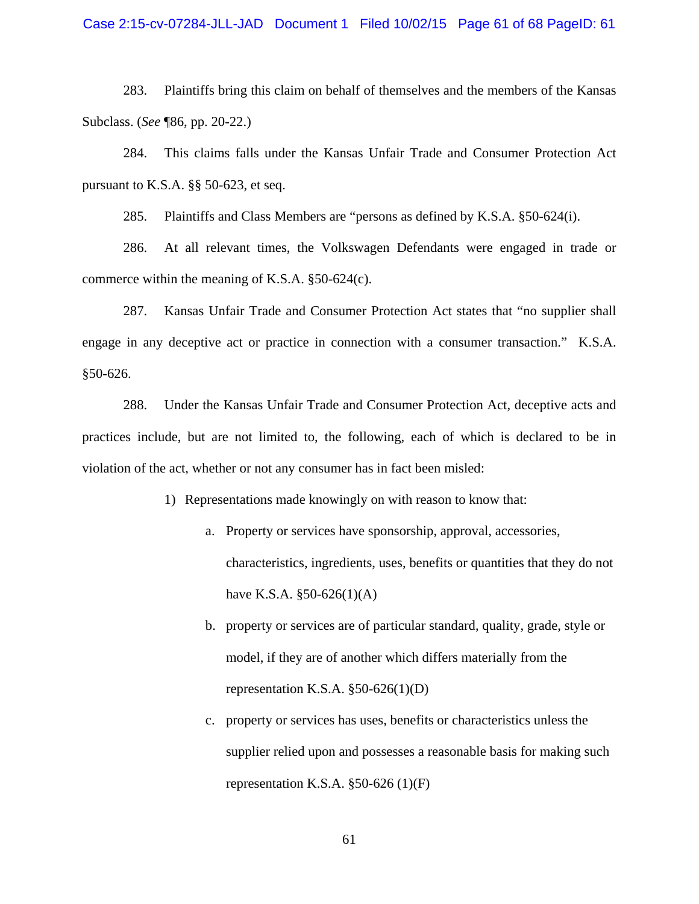283. Plaintiffs bring this claim on behalf of themselves and the members of the Kansas Subclass. (*See* ¶86, pp. 20-22.)

284. This claims falls under the Kansas Unfair Trade and Consumer Protection Act pursuant to K.S.A. §§ 50-623, et seq.

285. Plaintiffs and Class Members are "persons as defined by K.S.A. §50-624(i).

286. At all relevant times, the Volkswagen Defendants were engaged in trade or commerce within the meaning of K.S.A. §50-624(c).

287. Kansas Unfair Trade and Consumer Protection Act states that "no supplier shall engage in any deceptive act or practice in connection with a consumer transaction." K.S.A. §50-626.

288. Under the Kansas Unfair Trade and Consumer Protection Act, deceptive acts and practices include, but are not limited to, the following, each of which is declared to be in violation of the act, whether or not any consumer has in fact been misled:

1) Representations made knowingly on with reason to know that:

- a. Property or services have sponsorship, approval, accessories, characteristics, ingredients, uses, benefits or quantities that they do not have K.S.A.  $$50-626(1)(A)$
- b. property or services are of particular standard, quality, grade, style or model, if they are of another which differs materially from the representation K.S.A.  $\S 50-626(1)(D)$
- c. property or services has uses, benefits or characteristics unless the supplier relied upon and possesses a reasonable basis for making such representation K.S.A.  $\S 50-626$  (1)(F)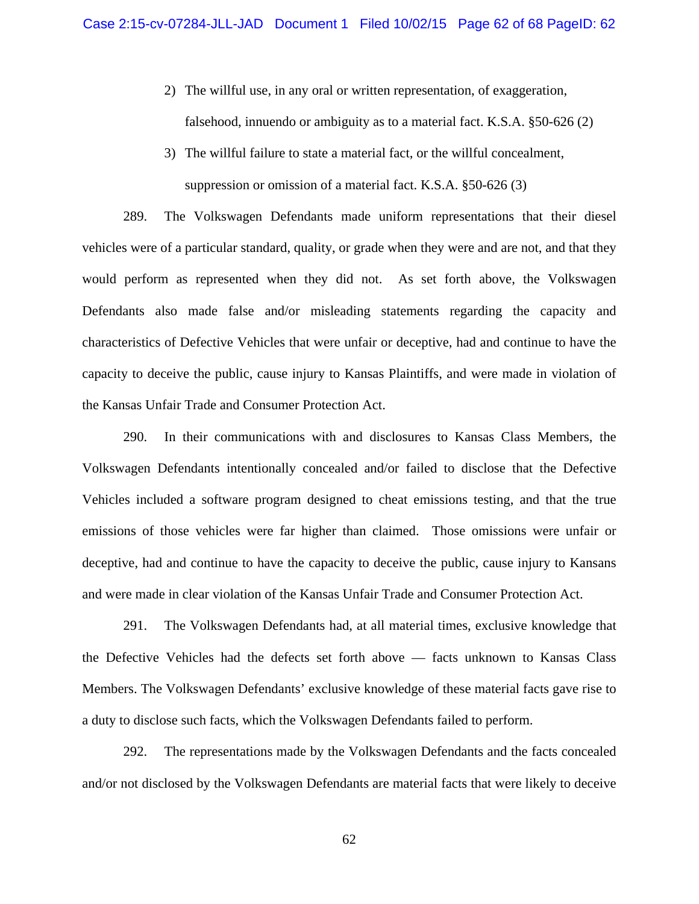- 2) The willful use, in any oral or written representation, of exaggeration, falsehood, innuendo or ambiguity as to a material fact. K.S.A. §50-626 (2)
- 3) The willful failure to state a material fact, or the willful concealment, suppression or omission of a material fact. K.S.A. §50-626 (3)

289. The Volkswagen Defendants made uniform representations that their diesel vehicles were of a particular standard, quality, or grade when they were and are not, and that they would perform as represented when they did not. As set forth above, the Volkswagen Defendants also made false and/or misleading statements regarding the capacity and characteristics of Defective Vehicles that were unfair or deceptive, had and continue to have the capacity to deceive the public, cause injury to Kansas Plaintiffs, and were made in violation of the Kansas Unfair Trade and Consumer Protection Act.

290. In their communications with and disclosures to Kansas Class Members, the Volkswagen Defendants intentionally concealed and/or failed to disclose that the Defective Vehicles included a software program designed to cheat emissions testing, and that the true emissions of those vehicles were far higher than claimed. Those omissions were unfair or deceptive, had and continue to have the capacity to deceive the public, cause injury to Kansans and were made in clear violation of the Kansas Unfair Trade and Consumer Protection Act.

291. The Volkswagen Defendants had, at all material times, exclusive knowledge that the Defective Vehicles had the defects set forth above — facts unknown to Kansas Class Members. The Volkswagen Defendants' exclusive knowledge of these material facts gave rise to a duty to disclose such facts, which the Volkswagen Defendants failed to perform.

292. The representations made by the Volkswagen Defendants and the facts concealed and/or not disclosed by the Volkswagen Defendants are material facts that were likely to deceive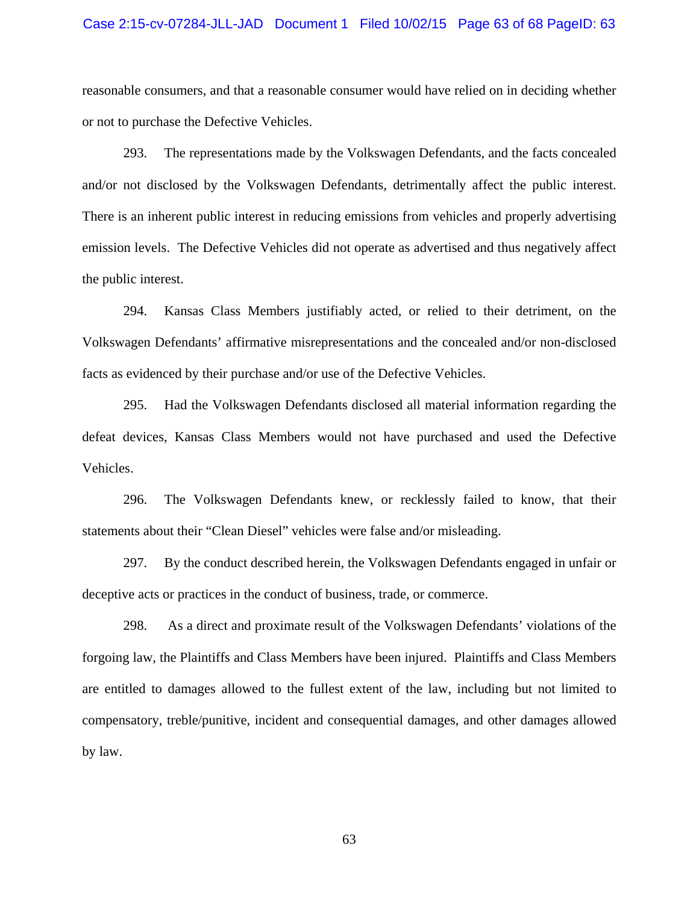#### Case 2:15-cv-07284-JLL-JAD Document 1 Filed 10/02/15 Page 63 of 68 PageID: 63

reasonable consumers, and that a reasonable consumer would have relied on in deciding whether or not to purchase the Defective Vehicles.

293. The representations made by the Volkswagen Defendants, and the facts concealed and/or not disclosed by the Volkswagen Defendants, detrimentally affect the public interest. There is an inherent public interest in reducing emissions from vehicles and properly advertising emission levels. The Defective Vehicles did not operate as advertised and thus negatively affect the public interest.

294. Kansas Class Members justifiably acted, or relied to their detriment, on the Volkswagen Defendants' affirmative misrepresentations and the concealed and/or non-disclosed facts as evidenced by their purchase and/or use of the Defective Vehicles.

295. Had the Volkswagen Defendants disclosed all material information regarding the defeat devices, Kansas Class Members would not have purchased and used the Defective Vehicles.

296. The Volkswagen Defendants knew, or recklessly failed to know, that their statements about their "Clean Diesel" vehicles were false and/or misleading.

297. By the conduct described herein, the Volkswagen Defendants engaged in unfair or deceptive acts or practices in the conduct of business, trade, or commerce.

298. As a direct and proximate result of the Volkswagen Defendants' violations of the forgoing law, the Plaintiffs and Class Members have been injured. Plaintiffs and Class Members are entitled to damages allowed to the fullest extent of the law, including but not limited to compensatory, treble/punitive, incident and consequential damages, and other damages allowed by law.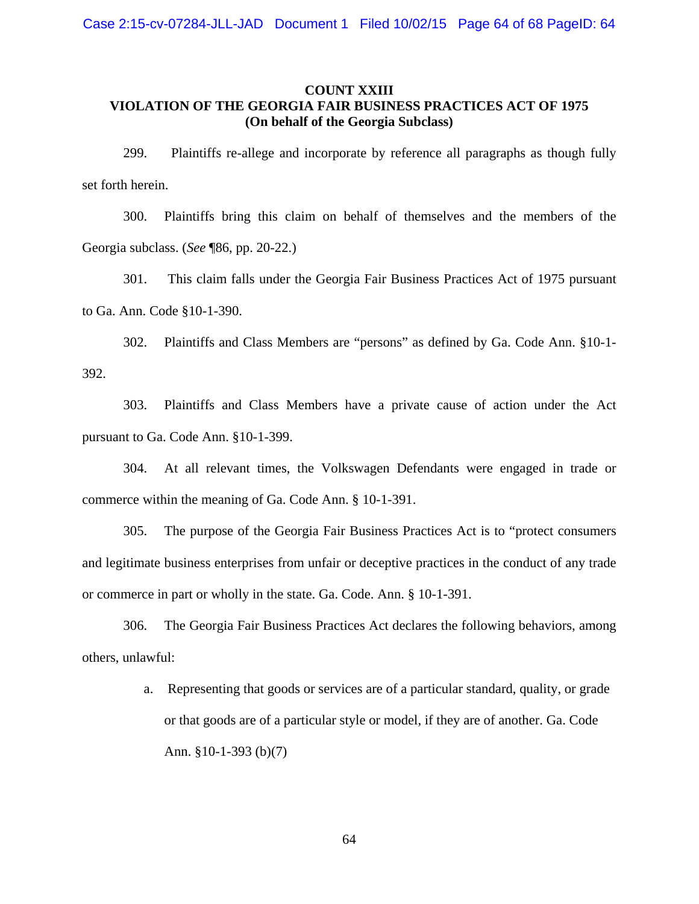## **COUNT XXIII VIOLATION OF THE GEORGIA FAIR BUSINESS PRACTICES ACT OF 1975 (On behalf of the Georgia Subclass)**

299. Plaintiffs re-allege and incorporate by reference all paragraphs as though fully set forth herein.

300. Plaintiffs bring this claim on behalf of themselves and the members of the Georgia subclass. (*See* ¶86, pp. 20-22.)

301. This claim falls under the Georgia Fair Business Practices Act of 1975 pursuant to Ga. Ann. Code §10-1-390.

302. Plaintiffs and Class Members are "persons" as defined by Ga. Code Ann. §10-1- 392.

303. Plaintiffs and Class Members have a private cause of action under the Act pursuant to Ga. Code Ann. §10-1-399.

304. At all relevant times, the Volkswagen Defendants were engaged in trade or commerce within the meaning of Ga. Code Ann. § 10-1-391.

305. The purpose of the Georgia Fair Business Practices Act is to "protect consumers and legitimate business enterprises from unfair or deceptive practices in the conduct of any trade or commerce in part or wholly in the state. Ga. Code. Ann. § 10-1-391.

306. The Georgia Fair Business Practices Act declares the following behaviors, among others, unlawful:

> a. Representing that goods or services are of a particular standard, quality, or grade or that goods are of a particular style or model, if they are of another. Ga. Code Ann. §10-1-393 (b)(7)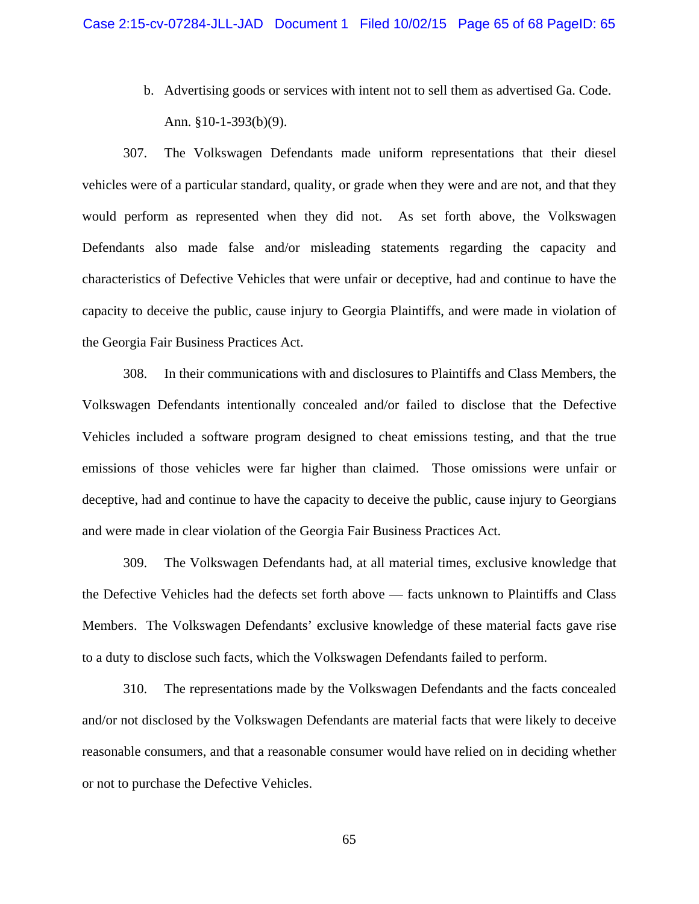b. Advertising goods or services with intent not to sell them as advertised Ga. Code. Ann. §10-1-393(b)(9).

307. The Volkswagen Defendants made uniform representations that their diesel vehicles were of a particular standard, quality, or grade when they were and are not, and that they would perform as represented when they did not. As set forth above, the Volkswagen Defendants also made false and/or misleading statements regarding the capacity and characteristics of Defective Vehicles that were unfair or deceptive, had and continue to have the capacity to deceive the public, cause injury to Georgia Plaintiffs, and were made in violation of the Georgia Fair Business Practices Act.

308. In their communications with and disclosures to Plaintiffs and Class Members, the Volkswagen Defendants intentionally concealed and/or failed to disclose that the Defective Vehicles included a software program designed to cheat emissions testing, and that the true emissions of those vehicles were far higher than claimed. Those omissions were unfair or deceptive, had and continue to have the capacity to deceive the public, cause injury to Georgians and were made in clear violation of the Georgia Fair Business Practices Act.

309. The Volkswagen Defendants had, at all material times, exclusive knowledge that the Defective Vehicles had the defects set forth above — facts unknown to Plaintiffs and Class Members. The Volkswagen Defendants' exclusive knowledge of these material facts gave rise to a duty to disclose such facts, which the Volkswagen Defendants failed to perform.

310. The representations made by the Volkswagen Defendants and the facts concealed and/or not disclosed by the Volkswagen Defendants are material facts that were likely to deceive reasonable consumers, and that a reasonable consumer would have relied on in deciding whether or not to purchase the Defective Vehicles.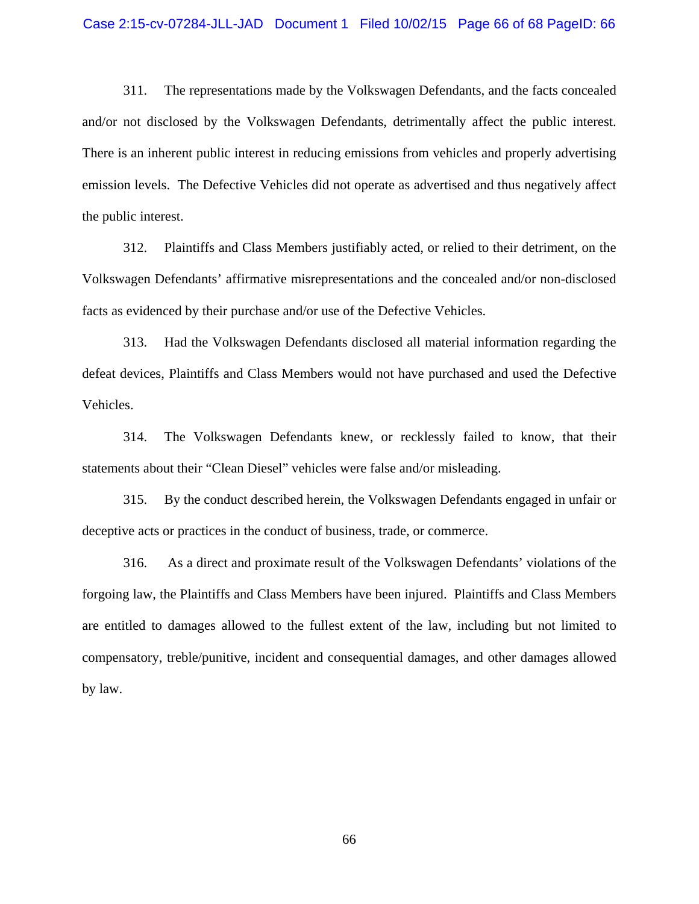311. The representations made by the Volkswagen Defendants, and the facts concealed and/or not disclosed by the Volkswagen Defendants, detrimentally affect the public interest. There is an inherent public interest in reducing emissions from vehicles and properly advertising emission levels. The Defective Vehicles did not operate as advertised and thus negatively affect the public interest.

312. Plaintiffs and Class Members justifiably acted, or relied to their detriment, on the Volkswagen Defendants' affirmative misrepresentations and the concealed and/or non-disclosed facts as evidenced by their purchase and/or use of the Defective Vehicles.

313. Had the Volkswagen Defendants disclosed all material information regarding the defeat devices, Plaintiffs and Class Members would not have purchased and used the Defective Vehicles.

314. The Volkswagen Defendants knew, or recklessly failed to know, that their statements about their "Clean Diesel" vehicles were false and/or misleading.

315. By the conduct described herein, the Volkswagen Defendants engaged in unfair or deceptive acts or practices in the conduct of business, trade, or commerce.

316. As a direct and proximate result of the Volkswagen Defendants' violations of the forgoing law, the Plaintiffs and Class Members have been injured. Plaintiffs and Class Members are entitled to damages allowed to the fullest extent of the law, including but not limited to compensatory, treble/punitive, incident and consequential damages, and other damages allowed by law.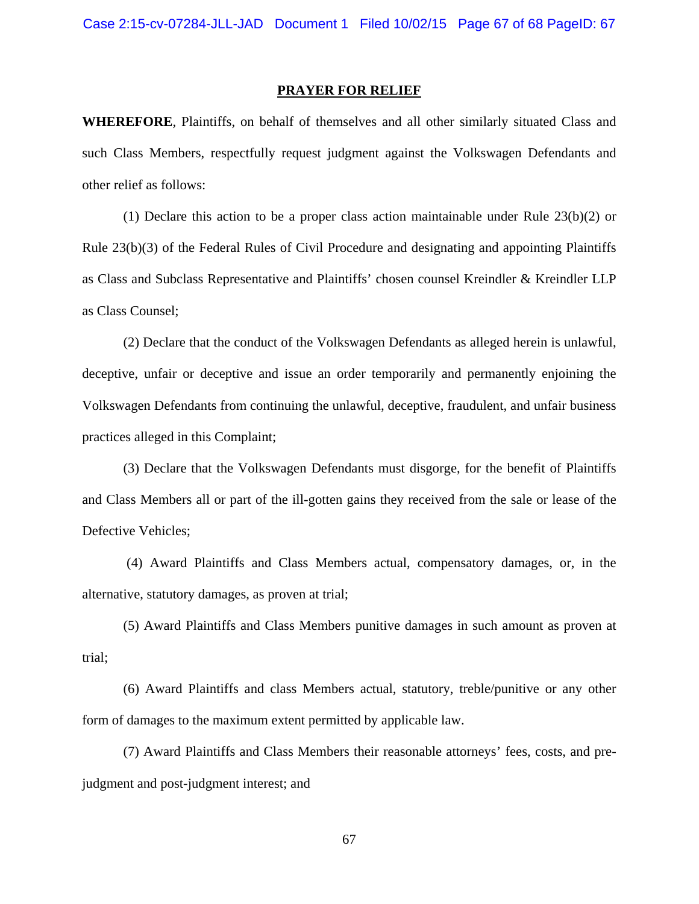#### **PRAYER FOR RELIEF**

**WHEREFORE**, Plaintiffs, on behalf of themselves and all other similarly situated Class and such Class Members, respectfully request judgment against the Volkswagen Defendants and other relief as follows:

(1) Declare this action to be a proper class action maintainable under Rule  $23(b)(2)$  or Rule 23(b)(3) of the Federal Rules of Civil Procedure and designating and appointing Plaintiffs as Class and Subclass Representative and Plaintiffs' chosen counsel Kreindler & Kreindler LLP as Class Counsel;

 (2) Declare that the conduct of the Volkswagen Defendants as alleged herein is unlawful, deceptive, unfair or deceptive and issue an order temporarily and permanently enjoining the Volkswagen Defendants from continuing the unlawful, deceptive, fraudulent, and unfair business practices alleged in this Complaint;

 (3) Declare that the Volkswagen Defendants must disgorge, for the benefit of Plaintiffs and Class Members all or part of the ill-gotten gains they received from the sale or lease of the Defective Vehicles;

 (4) Award Plaintiffs and Class Members actual, compensatory damages, or, in the alternative, statutory damages, as proven at trial;

 (5) Award Plaintiffs and Class Members punitive damages in such amount as proven at trial;

 (6) Award Plaintiffs and class Members actual, statutory, treble/punitive or any other form of damages to the maximum extent permitted by applicable law.

 (7) Award Plaintiffs and Class Members their reasonable attorneys' fees, costs, and prejudgment and post-judgment interest; and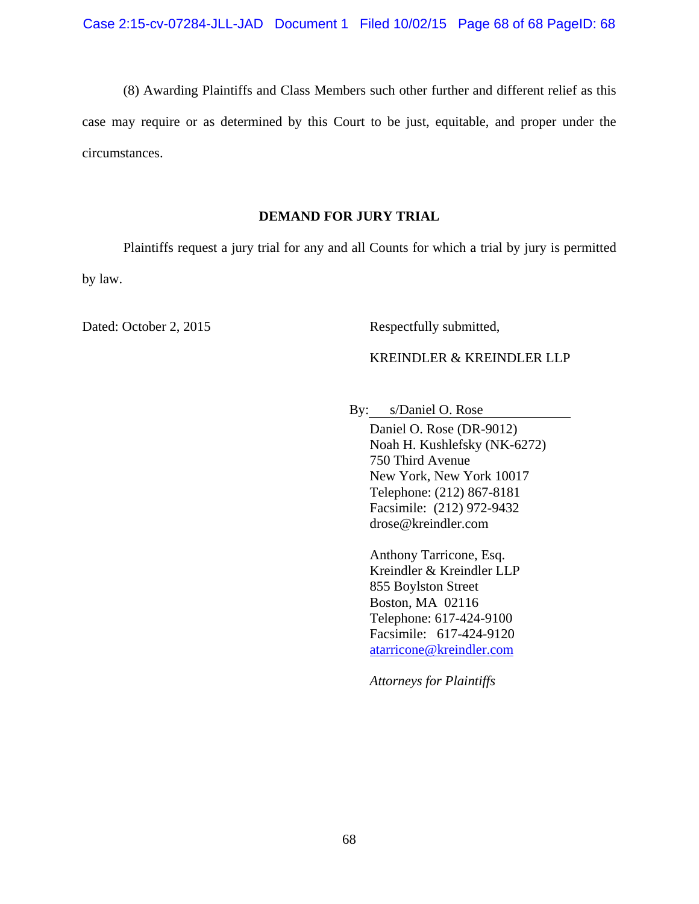(8) Awarding Plaintiffs and Class Members such other further and different relief as this case may require or as determined by this Court to be just, equitable, and proper under the circumstances.

## **DEMAND FOR JURY TRIAL**

 Plaintiffs request a jury trial for any and all Counts for which a trial by jury is permitted by law.

Dated: October 2, 2015 Respectfully submitted,

## KREINDLER & KREINDLER LLP

By: s/Daniel O. Rose

 Daniel O. Rose (DR-9012) Noah H. Kushlefsky (NK-6272) 750 Third Avenue New York, New York 10017 Telephone: (212) 867-8181 Facsimile: (212) 972-9432 drose@kreindler.com

 Anthony Tarricone, Esq. Kreindler & Kreindler LLP 855 Boylston Street Boston, MA 02116 Telephone: 617-424-9100 Facsimile: 617-424-9120 atarricone@kreindler.com

*Attorneys for Plaintiffs*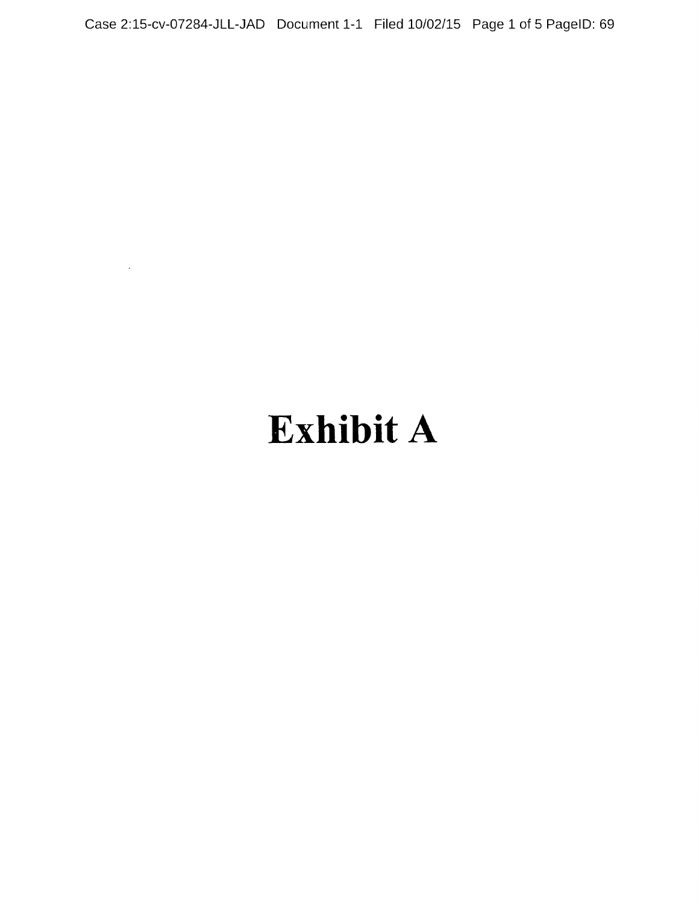Case 2:15-cv-07284-JLL-JAD Document 1-1 Filed 10/02/15 Page 1 of 5 PagelD: 69

# Exhibit A

 $\sim$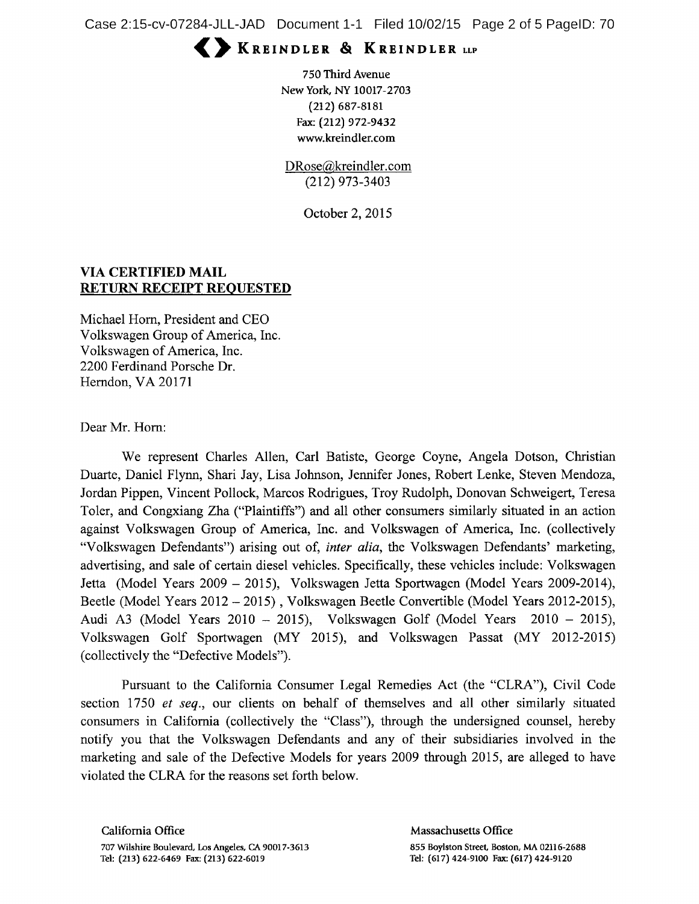## KREINDLER & KREINDLER LLP

750 Third Avenue New York, NY 10017-2703 (212) 687-8181 Fax: (212) 972-9432 www.kreindler.com

DRose@kreindler.com (212) 973-3403

October 2, 2015

## VIA CERTIFIED MAIL RETURN RECEIPT REQUESTED

Michael Horn, President and CEO Volkswagen Group of America, Inc. Volkswagen of America, Inc. 2200 Ferdinand Porsche Dr. Herndon, VA 20171

Dear Mr. Horn:

We represent Charles Allen, Carl Batiste, George Coyne, Angela Dotson, Christian Duarte, Daniel Flynn, Shari Jay, Lisa Johnson, Jennifer Jones, Robert Lenke, Steven Mendoza, Jordan Pippen, Vincent Pollock, Marcos Rodrigues, Troy Rudolph, Donovan Schweigert, Teresa Toler, and Congxiang Zha ("Plaintiffs") and all other consumers similarly situated in an action against Volkswagen Group of America, Inc. and Volkswagen of America, Inc. (collectively "Volkswagen Defendants") arising out of, *inter alia*, the Volkswagen Defendants' marketing, advertising, and sale of certain diesel vehicles. Specifically, these vehicles include: Volkswagen Jetta (Model Years 2009 - 2015), Volkswagen Jetta Sportwagen (Model Years 2009-2014), Beetle (Model Years 2012 - 2015), Volkswagen Beetle Convertible (Model Years 2012-2015), Audi A3 (Model Years 2010 - 2015), Volkswagen Golf (Model Years  $2010 - 2015$ ), Volkswagen Golf Sportwagen (MY 2015), and Volkswagen Passat (MY 2012-2015) (collectively the "Defective Models").

Pursuant to the California Consumer Legal Remedies Act (the "CLRA"), Civil Code section 1750 et seq., our clients on behalf of themselves and all other similarly situated consumers in California (collectively the "Class"), through the undersigned counsel, hereby notify you that the Volkswagen Defendants and any of their subsidiaries involved in the marketing and sale of the Defective Models for years <sup>2009</sup> through 2015, are alleged to have violated the CLRA for the reasons set forth below.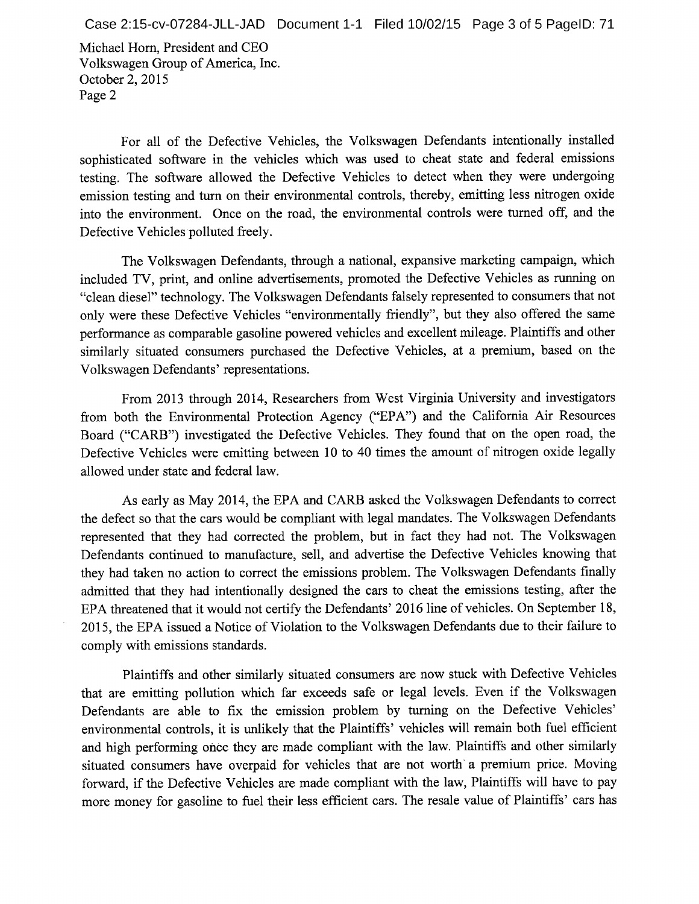Michael Horn, President and CEO Volkswagen Group of America, Inc. October 2, 2015 Page 2

For all of the Defective Vehicles, the Volkswagen Defendants intentionally installed sophisticated software in the vehicles which was used to cheat state and federal emissions testing. The software allowed the Defective Vehicles to detect when they were undergoing emission testing and turn on their environmental controls, thereby, emitting less nitrogen oxide into the environment. Once on the road, the environmental controls were turned off, and the Defective Vehicles polluted freely.

The Volkswagen Defendants, through <sup>a</sup> national, expansive marketing campaign, which included TV, print, and online advertisements, promoted the Defective Vehicles as running on "clean diesel" technology. The Volkswagen Defendants falsely represented to consumers that not only were these Defective Vehicles "environmentally friendly", but they also offered the same performance as comparable gasoline powered vehicles and excellent mileage. Plaintiffs and other similarly situated consumers purchased the Defective Vehicles, at <sup>a</sup> premium, based on the Volkswagen Defendants' representations.

From 2013 through 2014, Researchers from West Virginia University and investigators from both the Environmental Protection Agency ("EPA") and the California Air Resources Board ("CARB") investigated the Defective Vehicles. They found that on the open road, the Defective Vehicles were emitting between <sup>10</sup> to <sup>40</sup> times the amount of nitrogen oxide legally allowed under state and federal law.

As early as May 2014, the EPA and CARB asked the Volkswagen Defendants to correct the defect so that the cars would be compliant with legal mandates. The Volkswagen Defendants represented that they had corrected the problem, but in fact they had not. The Volkswagen Defendants continued to manufacture, sell, and advertise the Defective Vehicles knowing that they had taken no action to correct the emissions problem. The Volkswagen Defendants finally admitted that they had intentionally designed the cars to cheat the emissions testing, after the EPA threatened that it would not certify the Defendants' <sup>2016</sup> line of vehicles. On September 18, 2015, the EPA issued a Notice of Violation to the Volkswagen Defendants due to their failure to comply with emissions standards.

Plaintiffs and other similarly situated consumers are now stuck with Defective Vehicles that are emitting pollution which far exceeds safe or legal levels. Even if the Volkswagen Defendants are able to fix the emission problem by turning on the Defective Vehicles' environmental controls, it is unlikely that the Plaintiffs' vehicles will remain both fuel efficient and high performing once they are made compliant with the law. Plaintiffs and other similarly situated consumers have overpaid for vehicles that are not worth <sup>a</sup> premium price. Moving forward, if the Defective Vehicles are made compliant with the law, Plaintiffs will have to pay more money for gasoline to fuel their less efficient cars. The resale value of Plaintiffs' cars has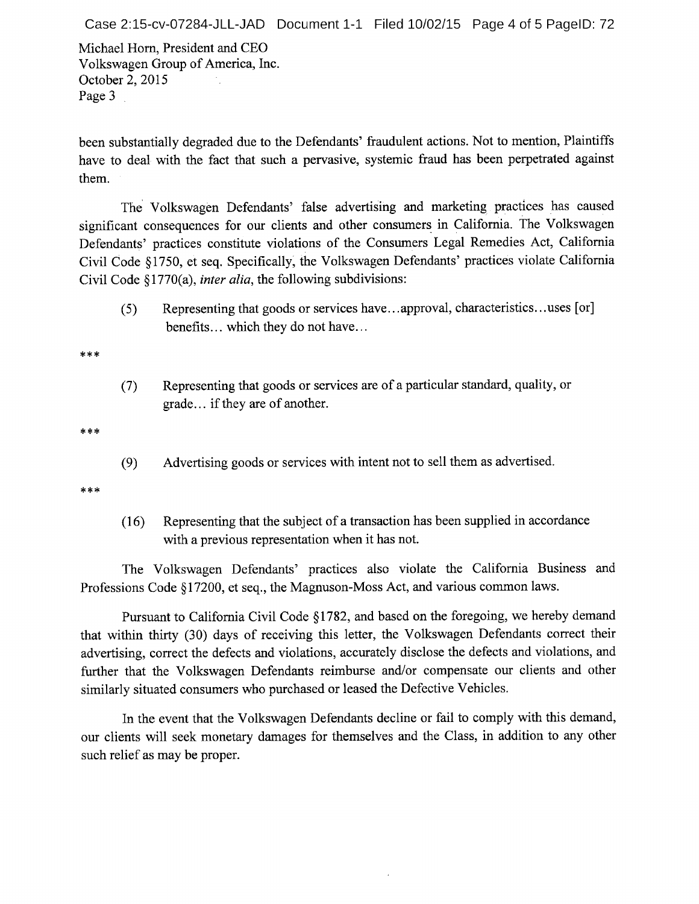Michael Horn, President and CEO Volkswagen Group of America, Inc. October 2, 2015 Page 3

been substantially degraded due to the Defendants' fraudulent actions. Not to mention, Plaintiffs have to deal with the fact that such <sup>a</sup> pervasive, systemic fraud has been perpetrated against them.

The Volkswagen Defendants' false advertising and marketing practices has caused significant consequences for our clients and other consumers in California. The Volkswagen Defendants' practices constitute violations of the Consumers Legal Remedies Act, California Civil Code §1750, et seq. Specifically, the Volkswagen Defendants' practices violate California Civil Code §1770(a), inter alia, the following subdivisions:

(5) Representing that goods or services have...approval, characteristics...uses [or] benefits... which they do not have...

 $***$ 

(7) Representing that goods or services are of <sup>a</sup> particular standard, quality, or grade... if they are of another.

 $***$ 

(9) Advertising goods or services with intent not to sell them as advertised.

 $* * *$ 

(16) Representing that the subject of <sup>a</sup> transaction has been supplied in accordance with <sup>a</sup> previous representation when it has not.

The Volkswagen Defendants' practices also violate the California Business and Professions Code §17200, et seq., the Magnuson-Moss Act, and various common laws.

Pursuant to California Civil Code §1782, and based on the foregoing, we hereby demand that within thirty (30) days of receiving this letter, the Volkswagen Defendants correct their advertising, correct the defects and violations, accurately disclose the defects and violations, and further that the Volkswagen Defendants reimburse and/or compensate our clients and other similarly situated consumers who purchased or leased the Defective Vehicles.

In the event that the Volkswagen Defendants decline or fail to comply with this demand, our clients will seek monetary damages for themselves and the Class, in addition to any other such relief as may be proper.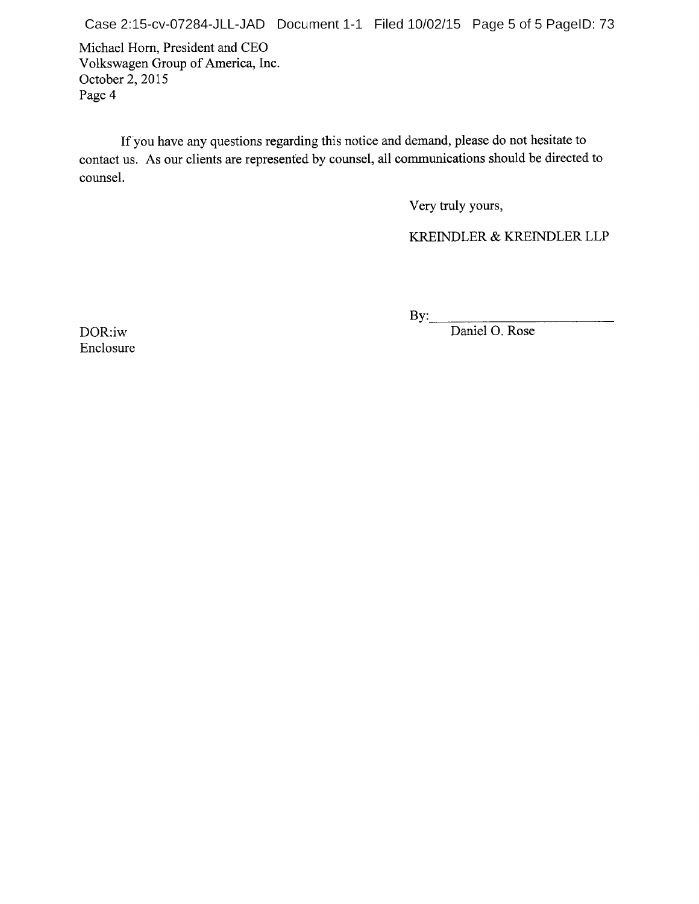Michael Horn, President and CEO Volkswagen Group of America, Inc. October 2, 2015 Page 4

If you have any questions regarding this notice and demand, please do not hesitate to contact us. As our clients are represented by counsel, all communications should be directed to counsel.

Very truly yours,

KREINDLER & KREINDLER LLP

 $By_{-}$ 

Enclosure

DOR:iw Daniel O. Rose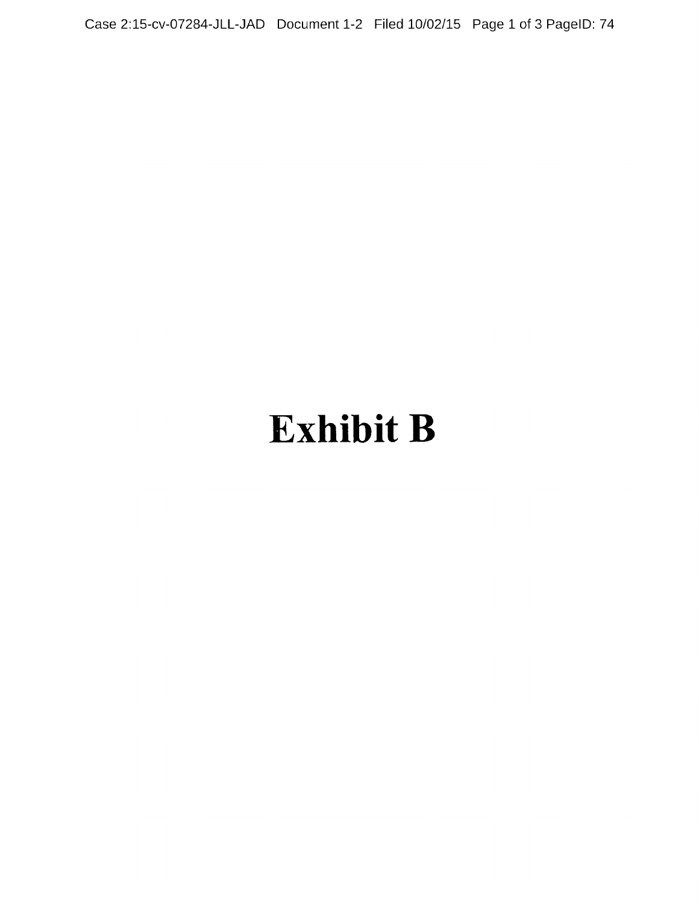Case 2:15-cv-07284-JLL-JAD Document 1-2 Filed 10/02/15 Page 1 of 3 PagelD: 74

## Exhibit B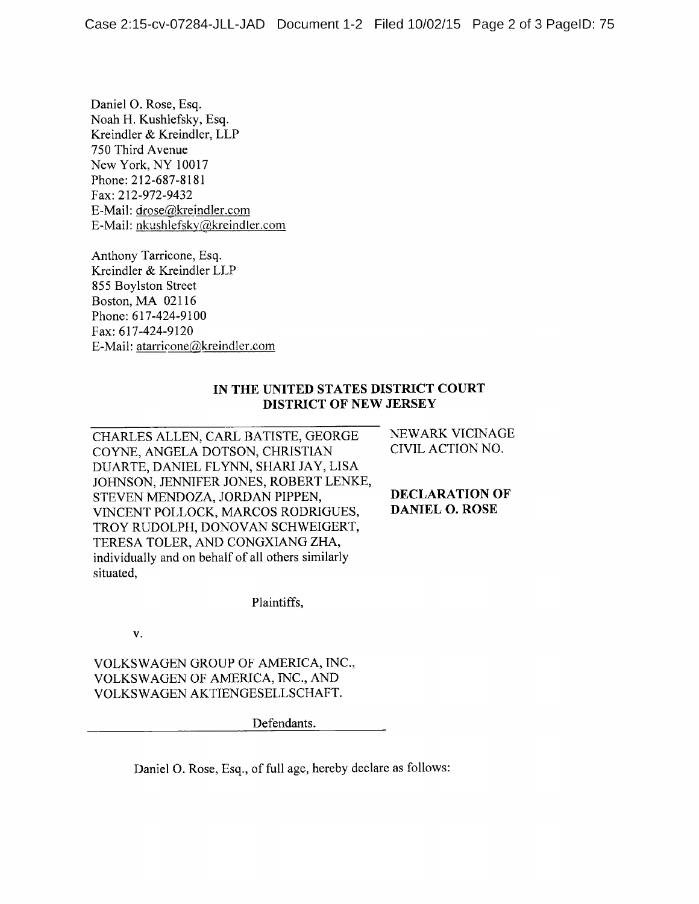Daniel 0. Rose, Esq. Noah H. Kushlefsky, Esq. Kreindler & Kreindler, LLP 750 Third Avenue New York, NY 10017 Phone: 212-687-8181 Fax: 212-972-9432 E-Mail: drose@kreindler.com E-Mail: nkushlefsky@kreindler.com

Anthony Tarricone, Esq. Kreindler & Kreindler LLP 855 Boylston Street Boston, MA 02116 Phone: 617-424-9100 Fax: 617-424-9120 E-Mail: atarricone@kreindler.com

## IN THE UNITED STATES DISTRICT COURT DISTRICT OF NEW JERSEY

CHARLES ALLEN, CARL BATISTE, GEORGE NEWARK VICINAGE COYNE, ANGELA DOTSON, CHRISTIAN DUARTE, DANIEL FLYNN, SHARI JAY, LISA JOHNSON, JENNIFER JONES, ROBERT LENKE, STEVEN MENDOZA, JORDAN PIPPEN, DECLARATION OF VINCENT POLLOCK MARCOS RODRIGUES DANIEL O. ROSE VINCENT POLLOCK, MARCOS RODRIGUES, TROY RUDOLPH, DONOVAN SCHWEIGERT, TERESA TOLER, AND CONGXIANG ZHA, individually and on behalf of all others similarly situated,

V.

VOLKSWAGEN GROUP OF AMERICA, INC., VOLKSWAGEN OF AMERICA, INC., AND VOLKSWAGEN AKTIENGESELLSCHAFT.

Defendants.

Daniel 0. Rose, Esq., of full age, hereby declare as follows:

Plaintiffs,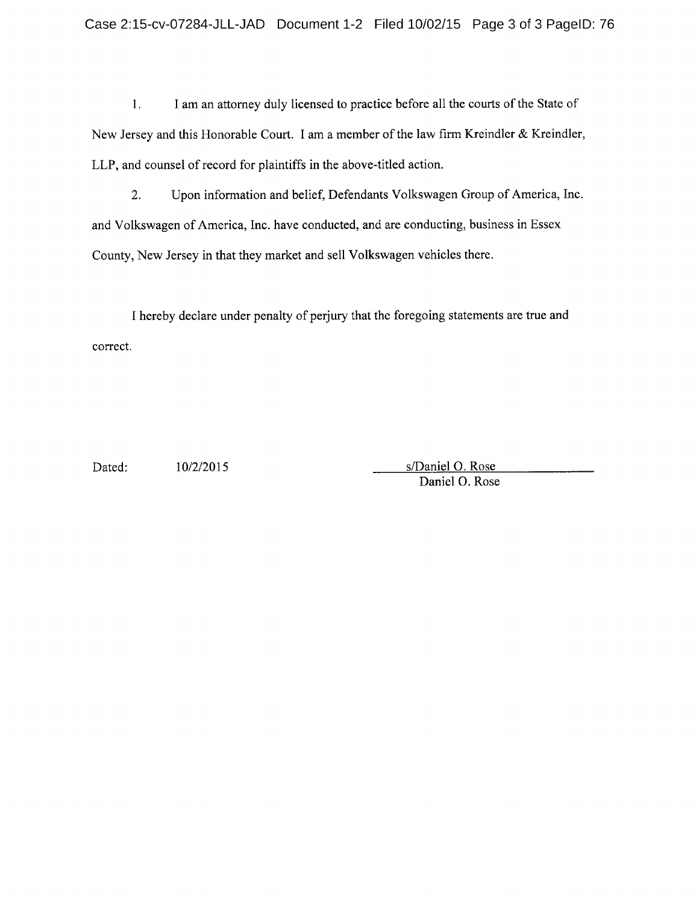1. I am an attorney duly licensed to practice before all the courts of the State of New Jersey and this Honorable Court. I am <sup>a</sup> member of the law firm Kreindler & Kreindler, LLP, and counsel of record for plaintiffs in the above-titled action.

2. Upon information and belief, Defendants Volkswagen Group of America, Inc. and Volkswagen of America, Inc. have conducted, and are conducting, business in Essex County, New Jersey in that they market and sell Volkswagen vehicles there.

I hereby declare under penalty of perjury that the foregoing statements are true and correct.

Dated: 10/2/2015 s/Daniel O. Rose Daniel 0. Rose